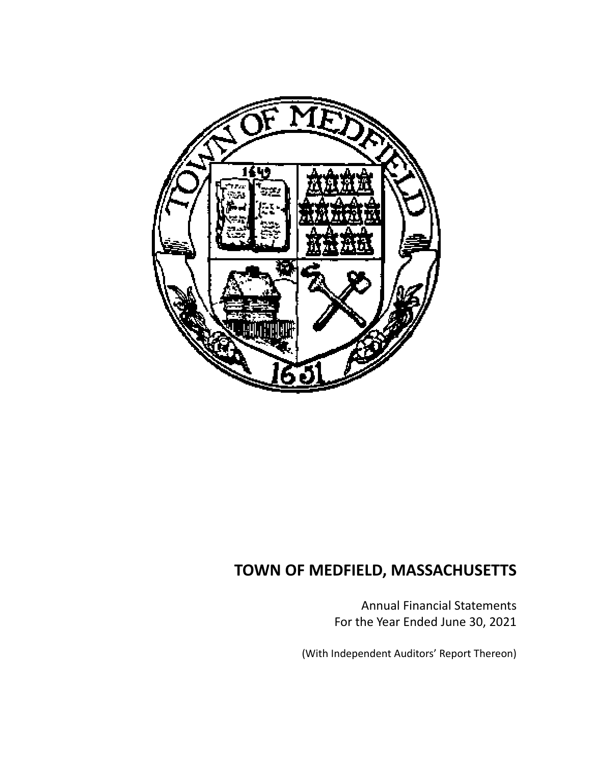

Annual Financial Statements For the Year Ended June 30, 2021

(With Independent Auditors' Report Thereon)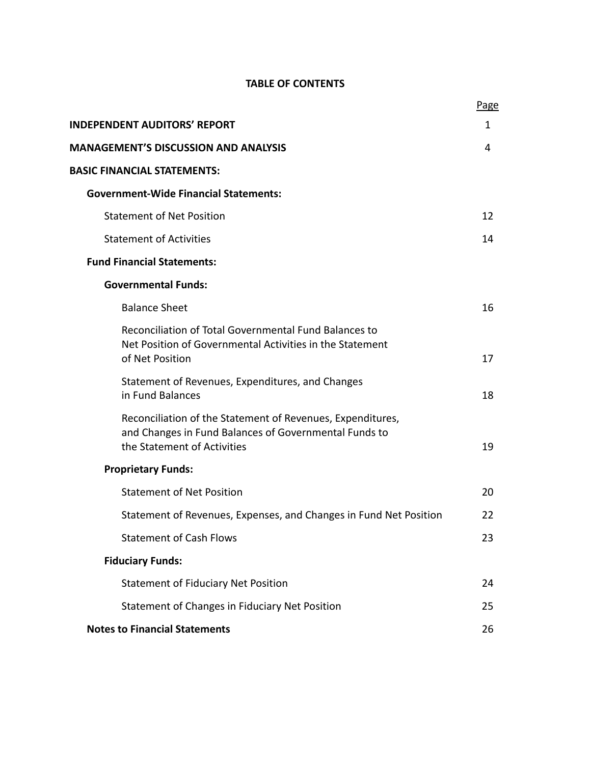# **TABLE OF CONTENTS**

|                                                                                                                                                    | Page |
|----------------------------------------------------------------------------------------------------------------------------------------------------|------|
| <b>INDEPENDENT AUDITORS' REPORT</b>                                                                                                                | 1    |
| <b>MANAGEMENT'S DISCUSSION AND ANALYSIS</b>                                                                                                        | 4    |
| <b>BASIC FINANCIAL STATEMENTS:</b>                                                                                                                 |      |
| <b>Government-Wide Financial Statements:</b>                                                                                                       |      |
| <b>Statement of Net Position</b>                                                                                                                   | 12   |
| <b>Statement of Activities</b>                                                                                                                     | 14   |
| <b>Fund Financial Statements:</b>                                                                                                                  |      |
| <b>Governmental Funds:</b>                                                                                                                         |      |
| <b>Balance Sheet</b>                                                                                                                               | 16   |
| Reconciliation of Total Governmental Fund Balances to<br>Net Position of Governmental Activities in the Statement<br>of Net Position               | 17   |
| Statement of Revenues, Expenditures, and Changes<br>in Fund Balances                                                                               | 18   |
| Reconciliation of the Statement of Revenues, Expenditures,<br>and Changes in Fund Balances of Governmental Funds to<br>the Statement of Activities | 19   |
| <b>Proprietary Funds:</b>                                                                                                                          |      |
| <b>Statement of Net Position</b>                                                                                                                   | 20   |
| Statement of Revenues, Expenses, and Changes in Fund Net Position                                                                                  | 22   |
| <b>Statement of Cash Flows</b>                                                                                                                     | 23   |
| <b>Fiduciary Funds:</b>                                                                                                                            |      |
| <b>Statement of Fiduciary Net Position</b>                                                                                                         | 24   |
| Statement of Changes in Fiduciary Net Position                                                                                                     | 25   |
| <b>Notes to Financial Statements</b>                                                                                                               | 26   |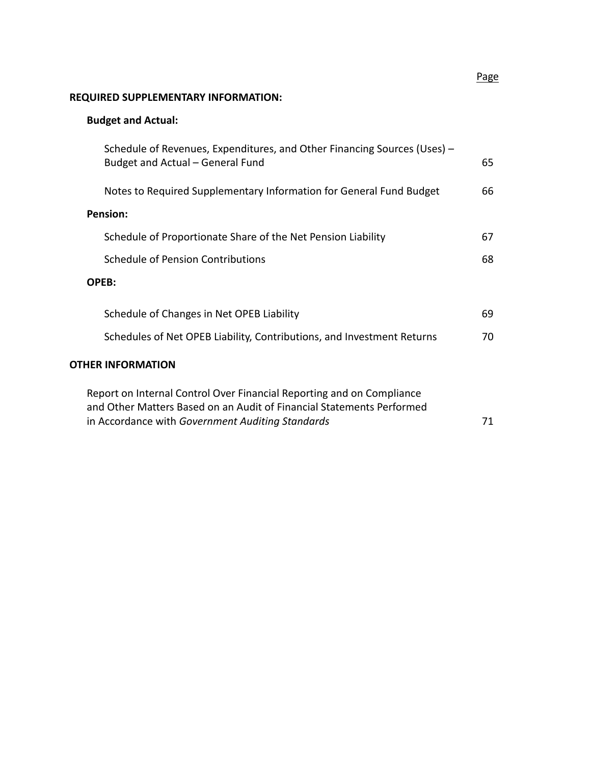# **REQUIRED SUPPLEMENTARY INFORMATION:**

# **Budget and Actual:**

| Schedule of Revenues, Expenditures, and Other Financing Sources (Uses) -<br>Budget and Actual - General Fund                                   | 65 |
|------------------------------------------------------------------------------------------------------------------------------------------------|----|
| Notes to Required Supplementary Information for General Fund Budget                                                                            | 66 |
| Pension:                                                                                                                                       |    |
| Schedule of Proportionate Share of the Net Pension Liability                                                                                   | 67 |
| Schedule of Pension Contributions                                                                                                              | 68 |
| OPEB:                                                                                                                                          |    |
| Schedule of Changes in Net OPEB Liability                                                                                                      | 69 |
| Schedules of Net OPEB Liability, Contributions, and Investment Returns                                                                         | 70 |
| <b>OTHER INFORMATION</b>                                                                                                                       |    |
| Report on Internal Control Over Financial Reporting and on Compliance<br>and Other Matters Based on an Audit of Financial Statements Performed |    |

in Accordance with *Government Auditing Standards*  71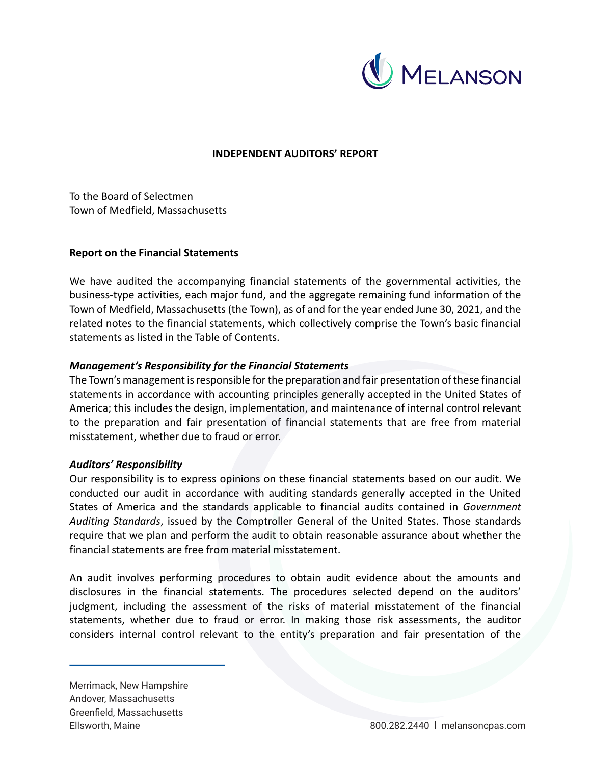

# **INDEPENDENT AUDITORS' REPORT**

To the Board of Selectmen Town of Medfield, Massachusetts

## **Report on the Financial Statements**

We have audited the accompanying financial statements of the governmental activities, the business‐type activities, each major fund, and the aggregate remaining fund information of the Town of Medfield, Massachusetts (the Town), as of and for the year ended June 30, 2021, and the related notes to the financial statements, which collectively comprise the Town's basic financial statements as listed in the Table of Contents.

## *Management's Responsibility for the Financial Statements*

The Town's management is responsible for the preparation and fair presentation of these financial statements in accordance with accounting principles generally accepted in the United States of America; this includes the design, implementation, and maintenance of internal control relevant to the preparation and fair presentation of financial statements that are free from material misstatement, whether due to fraud or error.

#### *Auditors' Responsibility*

Our responsibility is to express opinions on these financial statements based on our audit. We conducted our audit in accordance with auditing standards generally accepted in the United States of America and the standards applicable to financial audits contained in *Government Auditing Standards*, issued by the Comptroller General of the United States. Those standards require that we plan and perform the audit to obtain reasonable assurance about whether the financial statements are free from material misstatement.

An audit involves performing procedures to obtain audit evidence about the amounts and disclosures in the financial statements. The procedures selected depend on the auditors' judgment, including the assessment of the risks of material misstatement of the financial statements, whether due to fraud or error. In making those risk assessments, the auditor considers internal control relevant to the entity's preparation and fair presentation of the

Merrimack, New Hampshire Andover, Massachusetts Greenfield, Massachusetts Ellsworth, Maine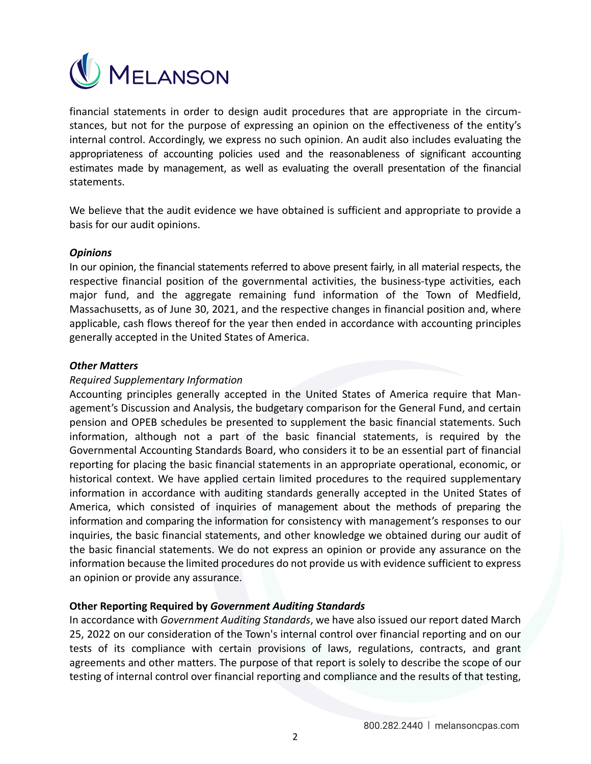

financial statements in order to design audit procedures that are appropriate in the circumstances, but not for the purpose of expressing an opinion on the effectiveness of the entity's internal control. Accordingly, we express no such opinion. An audit also includes evaluating the appropriateness of accounting policies used and the reasonableness of significant accounting estimates made by management, as well as evaluating the overall presentation of the financial statements.

We believe that the audit evidence we have obtained is sufficient and appropriate to provide a basis for our audit opinions.

## *Opinions*

In our opinion, the financial statements referred to above present fairly, in all material respects, the respective financial position of the governmental activities, the business-type activities, each major fund, and the aggregate remaining fund information of the Town of Medfield, Massachusetts, as of June 30, 2021, and the respective changes in financial position and, where applicable, cash flows thereof for the year then ended in accordance with accounting principles generally accepted in the United States of America.

## *Other Matters*

## *Required Supplementary Information*

Accounting principles generally accepted in the United States of America require that Man‐ agement's Discussion and Analysis, the budgetary comparison for the General Fund, and certain pension and OPEB schedules be presented to supplement the basic financial statements. Such information, although not a part of the basic financial statements, is required by the Governmental Accounting Standards Board, who considers it to be an essential part of financial reporting for placing the basic financial statements in an appropriate operational, economic, or historical context. We have applied certain limited procedures to the required supplementary information in accordance with auditing standards generally accepted in the United States of America, which consisted of inquiries of management about the methods of preparing the information and comparing the information for consistency with management's responses to our inquiries, the basic financial statements, and other knowledge we obtained during our audit of the basic financial statements. We do not express an opinion or provide any assurance on the information because the limited procedures do not provide us with evidence sufficient to express an opinion or provide any assurance.

# **Other Reporting Required by** *Government Auditing Standards*

In accordance with *Government Auditing Standards*, we have also issued our report dated March 25, 2022 on our consideration of the Town's internal control over financial reporting and on our tests of its compliance with certain provisions of laws, regulations, contracts, and grant agreements and other matters. The purpose of that report is solely to describe the scope of our testing of internal control over financial reporting and compliance and the results of that testing,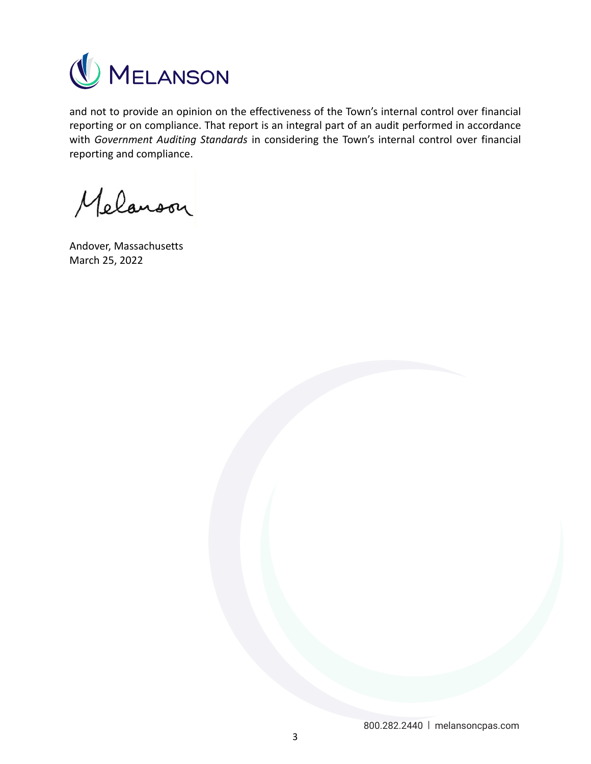

and not to provide an opinion on the effectiveness of the Town's internal control over financial reporting or on compliance. That report is an integral part of an audit performed in accordance with *Government Auditing Standards* in considering the Town's internal control over financial reporting and compliance.

Melanoon

Andover, Massachusetts March 25, 2022

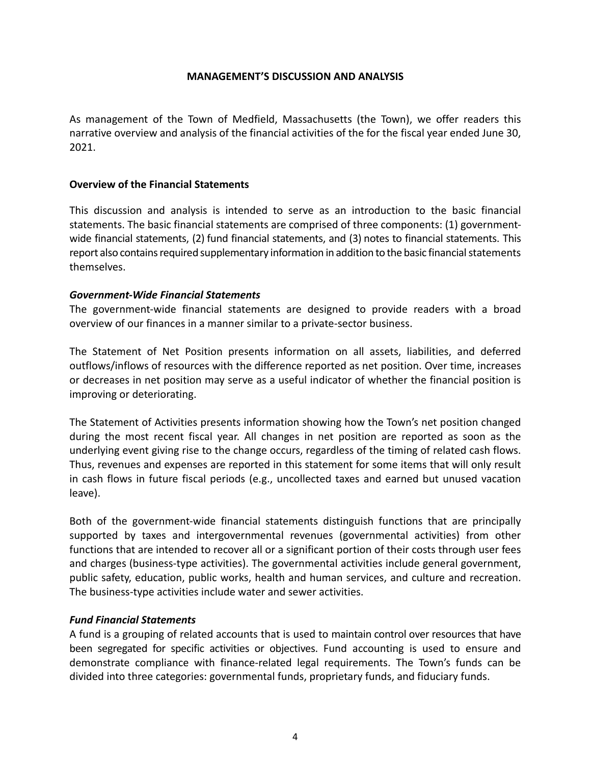# **MANAGEMENT'S DISCUSSION AND ANALYSIS**

As management of the Town of Medfield, Massachusetts (the Town), we offer readers this narrative overview and analysis of the financial activities of the for the fiscal year ended June 30, 2021.

# **Overview of the Financial Statements**

This discussion and analysis is intended to serve as an introduction to the basic financial statements. The basic financial statements are comprised of three components: (1) government‐ wide financial statements, (2) fund financial statements, and (3) notes to financial statements. This report also contains required supplementary information in addition to the basic financial statements themselves.

# *Government‐Wide Financial Statements*

The government-wide financial statements are designed to provide readers with a broad overview of our finances in a manner similar to a private‐sector business.

The Statement of Net Position presents information on all assets, liabilities, and deferred outflows/inflows of resources with the difference reported as net position. Over time, increases or decreases in net position may serve as a useful indicator of whether the financial position is improving or deteriorating.

The Statement of Activities presents information showing how the Town's net position changed during the most recent fiscal year. All changes in net position are reported as soon as the underlying event giving rise to the change occurs, regardless of the timing of related cash flows. Thus, revenues and expenses are reported in this statement for some items that will only result in cash flows in future fiscal periods (e.g., uncollected taxes and earned but unused vacation leave).

Both of the government-wide financial statements distinguish functions that are principally supported by taxes and intergovernmental revenues (governmental activities) from other functions that are intended to recover all or a significant portion of their costs through user fees and charges (business‐type activities). The governmental activities include general government, public safety, education, public works, health and human services, and culture and recreation. The business‐type activities include water and sewer activities.

# *Fund Financial Statements*

A fund is a grouping of related accounts that is used to maintain control over resources that have been segregated for specific activities or objectives. Fund accounting is used to ensure and demonstrate compliance with finance‐related legal requirements. The Town's funds can be divided into three categories: governmental funds, proprietary funds, and fiduciary funds.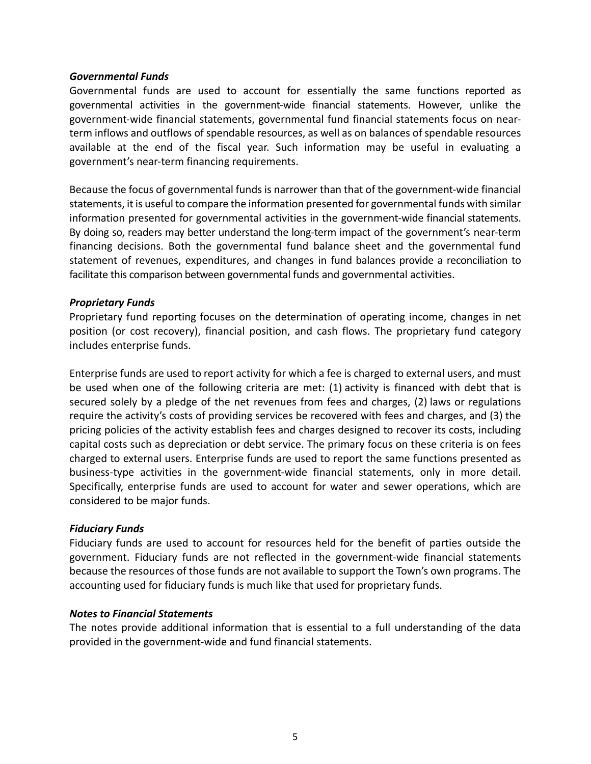## *Governmental Funds*

Governmental funds are used to account for essentially the same functions reported as governmental activities in the government-wide financial statements. However, unlike the government‐wide financial statements, governmental fund financial statements focus on near‐ term inflows and outflows of spendable resources, as well as on balances of spendable resources available at the end of the fiscal year. Such information may be useful in evaluating a government's near‐term financing requirements.

Because the focus of governmental funds is narrower than that of the government-wide financial statements, it is useful to compare the information presented for governmental funds with similar information presented for governmental activities in the government‐wide financial statements. By doing so, readers may better understand the long-term impact of the government's near-term financing decisions. Both the governmental fund balance sheet and the governmental fund statement of revenues, expenditures, and changes in fund balances provide a reconciliation to facilitate this comparison between governmental funds and governmental activities.

# *Proprietary Funds*

Proprietary fund reporting focuses on the determination of operating income, changes in net position (or cost recovery), financial position, and cash flows. The proprietary fund category includes enterprise funds.

Enterprise funds are used to report activity for which a fee is charged to external users, and must be used when one of the following criteria are met: (1) activity is financed with debt that is secured solely by a pledge of the net revenues from fees and charges, (2) laws or regulations require the activity's costs of providing services be recovered with fees and charges, and (3) the pricing policies of the activity establish fees and charges designed to recover its costs, including capital costs such as depreciation or debt service. The primary focus on these criteria is on fees charged to external users. Enterprise funds are used to report the same functions presented as business-type activities in the government-wide financial statements, only in more detail. Specifically, enterprise funds are used to account for water and sewer operations, which are considered to be major funds.

# *Fiduciary Funds*

Fiduciary funds are used to account for resources held for the benefit of parties outside the government. Fiduciary funds are not reflected in the government-wide financial statements because the resources of those funds are not available to support the Town's own programs. The accounting used for fiduciary funds is much like that used for proprietary funds.

# *Notes to Financial Statements*

The notes provide additional information that is essential to a full understanding of the data provided in the government‐wide and fund financial statements.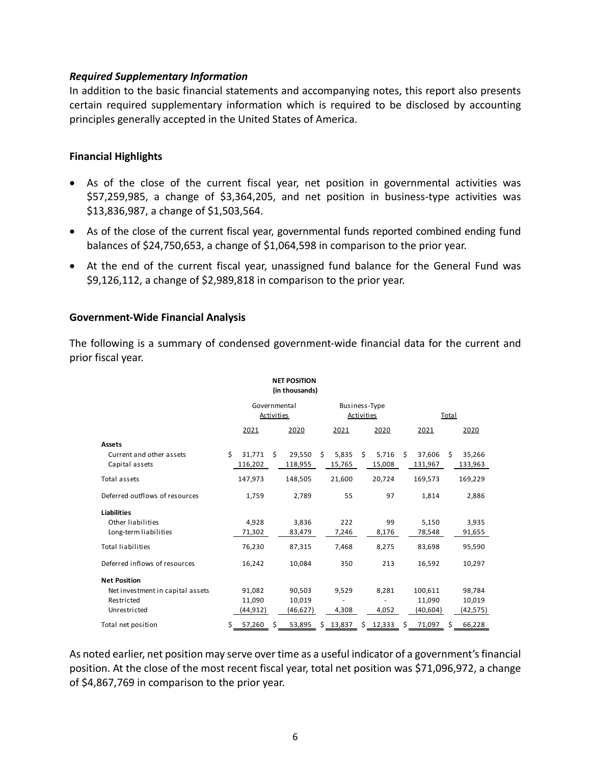# *Required Supplementary Information*

In addition to the basic financial statements and accompanying notes, this report also presents certain required supplementary information which is required to be disclosed by accounting principles generally accepted in the United States of America.

# **Financial Highlights**

- As of the close of the current fiscal year, net position in governmental activities was \$57,259,985, a change of \$3,364,205, and net position in business-type activities was \$13,836,987, a change of \$1,503,564.
- As of the close of the current fiscal year, governmental funds reported combined ending fund balances of \$24,750,653, a change of \$1,064,598 in comparison to the prior year.
- At the end of the current fiscal year, unassigned fund balance for the General Fund was \$9,126,112, a change of \$2,989,818 in comparison to the prior year.

# **Government‐Wide Financial Analysis**

The following is a summary of condensed government‐wide financial data for the current and prior fiscal year.

|                                  |    |              |                   | <b>NET POSITION</b><br>(in thousands) |                                    |          |    |          |       |           |    |           |
|----------------------------------|----|--------------|-------------------|---------------------------------------|------------------------------------|----------|----|----------|-------|-----------|----|-----------|
|                                  |    | Governmental |                   |                                       | Business-Type<br><b>Activities</b> |          |    |          |       |           |    |           |
|                                  |    |              | <b>Activities</b> |                                       |                                    |          |    |          | Total |           |    |           |
|                                  |    | 2021         |                   | 2020                                  |                                    | 2021     |    | 2020     |       | 2021      |    | 2020      |
| <b>Assets</b>                    |    |              |                   |                                       |                                    |          |    |          |       |           |    |           |
| Current and other assets         | Ś. | 31,771       | Ŝ.                | 29,550                                | Ŝ.                                 | 5,835    | Ŝ. | 5,716    | Ŝ.    | 37,606    | Ŝ. | 35,266    |
| Capital assets                   |    | 116,202      |                   | 118,955                               |                                    | 15,765   |    | 15,008   |       | 131,967   |    | 133,963   |
| Total assets                     |    | 147,973      |                   | 148,505                               |                                    | 21,600   |    | 20,724   |       | 169,573   |    | 169,229   |
| Deferred outflows of resources   |    | 1,759        |                   | 2,789                                 |                                    | 55       |    | 97       |       | 1.814     |    | 2,886     |
| <b>Liabilities</b>               |    |              |                   |                                       |                                    |          |    |          |       |           |    |           |
| Other liabilities                |    | 4,928        |                   | 3,836                                 |                                    | 222      |    | 99       |       | 5,150     |    | 3,935     |
| Long-term liabilities            |    | 71,302       |                   | 83,479                                |                                    | 7,246    |    | 8,176    |       | 78,548    |    | 91,655    |
| <b>Total liabilities</b>         |    | 76,230       |                   | 87,315                                |                                    | 7,468    |    | 8,275    |       | 83,698    |    | 95,590    |
| Deferred inflows of resources    |    | 16,242       |                   | 10,084                                |                                    | 350      |    | 213      |       | 16,592    |    | 10,297    |
| <b>Net Position</b>              |    |              |                   |                                       |                                    |          |    |          |       |           |    |           |
| Net investment in capital assets |    | 91.082       |                   | 90,503                                |                                    | 9,529    |    | 8,281    |       | 100.611   |    | 98,784    |
| Restricted                       |    | 11,090       |                   | 10,019                                |                                    |          |    |          |       | 11,090    |    | 10,019    |
| Unrestricted                     |    | (44,912)     |                   | (46,627)                              |                                    | 4,308    |    | 4,052    |       | (40, 604) |    | (42, 575) |
| Total net position               | \$ | 57,260       | Ś                 | 53,895                                |                                    | \$13,837 |    | \$12,333 | Ś.    | 71,097    | \$ | 66,228    |

As noted earlier, net position may serve over time as a useful indicator of a government's financial position. At the close of the most recent fiscal year, total net position was \$71,096,972, a change of \$4,867,769 in comparison to the prior year.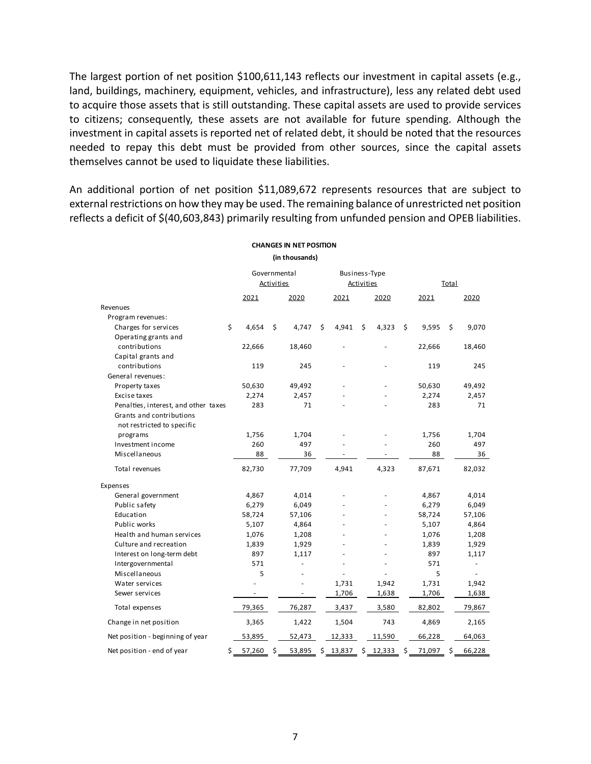The largest portion of net position \$100,611,143 reflects our investment in capital assets (e.g., land, buildings, machinery, equipment, vehicles, and infrastructure), less any related debt used to acquire those assets that is still outstanding. These capital assets are used to provide services to citizens; consequently, these assets are not available for future spending. Although the investment in capital assets is reported net of related debt, it should be noted that the resources needed to repay this debt must be provided from other sources, since the capital assets themselves cannot be used to liquidate these liabilities.

An additional portion of net position \$11,089,672 represents resources that are subject to external restrictions on how they may be used. The remaining balance of unrestricted net position reflects a deficit of \$(40,603,843) primarily resulting from unfunded pension and OPEB liabilities.

| (in thousands)                       |              |                   |        |    |                                    |    |        |         |        |    |        |  |
|--------------------------------------|--------------|-------------------|--------|----|------------------------------------|----|--------|---------|--------|----|--------|--|
|                                      | Governmental | <b>Activities</b> |        |    | Business-Type<br><b>Activities</b> |    |        |         | Total  |    |        |  |
|                                      | 2021         |                   | 2020   |    | 2021                               |    | 2020   |         | 2021   |    | 2020   |  |
| Revenues                             |              |                   |        |    |                                    |    |        |         |        |    |        |  |
| Program revenues:                    |              |                   |        |    |                                    |    |        |         |        |    |        |  |
| \$<br>Charges for services           | 4,654        | \$                | 4,747  | \$ | 4,941                              | \$ | 4,323  | $\zeta$ | 9,595  | \$ | 9,070  |  |
| Operating grants and                 |              |                   |        |    |                                    |    |        |         |        |    |        |  |
| contributions                        | 22,666       |                   | 18,460 |    |                                    |    |        |         | 22,666 |    | 18,460 |  |
| Capital grants and                   |              |                   |        |    |                                    |    |        |         |        |    |        |  |
| contributions                        | 119          |                   | 245    |    |                                    |    |        |         | 119    |    | 245    |  |
| General revenues:                    |              |                   |        |    |                                    |    |        |         |        |    |        |  |
| Property taxes                       | 50,630       |                   | 49,492 |    |                                    |    |        |         | 50,630 |    | 49,492 |  |
| Excise taxes                         | 2,274        |                   | 2,457  |    |                                    |    |        |         | 2,274  |    | 2,457  |  |
| Penalties, interest, and other taxes | 283          |                   | 71     |    |                                    |    |        |         | 283    |    | 71     |  |
| Grants and contributions             |              |                   |        |    |                                    |    |        |         |        |    |        |  |
| not restricted to specific           |              |                   |        |    |                                    |    |        |         |        |    |        |  |
| programs                             | 1,756        |                   | 1,704  |    |                                    |    |        |         | 1,756  |    | 1,704  |  |
| Investment income                    | 260          |                   | 497    |    |                                    |    |        |         | 260    |    | 497    |  |
| Miscellaneous                        | 88           |                   | 36     |    | $\overline{\phantom{a}}$           |    |        |         | 88     |    | 36     |  |
| Total revenues                       | 82,730       |                   | 77,709 |    | 4,941                              |    | 4,323  |         | 87,671 |    | 82,032 |  |
| Expenses                             |              |                   |        |    |                                    |    |        |         |        |    |        |  |
| General government                   | 4,867        |                   | 4,014  |    |                                    |    |        |         | 4,867  |    | 4,014  |  |
| Public safety                        | 6,279        |                   | 6,049  |    |                                    |    |        |         | 6,279  |    | 6,049  |  |
| Education                            | 58,724       |                   | 57,106 |    |                                    |    |        |         | 58,724 |    | 57,106 |  |
| Public works                         | 5,107        |                   | 4,864  |    |                                    |    |        |         | 5,107  |    | 4,864  |  |
| Health and human services            | 1,076        |                   | 1,208  |    |                                    |    |        |         | 1,076  |    | 1,208  |  |
| Culture and recreation               | 1,839        |                   | 1,929  |    |                                    |    |        |         | 1,839  |    | 1,929  |  |
| Interest on long-term debt           | 897          |                   | 1,117  |    |                                    |    |        |         | 897    |    | 1,117  |  |
| Intergovernmental                    | 571          |                   | ÷,     |    |                                    |    |        |         | 571    |    | ä,     |  |
| Miscellaneous                        | 5            |                   |        |    |                                    |    |        |         | 5      |    |        |  |
| Water services                       |              |                   |        |    | 1,731                              |    | 1,942  |         | 1,731  |    | 1,942  |  |
| Sewer services                       | ٠            |                   |        |    | 1,706                              |    | 1,638  |         | 1,706  |    | 1,638  |  |
| Total expenses                       | 79,365       |                   | 76,287 |    | 3,437                              |    | 3,580  |         | 82,802 |    | 79,867 |  |
| Change in net position               | 3,365        |                   | 1,422  |    | 1,504                              |    | 743    |         | 4,869  |    | 2,165  |  |
| Net position - beginning of year     | 53,895       |                   | 52,473 |    | 12,333                             |    | 11,590 |         | 66,228 |    | 64,063 |  |
| \$<br>Net position - end of year     | 57,260       | \$                | 53,895 | \$ | 13,837                             | \$ | 12,333 | \$      | 71,097 | \$ | 66,228 |  |

**CHANGES IN NET POSITION**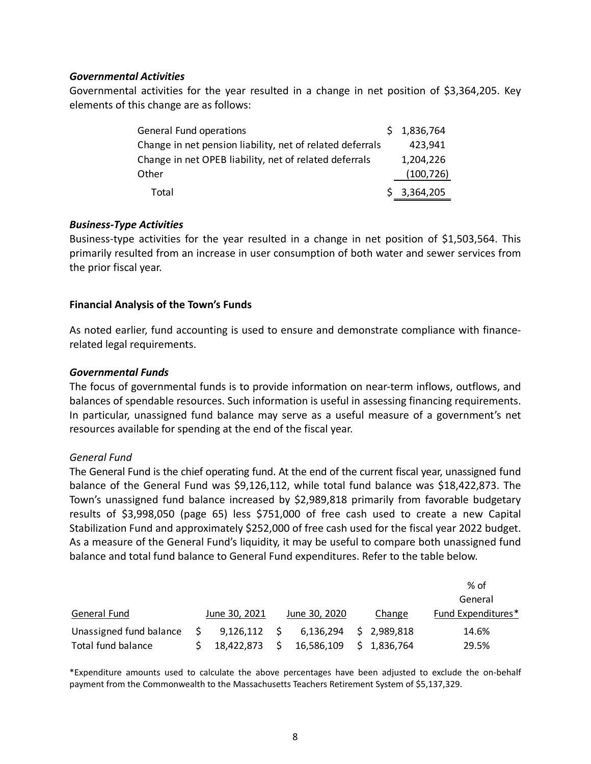# *Governmental Activities*

Governmental activities for the year resulted in a change in net position of \$3,364,205. Key elements of this change are as follows:

| <b>General Fund operations</b>                            | \$1,836,764 |
|-----------------------------------------------------------|-------------|
| Change in net pension liability, net of related deferrals | 423,941     |
| Change in net OPEB liability, net of related deferrals    | 1,204,226   |
| Other                                                     | (100, 726)  |
| Total                                                     | \$3,364,205 |

# *Business‐Type Activities*

Business-type activities for the year resulted in a change in net position of \$1,503,564. This primarily resulted from an increase in user consumption of both water and sewer services from the prior fiscal year.

# **Financial Analysis of the Town's Funds**

As noted earlier, fund accounting is used to ensure and demonstrate compliance with finance‐ related legal requirements.

# *Governmental Funds*

The focus of governmental funds is to provide information on near-term inflows, outflows, and balances of spendable resources. Such information is useful in assessing financing requirements. In particular, unassigned fund balance may serve as a useful measure of a government's net resources available for spending at the end of the fiscal year.

## *General Fund*

The General Fund is the chief operating fund. At the end of the current fiscal year, unassigned fund balance of the General Fund was \$9,126,112, while total fund balance was \$18,422,873. The Town's unassigned fund balance increased by \$2,989,818 primarily from favorable budgetary results of \$3,998,050 (page 65) less \$751,000 of free cash used to create a new Capital Stabilization Fund and approximately \$252,000 of free cash used for the fiscal year 2022 budget. As a measure of the General Fund's liquidity, it may be useful to compare both unassigned fund balance and total fund balance to General Fund expenditures. Refer to the table below.

|                         |                |               |    |             | % of               |
|-------------------------|----------------|---------------|----|-------------|--------------------|
|                         |                |               |    |             | General            |
| General Fund            | June 30, 2021  | June 30, 2020 |    | Change      | Fund Expenditures* |
| Unassigned fund balance | $9,126,112$ \$ | 6,136,294     |    | \$2,989,818 | 14.6%              |
| Total fund balance      | 18,422,873     | 16,586,109    | S. | 1.836.764   | 29.5%              |

\*Expenditure amounts used to calculate the above percentages have been adjusted to exclude the on‐behalf payment from the Commonwealth to the Massachusetts Teachers Retirement System of \$5,137,329.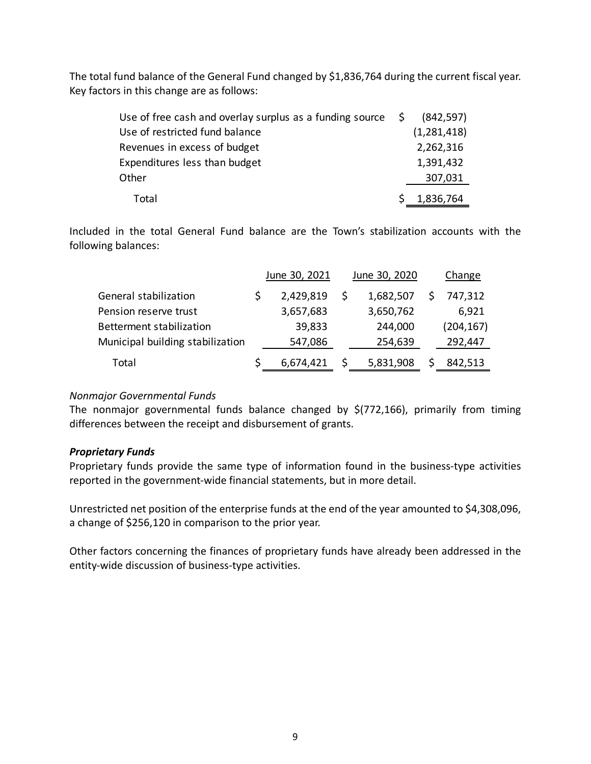The total fund balance of the General Fund changed by \$1,836,764 during the current fiscal year. Key factors in this change are as follows:

| Use of free cash and overlay surplus as a funding source $\oint$ | (842, 597)  |
|------------------------------------------------------------------|-------------|
| Use of restricted fund balance                                   | (1,281,418) |
| Revenues in excess of budget                                     | 2,262,316   |
| Expenditures less than budget                                    | 1,391,432   |
| Other                                                            | 307,031     |
| Total                                                            | 1,836,764   |

Included in the total General Fund balance are the Town's stabilization accounts with the following balances:

|                                  | June 30, 2021 | June 30, 2020 | Change     |
|----------------------------------|---------------|---------------|------------|
| General stabilization            | 2,429,819     | 1,682,507     | 747,312    |
| Pension reserve trust            | 3,657,683     | 3,650,762     | 6,921      |
| Betterment stabilization         | 39,833        | 244,000       | (204, 167) |
| Municipal building stabilization | 547,086       | 254,639       | 292,447    |
| Total                            | 6,674,421     | 5,831,908     | 842,513    |

# *Nonmajor Governmental Funds*

The nonmajor governmental funds balance changed by \$(772,166), primarily from timing differences between the receipt and disbursement of grants.

# *Proprietary Funds*

Proprietary funds provide the same type of information found in the business-type activities reported in the government-wide financial statements, but in more detail.

Unrestricted net position of the enterprise funds at the end of the year amounted to \$4,308,096, a change of \$256,120 in comparison to the prior year.

Other factors concerning the finances of proprietary funds have already been addressed in the entity-wide discussion of business-type activities.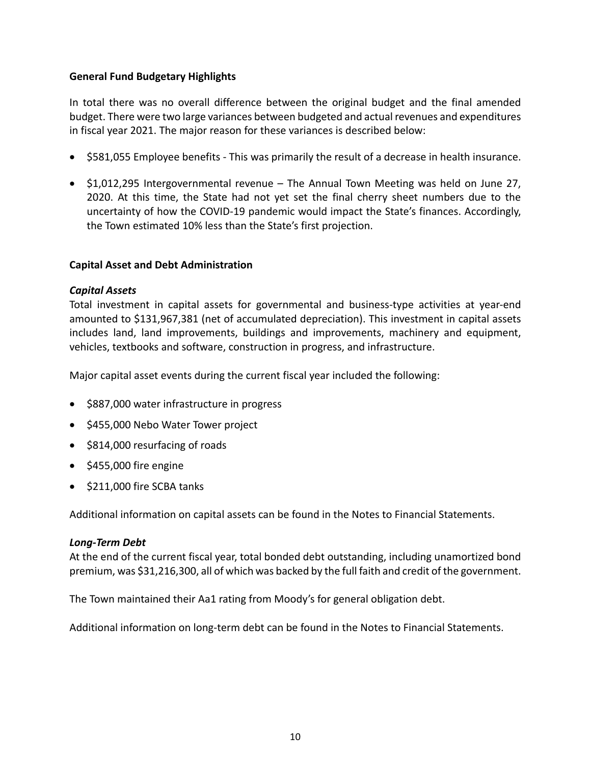# **General Fund Budgetary Highlights**

In total there was no overall difference between the original budget and the final amended budget. There were two large variances between budgeted and actual revenues and expenditures in fiscal year 2021. The major reason for these variances is described below:

- \$581,055 Employee benefits This was primarily the result of a decrease in health insurance.
- \$1,012,295 Intergovernmental revenue The Annual Town Meeting was held on June 27, 2020. At this time, the State had not yet set the final cherry sheet numbers due to the uncertainty of how the COVID‐19 pandemic would impact the State's finances. Accordingly, the Town estimated 10% less than the State's first projection.

# **Capital Asset and Debt Administration**

# *Capital Assets*

Total investment in capital assets for governmental and business‐type activities at year‐end amounted to \$131,967,381 (net of accumulated depreciation). This investment in capital assets includes land, land improvements, buildings and improvements, machinery and equipment, vehicles, textbooks and software, construction in progress, and infrastructure.

Major capital asset events during the current fiscal year included the following:

- \$887,000 water infrastructure in progress
- \$455,000 Nebo Water Tower project
- \$814,000 resurfacing of roads
- $\bullet$  \$455,000 fire engine
- \$211,000 fire SCBA tanks

Additional information on capital assets can be found in the Notes to Financial Statements.

## *Long‐Term Debt*

At the end of the current fiscal year, total bonded debt outstanding, including unamortized bond premium, was \$31,216,300, all of which was backed by the full faith and credit of the government.

The Town maintained their Aa1 rating from Moody's for general obligation debt.

Additional information on long‐term debt can be found in the Notes to Financial Statements.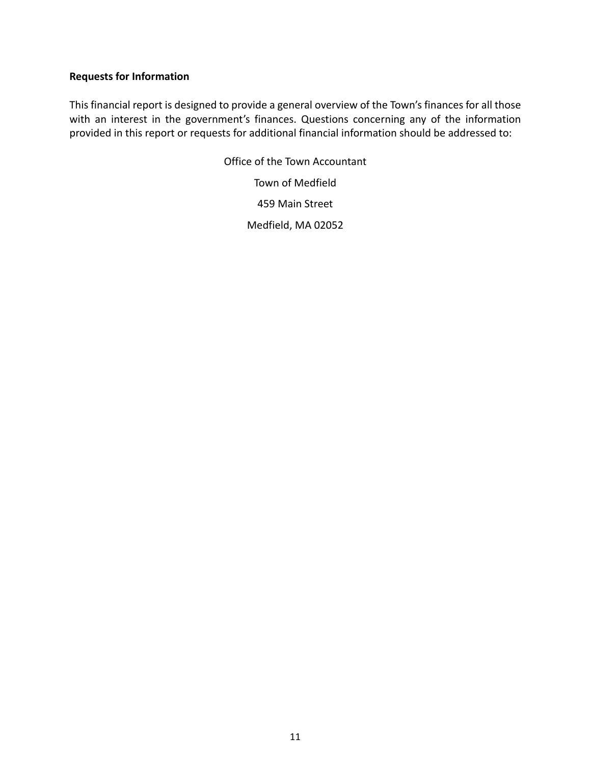# **Requests for Information**

This financial report is designed to provide a general overview of the Town's finances for all those with an interest in the government's finances. Questions concerning any of the information provided in this report or requests for additional financial information should be addressed to:

> Office of the Town Accountant Town of Medfield 459 Main Street Medfield, MA 02052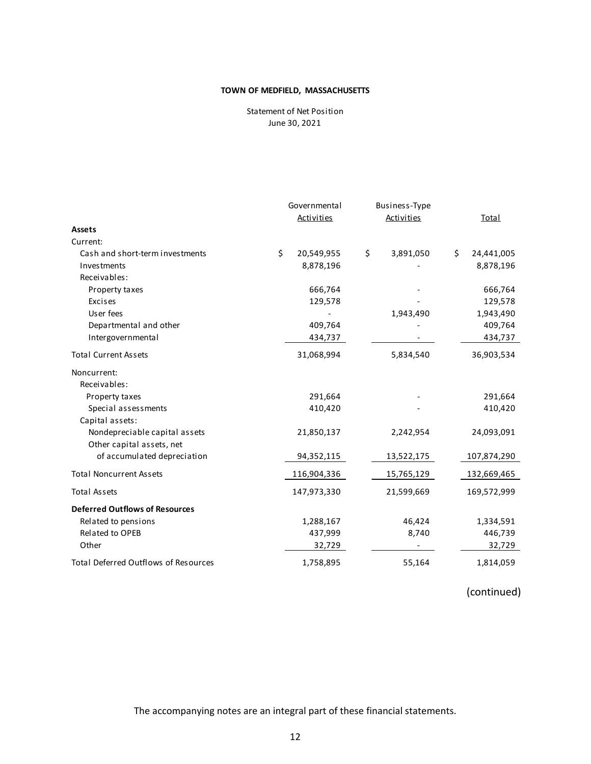Statement of Net Position June 30, 2021

|                                             | Governmental |                   |    | Business-Type     |    |              |
|---------------------------------------------|--------------|-------------------|----|-------------------|----|--------------|
|                                             |              | <b>Activities</b> |    | <b>Activities</b> |    | <b>Total</b> |
| <b>Assets</b>                               |              |                   |    |                   |    |              |
| Current:                                    |              |                   |    |                   |    |              |
| Cash and short-term investments             | \$           | 20,549,955        | \$ | 3,891,050         | Ś. | 24,441,005   |
| Investments                                 |              | 8,878,196         |    |                   |    | 8,878,196    |
| Receivables:                                |              |                   |    |                   |    |              |
| Property taxes                              |              | 666,764           |    |                   |    | 666,764      |
| Excises                                     |              | 129,578           |    |                   |    | 129,578      |
| User fees                                   |              |                   |    | 1,943,490         |    | 1,943,490    |
| Departmental and other                      |              | 409,764           |    |                   |    | 409,764      |
| Intergovernmental                           |              | 434,737           |    |                   |    | 434,737      |
| <b>Total Current Assets</b>                 |              | 31,068,994        |    | 5,834,540         |    | 36,903,534   |
| Noncurrent:                                 |              |                   |    |                   |    |              |
| Receivables:                                |              |                   |    |                   |    |              |
| Property taxes                              |              | 291,664           |    |                   |    | 291,664      |
| Special assessments                         |              | 410,420           |    |                   |    | 410,420      |
| Capital assets:                             |              |                   |    |                   |    |              |
| Nondepreciable capital assets               |              | 21,850,137        |    | 2,242,954         |    | 24,093,091   |
| Other capital assets, net                   |              |                   |    |                   |    |              |
| of accumulated depreciation                 |              | 94,352,115        |    | 13,522,175        |    | 107,874,290  |
| <b>Total Noncurrent Assets</b>              |              | 116,904,336       |    | 15,765,129        |    | 132,669,465  |
| <b>Total Assets</b>                         |              | 147,973,330       |    | 21,599,669        |    | 169,572,999  |
| <b>Deferred Outflows of Resources</b>       |              |                   |    |                   |    |              |
| Related to pensions                         |              | 1,288,167         |    | 46,424            |    | 1,334,591    |
| Related to OPEB                             |              | 437,999           |    | 8,740             |    | 446,739      |
| Other                                       |              | 32,729            |    |                   |    | 32,729       |
| <b>Total Deferred Outflows of Resources</b> |              | 1,758,895         |    | 55,164            |    | 1,814,059    |

(continued)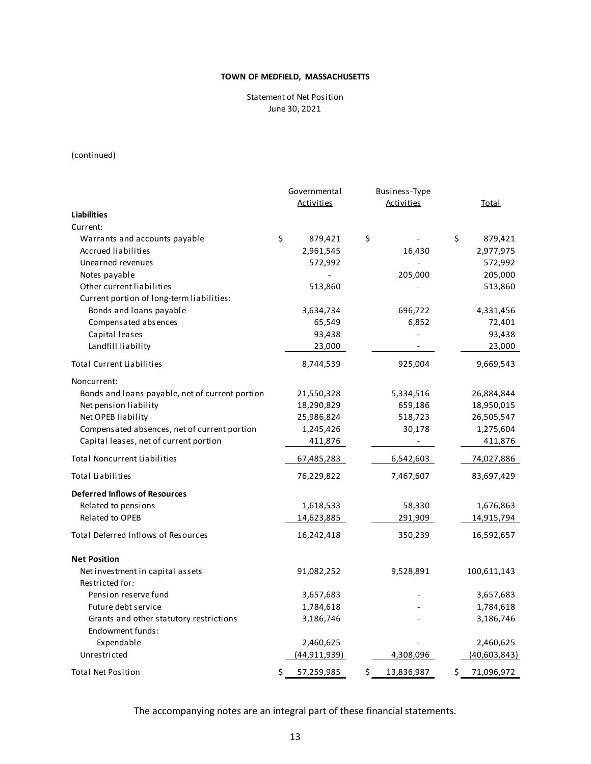Statement of Net Position June 30, 2021

(continued)

|                                                 | Governmental     | Business-Type    |                  |
|-------------------------------------------------|------------------|------------------|------------------|
|                                                 | Activities       | Activities       | Total            |
| <b>Liabilities</b>                              |                  |                  |                  |
| Current:                                        |                  |                  |                  |
| Warrants and accounts payable                   | \$<br>879,421    | \$               | \$<br>879,421    |
| Accrued liabilities                             | 2,961,545        | 16,430           | 2,977,975        |
| Unearned revenues                               | 572,992          |                  | 572,992          |
| Notes payable                                   |                  | 205,000          | 205,000          |
| Other current liabilities                       | 513,860          |                  | 513,860          |
| Current portion of long-term liabilities:       |                  |                  |                  |
| Bonds and loans payable                         | 3,634,734        | 696,722          | 4,331,456        |
| Compensated absences                            | 65,549           | 6,852            | 72,401           |
| Capital leases                                  | 93,438           |                  | 93,438           |
| Landfill liability                              | 23,000           |                  | 23,000           |
| <b>Total Current Liabilities</b>                | 8,744,539        | 925,004          | 9,669,543        |
| Noncurrent:                                     |                  |                  |                  |
| Bonds and loans payable, net of current portion | 21,550,328       | 5,334,516        | 26,884,844       |
| Net pension liability                           | 18,290,829       | 659,186          | 18,950,015       |
| Net OPEB liability                              | 25,986,824       | 518,723          | 26,505,547       |
| Compensated absences, net of current portion    | 1,245,426        | 30,178           | 1,275,604        |
| Capital leases, net of current portion          | 411,876          |                  | 411,876          |
| <b>Total Noncurrent Liabilities</b>             | 67,485,283       | 6,542,603        | 74,027,886       |
| <b>Total Liabilities</b>                        | 76,229,822       | 7,467,607        | 83,697,429       |
| <b>Deferred Inflows of Resources</b>            |                  |                  |                  |
| Related to pensions                             | 1,618,533        | 58,330           | 1,676,863        |
| Related to OPEB                                 | 14,623,885       | 291,909          | 14,915,794       |
| <b>Total Deferred Inflows of Resources</b>      | 16,242,418       | 350,239          | 16,592,657       |
| <b>Net Position</b>                             |                  |                  |                  |
| Net investment in capital assets                | 91,082,252       | 9,528,891        | 100,611,143      |
| Restricted for:                                 |                  |                  |                  |
| Pension reserve fund                            | 3,657,683        |                  | 3,657,683        |
| Future debt service                             | 1,784,618        |                  | 1,784,618        |
| Grants and other statutory restrictions         | 3,186,746        |                  | 3,186,746        |
| Endowment funds:                                |                  |                  |                  |
| Expendable                                      | 2,460,625        |                  | 2,460,625        |
| Unrestricted                                    | (44, 911, 939)   | 4,308,096        | (40,603,843)     |
| <b>Total Net Position</b>                       | \$<br>57,259,985 | \$<br>13,836,987 | \$<br>71,096,972 |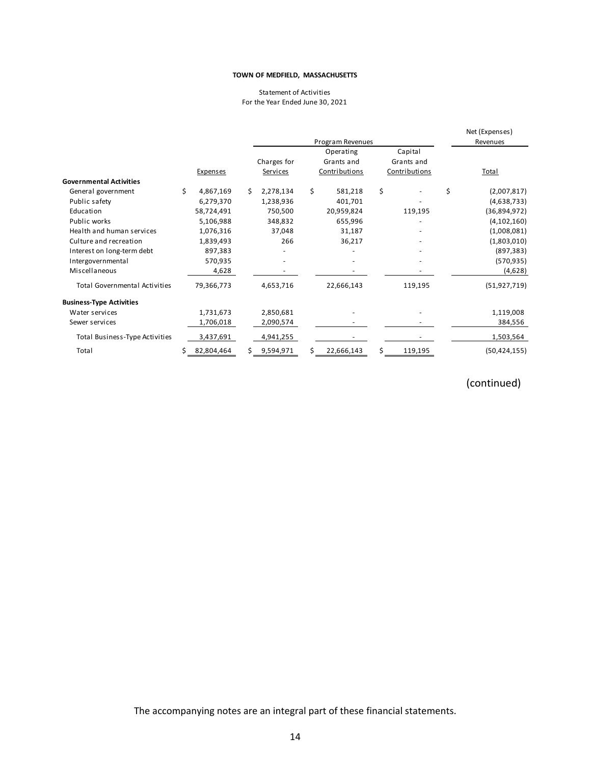#### Statement of Activities For the Year Ended June 30, 2021

|                                      |   |            |    |                 |    | Program Revenues |               | Net (Expenses)<br>Revenues |
|--------------------------------------|---|------------|----|-----------------|----|------------------|---------------|----------------------------|
|                                      |   |            |    |                 |    | Operating        | Capital       |                            |
|                                      |   |            |    | Charges for     |    | Grants and       | Grants and    |                            |
|                                      |   | Expenses   |    | <b>Services</b> |    | Contributions    | Contributions | Total                      |
| <b>Governmental Activities</b>       |   |            |    |                 |    |                  |               |                            |
| General government                   | Ś | 4,867,169  | Ś. | 2,278,134       | \$ | 581,218          | \$            | \$<br>(2,007,817)          |
| Public safety                        |   | 6,279,370  |    | 1,238,936       |    | 401,701          |               | (4,638,733)                |
| Education                            |   | 58,724,491 |    | 750,500         |    | 20,959,824       | 119,195       | (36,894,972)               |
| Public works                         |   | 5,106,988  |    | 348,832         |    | 655,996          |               | (4, 102, 160)              |
| Health and human services            |   | 1,076,316  |    | 37,048          |    | 31,187           |               | (1,008,081)                |
| Culture and recreation               |   | 1,839,493  |    | 266             |    | 36,217           |               | (1,803,010)                |
| Interest on long-term debt           |   | 897,383    |    |                 |    |                  |               | (897, 383)                 |
| Intergovernmental                    |   | 570,935    |    |                 |    |                  |               | (570, 935)                 |
| Miscellaneous                        |   | 4,628      |    |                 |    |                  |               | (4,628)                    |
| <b>Total Governmental Activities</b> |   | 79,366,773 |    | 4,653,716       |    | 22,666,143       | 119,195       | (51, 927, 719)             |
| <b>Business-Type Activities</b>      |   |            |    |                 |    |                  |               |                            |
| Water services                       |   | 1,731,673  |    | 2,850,681       |    |                  |               | 1,119,008                  |
| Sewer services                       |   | 1,706,018  |    | 2,090,574       |    |                  |               | 384,556                    |
| Total Business-Type Activities       |   | 3,437,691  |    | 4,941,255       |    |                  |               | 1,503,564                  |
| Total                                |   | 82,804,464 | S. | 9,594,971       | Ś. | 22,666,143       | 119,195       | (50, 424, 155)             |

# (continued)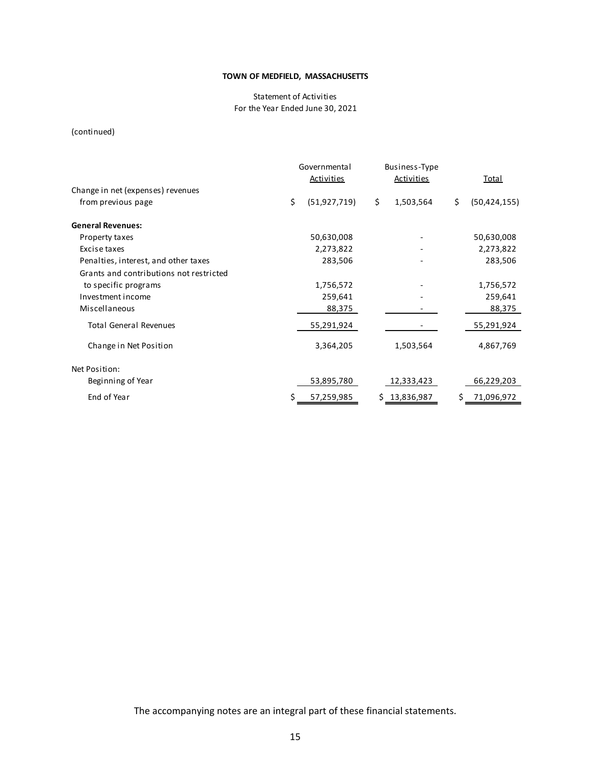#### Statement of Activities For the Year Ended June 30, 2021

(continued)

|                                         | Governmental<br><b>Activities</b> | Business-Type<br><b>Activities</b> |     | <b>Total</b>   |  |
|-----------------------------------------|-----------------------------------|------------------------------------|-----|----------------|--|
| Change in net (expenses) revenues       |                                   |                                    |     |                |  |
| from previous page                      | \$<br>(51, 927, 719)              | \$<br>1,503,564                    | \$  | (50, 424, 155) |  |
| <b>General Revenues:</b>                |                                   |                                    |     |                |  |
| Property taxes                          | 50,630,008                        |                                    |     | 50,630,008     |  |
| Excise taxes                            | 2,273,822                         |                                    |     | 2,273,822      |  |
| Penalties, interest, and other taxes    | 283,506                           |                                    |     | 283,506        |  |
| Grants and contributions not restricted |                                   |                                    |     |                |  |
| to specific programs                    | 1,756,572                         |                                    |     | 1,756,572      |  |
| Investment income                       | 259,641                           |                                    |     | 259,641        |  |
| Miscellaneous                           | 88,375                            |                                    |     | 88,375         |  |
| <b>Total General Revenues</b>           | 55,291,924                        |                                    |     | 55,291,924     |  |
| Change in Net Position                  | 3,364,205                         | 1,503,564                          |     | 4,867,769      |  |
| Net Position:                           |                                   |                                    |     |                |  |
| Beginning of Year                       | 53,895,780                        | 12,333,423                         |     | 66,229,203     |  |
| End of Year                             | \$<br>57,259,985                  | \$13,836,987                       | \$. | 71,096,972     |  |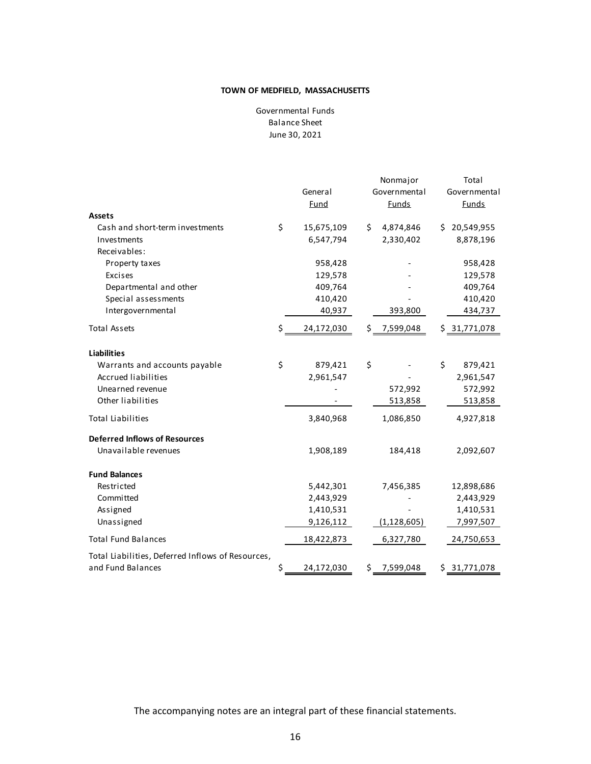Balance Sheet June 30, 2021 Governmental Funds

|                                                   | General<br>Fund  |    | Nonmajor<br>Governmental<br><b>Funds</b> |    | Total<br>Governmental<br><b>Funds</b> |
|---------------------------------------------------|------------------|----|------------------------------------------|----|---------------------------------------|
| Assets                                            |                  |    |                                          |    |                                       |
| Cash and short-term investments                   | \$<br>15,675,109 | Ś. | 4,874,846                                |    | \$20,549,955                          |
| Investments                                       | 6,547,794        |    | 2,330,402                                |    | 8,878,196                             |
| Receivables:                                      |                  |    |                                          |    |                                       |
| Property taxes                                    | 958,428          |    |                                          |    | 958,428                               |
| Excises                                           | 129,578          |    |                                          |    | 129,578                               |
| Departmental and other                            | 409,764          |    |                                          |    | 409,764                               |
| Special assessments                               | 410,420          |    |                                          |    | 410,420                               |
| Intergovernmental                                 | 40,937           |    | 393,800                                  |    | 434,737                               |
| <b>Total Assets</b>                               | \$<br>24,172,030 |    | \$ 7,599,048                             |    | \$31,771,078                          |
| <b>Liabilities</b>                                |                  |    |                                          |    |                                       |
| Warrants and accounts payable                     | \$<br>879,421    | \$ |                                          | \$ | 879,421                               |
| <b>Accrued liabilities</b>                        | 2,961,547        |    |                                          |    | 2,961,547                             |
| Unearned revenue                                  |                  |    | 572,992                                  |    | 572,992                               |
| Other liabilities                                 |                  |    | 513,858                                  |    | 513,858                               |
| <b>Total Liabilities</b>                          | 3,840,968        |    | 1,086,850                                |    | 4,927,818                             |
| <b>Deferred Inflows of Resources</b>              |                  |    |                                          |    |                                       |
| Unavailable revenues                              | 1,908,189        |    | 184,418                                  |    | 2,092,607                             |
| <b>Fund Balances</b>                              |                  |    |                                          |    |                                       |
| Restricted                                        | 5,442,301        |    | 7,456,385                                |    | 12,898,686                            |
| Committed                                         | 2,443,929        |    |                                          |    | 2,443,929                             |
| Assigned                                          | 1,410,531        |    |                                          |    | 1,410,531                             |
| Unassigned                                        | 9,126,112        |    | (1, 128, 605)                            |    | 7,997,507                             |
| <b>Total Fund Balances</b>                        | 18,422,873       |    | 6,327,780                                |    | 24,750,653                            |
| Total Liabilities, Deferred Inflows of Resources, |                  |    |                                          |    |                                       |
| and Fund Balances                                 | \$<br>24,172,030 | \$ | 7,599,048                                |    | \$31,771,078                          |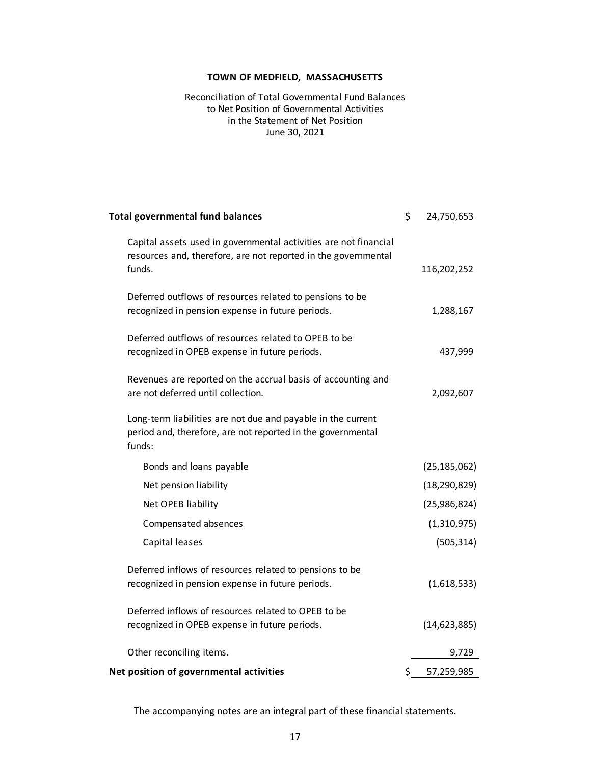Reconciliation of Total Governmental Fund Balances June 30, 2021 to Net Position of Governmental Activities in the Statement of Net Position

| <b>Total governmental fund balances</b>                                                                                                      | \$<br>24,750,653 |
|----------------------------------------------------------------------------------------------------------------------------------------------|------------------|
| Capital assets used in governmental activities are not financial<br>resources and, therefore, are not reported in the governmental<br>funds. | 116,202,252      |
|                                                                                                                                              |                  |
| Deferred outflows of resources related to pensions to be<br>recognized in pension expense in future periods.                                 | 1,288,167        |
| Deferred outflows of resources related to OPEB to be<br>recognized in OPEB expense in future periods.                                        | 437,999          |
| Revenues are reported on the accrual basis of accounting and<br>are not deferred until collection.                                           | 2,092,607        |
| Long-term liabilities are not due and payable in the current<br>period and, therefore, are not reported in the governmental<br>funds:        |                  |
| Bonds and loans payable                                                                                                                      | (25, 185, 062)   |
| Net pension liability                                                                                                                        | (18, 290, 829)   |
| Net OPEB liability                                                                                                                           | (25,986,824)     |
| Compensated absences                                                                                                                         | (1,310,975)      |
| Capital leases                                                                                                                               | (505, 314)       |
| Deferred inflows of resources related to pensions to be                                                                                      |                  |
| recognized in pension expense in future periods.                                                                                             | (1,618,533)      |
| Deferred inflows of resources related to OPEB to be                                                                                          |                  |
| recognized in OPEB expense in future periods.                                                                                                | (14, 623, 885)   |
| Other reconciling items.                                                                                                                     | 9,729            |
| Net position of governmental activities                                                                                                      | \$<br>57,259,985 |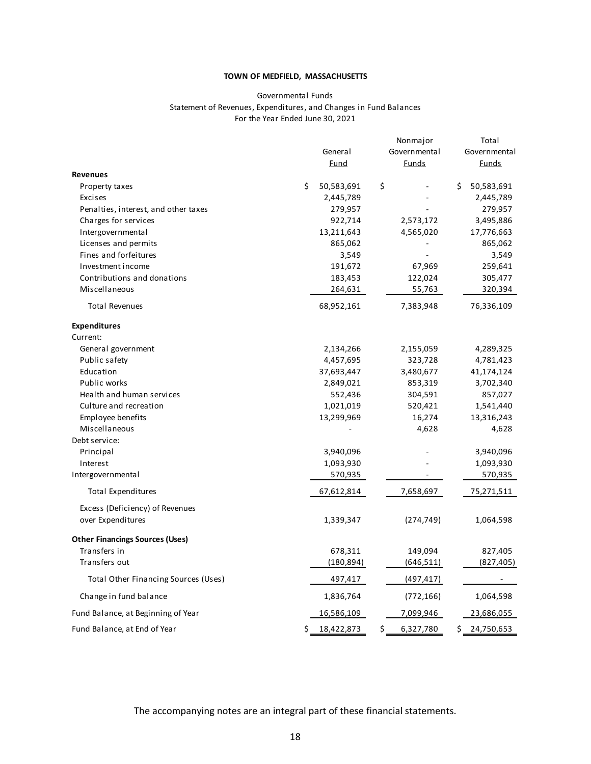#### Governmental Funds Statement of Revenues, Expenditures, and Changes in Fund Balances For the Year Ended June 30, 2021

|                                        | General<br><u>Fund</u> | Nonmajor<br>Governmental<br>Funds | Total<br>Governmental<br><b>Funds</b> |
|----------------------------------------|------------------------|-----------------------------------|---------------------------------------|
| <b>Revenues</b>                        |                        |                                   |                                       |
| Property taxes                         | \$<br>50,583,691       | \$                                | \$<br>50,583,691                      |
| Excises                                | 2,445,789              |                                   | 2,445,789                             |
| Penalties, interest, and other taxes   | 279,957                |                                   | 279,957                               |
| Charges for services                   | 922,714                | 2,573,172                         | 3,495,886                             |
| Intergovernmental                      | 13,211,643             | 4,565,020                         | 17,776,663                            |
| Licenses and permits                   | 865,062                |                                   | 865,062                               |
| Fines and forfeitures                  | 3,549                  |                                   | 3,549                                 |
| Investment income                      | 191,672                | 67,969                            | 259,641                               |
| Contributions and donations            | 183,453                | 122,024                           | 305,477                               |
| Miscellaneous                          | 264,631                | 55,763                            | 320,394                               |
| <b>Total Revenues</b>                  | 68,952,161             | 7,383,948                         | 76,336,109                            |
| <b>Expenditures</b>                    |                        |                                   |                                       |
| Current:                               |                        |                                   |                                       |
| General government                     | 2,134,266              | 2,155,059                         | 4,289,325                             |
| Public safety                          | 4,457,695              | 323,728                           | 4,781,423                             |
| Education                              | 37,693,447             | 3,480,677                         | 41,174,124                            |
| Public works                           | 2,849,021              | 853,319                           | 3,702,340                             |
| Health and human services              | 552,436                | 304,591                           | 857,027                               |
| Culture and recreation                 | 1,021,019              | 520,421                           | 1,541,440                             |
| Employee benefits<br>Miscellaneous     | 13,299,969             | 16,274<br>4,628                   | 13,316,243<br>4,628                   |
| Debt service:                          |                        |                                   |                                       |
| Principal                              | 3,940,096              |                                   | 3,940,096                             |
| Interest                               | 1,093,930              |                                   | 1,093,930                             |
| Intergovernmental                      | 570,935                |                                   | 570,935                               |
| <b>Total Expenditures</b>              | 67,612,814             | 7,658,697                         | 75,271,511                            |
| Excess (Deficiency) of Revenues        |                        |                                   |                                       |
| over Expenditures                      | 1,339,347              | (274, 749)                        | 1,064,598                             |
| <b>Other Financings Sources (Uses)</b> |                        |                                   |                                       |
| Transfers in                           | 678,311                | 149,094                           | 827,405                               |
| Transfers out                          | (180,894)              | (646, 511)                        | (827,405)                             |
| Total Other Financing Sources (Uses)   | 497,417                | (497, 417)                        |                                       |
| Change in fund balance                 | 1,836,764              | (772, 166)                        | 1,064,598                             |
| Fund Balance, at Beginning of Year     | 16,586,109             | 7,099,946                         | 23,686,055                            |
| Fund Balance, at End of Year           | \$<br>18,422,873       | \$<br>6,327,780                   | \$<br>24,750,653                      |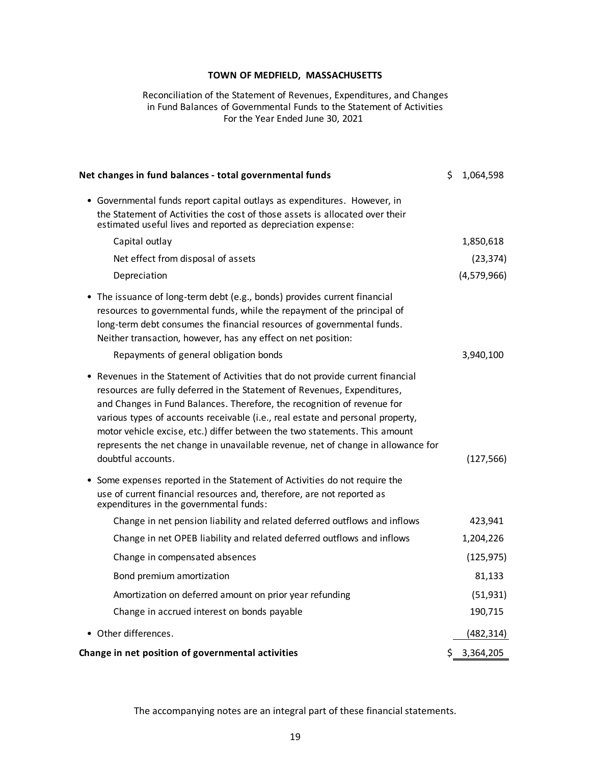#### Reconciliation of the Statement of Revenues, Expenditures, and Changes in Fund Balances of Governmental Funds to the Statement of Activities For the Year Ended June 30, 2021

| Net changes in fund balances - total governmental funds                                                                                                                                                                                                                                                                                                                                                                                                                                                        | \$  | 1,064,598   |
|----------------------------------------------------------------------------------------------------------------------------------------------------------------------------------------------------------------------------------------------------------------------------------------------------------------------------------------------------------------------------------------------------------------------------------------------------------------------------------------------------------------|-----|-------------|
| • Governmental funds report capital outlays as expenditures. However, in<br>the Statement of Activities the cost of those assets is allocated over their<br>estimated useful lives and reported as depreciation expense:                                                                                                                                                                                                                                                                                       |     |             |
| Capital outlay                                                                                                                                                                                                                                                                                                                                                                                                                                                                                                 |     | 1,850,618   |
| Net effect from disposal of assets                                                                                                                                                                                                                                                                                                                                                                                                                                                                             |     | (23, 374)   |
| Depreciation                                                                                                                                                                                                                                                                                                                                                                                                                                                                                                   |     | (4,579,966) |
| The issuance of long-term debt (e.g., bonds) provides current financial<br>$\bullet$<br>resources to governmental funds, while the repayment of the principal of<br>long-term debt consumes the financial resources of governmental funds.<br>Neither transaction, however, has any effect on net position:<br>Repayments of general obligation bonds                                                                                                                                                          |     | 3,940,100   |
| Revenues in the Statement of Activities that do not provide current financial<br>resources are fully deferred in the Statement of Revenues, Expenditures,<br>and Changes in Fund Balances. Therefore, the recognition of revenue for<br>various types of accounts receivable (i.e., real estate and personal property,<br>motor vehicle excise, etc.) differ between the two statements. This amount<br>represents the net change in unavailable revenue, net of change in allowance for<br>doubtful accounts. |     | (127, 566)  |
| Some expenses reported in the Statement of Activities do not require the<br>$\bullet$<br>use of current financial resources and, therefore, are not reported as<br>expenditures in the governmental funds:                                                                                                                                                                                                                                                                                                     |     |             |
| Change in net pension liability and related deferred outflows and inflows                                                                                                                                                                                                                                                                                                                                                                                                                                      |     | 423,941     |
| Change in net OPEB liability and related deferred outflows and inflows                                                                                                                                                                                                                                                                                                                                                                                                                                         |     | 1,204,226   |
| Change in compensated absences                                                                                                                                                                                                                                                                                                                                                                                                                                                                                 |     | (125, 975)  |
| Bond premium amortization                                                                                                                                                                                                                                                                                                                                                                                                                                                                                      |     | 81,133      |
| Amortization on deferred amount on prior year refunding                                                                                                                                                                                                                                                                                                                                                                                                                                                        |     | (51, 931)   |
| Change in accrued interest on bonds payable                                                                                                                                                                                                                                                                                                                                                                                                                                                                    |     | 190,715     |
| • Other differences.                                                                                                                                                                                                                                                                                                                                                                                                                                                                                           |     | (482, 314)  |
| Change in net position of governmental activities                                                                                                                                                                                                                                                                                                                                                                                                                                                              | \$. | 3,364,205   |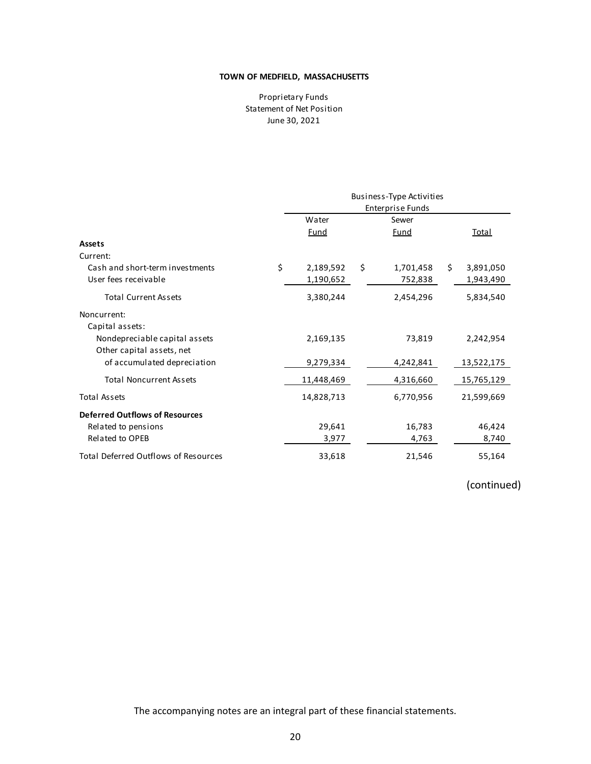Proprietary Funds Statement of Net Position June 30, 2021

|                                             | <b>Business-Type Activities</b> |    |             |    |              |
|---------------------------------------------|---------------------------------|----|-------------|----|--------------|
|                                             | <b>Enterprise Funds</b>         |    |             |    |              |
|                                             | Water                           |    | Sewer       |    |              |
|                                             | <u>Fund</u>                     |    | <u>Fund</u> |    | <u>Total</u> |
| <b>Assets</b>                               |                                 |    |             |    |              |
| Current:                                    |                                 |    |             |    |              |
| Cash and short-term investments             | \$<br>2,189,592                 | \$ | 1,701,458   | \$ | 3,891,050    |
| User fees receivable                        | 1,190,652                       |    | 752,838     |    | 1,943,490    |
| <b>Total Current Assets</b>                 | 3,380,244                       |    | 2,454,296   |    | 5,834,540    |
| Noncurrent:                                 |                                 |    |             |    |              |
| Capital assets:                             |                                 |    |             |    |              |
| Nondepreciable capital assets               | 2,169,135                       |    | 73,819      |    | 2,242,954    |
| Other capital assets, net                   |                                 |    |             |    |              |
| of accumulated depreciation                 | 9,279,334                       |    | 4,242,841   |    | 13,522,175   |
| <b>Total Noncurrent Assets</b>              | 11,448,469                      |    | 4,316,660   |    | 15,765,129   |
| <b>Total Assets</b>                         | 14,828,713                      |    | 6,770,956   |    | 21,599,669   |
| <b>Deferred Outflows of Resources</b>       |                                 |    |             |    |              |
| Related to pensions                         | 29,641                          |    | 16,783      |    | 46,424       |
| <b>Related to OPEB</b>                      | 3,977                           |    | 4,763       |    | 8,740        |
| <b>Total Deferred Outflows of Resources</b> | 33,618                          |    | 21,546      |    | 55,164       |

# (continued)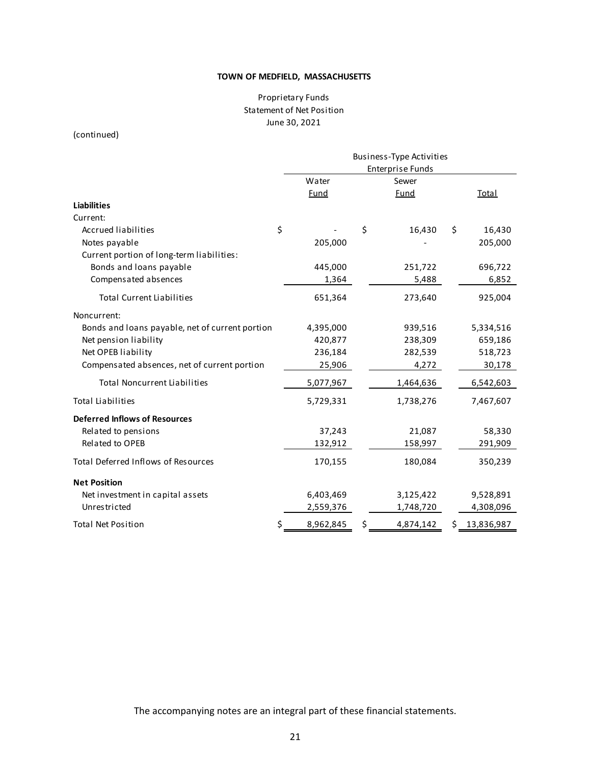# Proprietary Funds Statement of Net Position June 30, 2021

(continued)

|                                                 |                         |    | Business-Type Activities |    |              |  |
|-------------------------------------------------|-------------------------|----|--------------------------|----|--------------|--|
|                                                 | <b>Enterprise Funds</b> |    |                          |    |              |  |
|                                                 | Water                   |    | Sewer                    |    |              |  |
|                                                 | <b>Fund</b>             |    | <b>Fund</b>              |    | <b>Total</b> |  |
| <b>Liabilities</b>                              |                         |    |                          |    |              |  |
| Current:                                        |                         |    |                          |    |              |  |
| <b>Accrued liabilities</b>                      | \$                      | \$ | 16,430                   | \$ | 16,430       |  |
| Notes payable                                   | 205,000                 |    |                          |    | 205,000      |  |
| Current portion of long-term liabilities:       |                         |    |                          |    |              |  |
| Bonds and loans payable                         | 445,000                 |    | 251,722                  |    | 696,722      |  |
| Compensated absences                            | 1,364                   |    | 5,488                    |    | 6,852        |  |
| <b>Total Current Liabilities</b>                | 651,364                 |    | 273,640                  |    | 925,004      |  |
| Noncurrent:                                     |                         |    |                          |    |              |  |
| Bonds and loans payable, net of current portion | 4,395,000               |    | 939,516                  |    | 5,334,516    |  |
| Net pension liability                           | 420,877                 |    | 238,309                  |    | 659,186      |  |
| Net OPEB liability                              | 236,184                 |    | 282,539                  |    | 518,723      |  |
| Compensated absences, net of current portion    | 25,906                  |    | 4,272                    |    | 30,178       |  |
| <b>Total Noncurrent Liabilities</b>             | 5,077,967               |    | 1,464,636                |    | 6,542,603    |  |
| <b>Total Liabilities</b>                        | 5,729,331               |    | 1,738,276                |    | 7,467,607    |  |
| <b>Deferred Inflows of Resources</b>            |                         |    |                          |    |              |  |
| Related to pensions                             | 37,243                  |    | 21,087                   |    | 58,330       |  |
| <b>Related to OPEB</b>                          | 132,912                 |    | 158,997                  |    | 291,909      |  |
| <b>Total Deferred Inflows of Resources</b>      | 170,155                 |    | 180,084                  |    | 350,239      |  |
| <b>Net Position</b>                             |                         |    |                          |    |              |  |
| Net investment in capital assets                | 6,403,469               |    | 3,125,422                |    | 9,528,891    |  |
| Unrestricted                                    | 2,559,376               |    | 1,748,720                |    | 4,308,096    |  |
| <b>Total Net Position</b>                       | \$<br>8,962,845         | \$ | 4,874,142                | Ş  | 13,836,987   |  |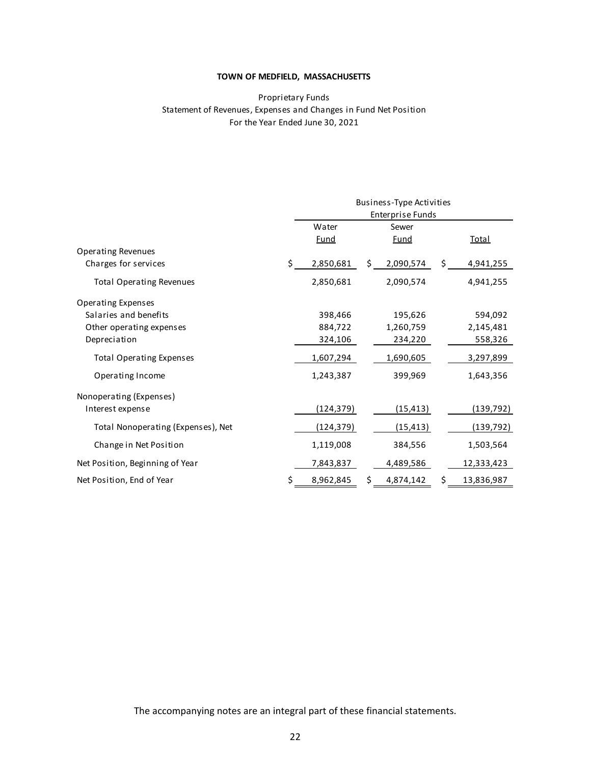## Proprietary Funds Statement of Revenues, Expenses and Changes in Fund Net Position For the Year Ended June 30, 2021

|                                    |    | Business-Type Activities |    |                         |    |              |
|------------------------------------|----|--------------------------|----|-------------------------|----|--------------|
|                                    |    |                          |    | <b>Enterprise Funds</b> |    |              |
|                                    |    | Water                    |    | Sewer                   |    |              |
|                                    |    | <b>Fund</b>              |    | <b>Fund</b>             |    | <b>Total</b> |
| <b>Operating Revenues</b>          |    |                          |    |                         |    |              |
| Charges for services               | Ś. | 2,850,681                | \$ | 2,090,574               | Ś. | 4,941,255    |
| <b>Total Operating Revenues</b>    |    | 2,850,681                |    | 2,090,574               |    | 4,941,255    |
| <b>Operating Expenses</b>          |    |                          |    |                         |    |              |
| Salaries and benefits              |    | 398,466                  |    | 195,626                 |    | 594,092      |
| Other operating expenses           |    | 884,722                  |    | 1,260,759               |    | 2,145,481    |
| Depreciation                       |    | 324,106                  |    | 234,220                 |    | 558,326      |
| <b>Total Operating Expenses</b>    |    | 1,607,294                |    | 1,690,605               |    | 3,297,899    |
| Operating Income                   |    | 1,243,387                |    | 399,969                 |    | 1,643,356    |
| Nonoperating (Expenses)            |    |                          |    |                         |    |              |
| Interest expense                   |    | (124, 379)               |    | (15, 413)               |    | (139, 792)   |
| Total Nonoperating (Expenses), Net |    | (124, 379)               |    | (15, 413)               |    | (139, 792)   |
| Change in Net Position             |    | 1,119,008                |    | 384,556                 |    | 1,503,564    |
| Net Position, Beginning of Year    |    | 7,843,837                |    | 4,489,586               |    | 12,333,423   |
| Net Position, End of Year          | \$ | 8,962,845                | \$ | 4,874,142               | S  | 13,836,987   |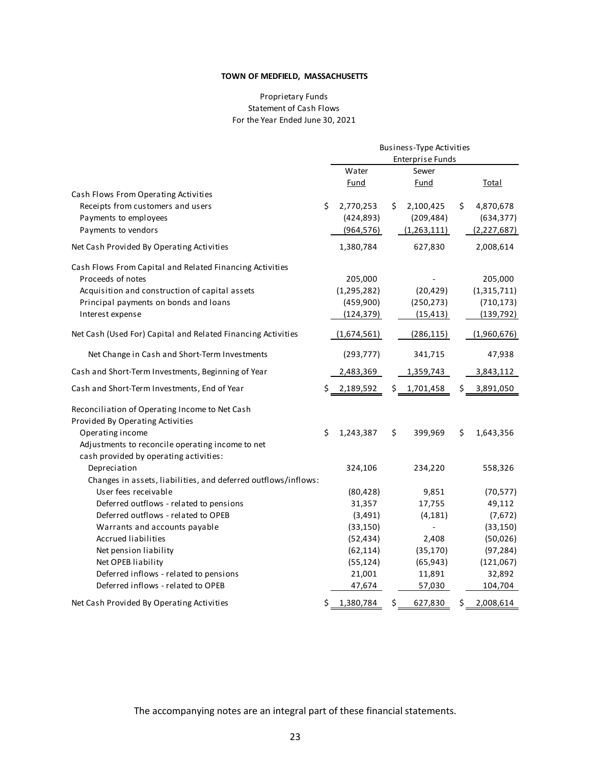### Proprietary Funds Statement of Cash Flows For the Year Ended June 30, 2021

|                                                                | Business-Type Activities |             |    |                         |    |               |
|----------------------------------------------------------------|--------------------------|-------------|----|-------------------------|----|---------------|
|                                                                |                          |             |    | <b>Enterprise Funds</b> |    |               |
|                                                                |                          | Water       |    | Sewer                   |    |               |
|                                                                |                          | <u>Fund</u> |    | <u>Fund</u>             |    | <b>Total</b>  |
| Cash Flows From Operating Activities                           |                          |             |    |                         |    |               |
| Receipts from customers and users                              | \$                       | 2,770,253   | \$ | 2,100,425               | \$ | 4,870,678     |
| Payments to employees                                          |                          | (424, 893)  |    | (209, 484)              |    | (634, 377)    |
| Payments to vendors                                            |                          | (964, 576)  |    | (1,263,111)             |    | (2, 227, 687) |
| Net Cash Provided By Operating Activities                      |                          | 1,380,784   |    | 627,830                 |    | 2,008,614     |
| Cash Flows From Capital and Related Financing Activities       |                          |             |    |                         |    |               |
| Proceeds of notes                                              |                          | 205,000     |    |                         |    | 205,000       |
| Acquisition and construction of capital assets                 |                          | (1,295,282) |    | (20, 429)               |    | (1,315,711)   |
| Principal payments on bonds and loans                          |                          | (459, 900)  |    | (250, 273)              |    | (710, 173)    |
| Interest expense                                               |                          | (124, 379)  |    | (15, 413)               |    | (139, 792)    |
| Net Cash (Used For) Capital and Related Financing Activities   |                          | (1,674,561) |    | (286, 115)              |    | (1,960,676)   |
| Net Change in Cash and Short-Term Investments                  |                          | (293, 777)  |    | 341,715                 |    | 47,938        |
| Cash and Short-Term Investments, Beginning of Year             |                          | 2,483,369   |    | 1,359,743               |    | 3,843,112     |
| Cash and Short-Term Investments, End of Year                   | \$.                      | 2,189,592   | Ś. | 1,701,458               | Ś  | 3,891,050     |
| Reconciliation of Operating Income to Net Cash                 |                          |             |    |                         |    |               |
| Provided By Operating Activities                               |                          |             |    |                         |    |               |
| Operating income                                               | \$                       | 1,243,387   | \$ | 399,969                 | Ś. | 1,643,356     |
| Adjustments to reconcile operating income to net               |                          |             |    |                         |    |               |
| cash provided by operating activities:                         |                          |             |    |                         |    |               |
| Depreciation                                                   |                          | 324,106     |    | 234,220                 |    | 558,326       |
| Changes in assets, liabilities, and deferred outflows/inflows: |                          |             |    |                         |    |               |
| User fees receivable                                           |                          | (80, 428)   |    | 9,851                   |    | (70, 577)     |
| Deferred outflows - related to pensions                        |                          | 31,357      |    | 17,755                  |    | 49,112        |
| Deferred outflows - related to OPEB                            |                          | (3, 491)    |    | (4, 181)                |    | (7,672)       |
| Warrants and accounts payable                                  |                          | (33, 150)   |    |                         |    | (33, 150)     |
| Accrued liabilities                                            |                          | (52, 434)   |    | 2,408                   |    | (50,026)      |
| Net pension liability                                          |                          | (62, 114)   |    | (35, 170)               |    | (97, 284)     |
| Net OPEB liability                                             |                          | (55, 124)   |    | (65, 943)               |    | (121,067)     |
| Deferred inflows - related to pensions                         |                          | 21,001      |    | 11,891                  |    | 32,892        |
| Deferred inflows - related to OPEB                             |                          | 47,674      |    | 57,030                  |    | 104,704       |
| Net Cash Provided By Operating Activities                      | \$.                      | 1,380,784   | \$ | 627,830                 | \$ | 2,008,614     |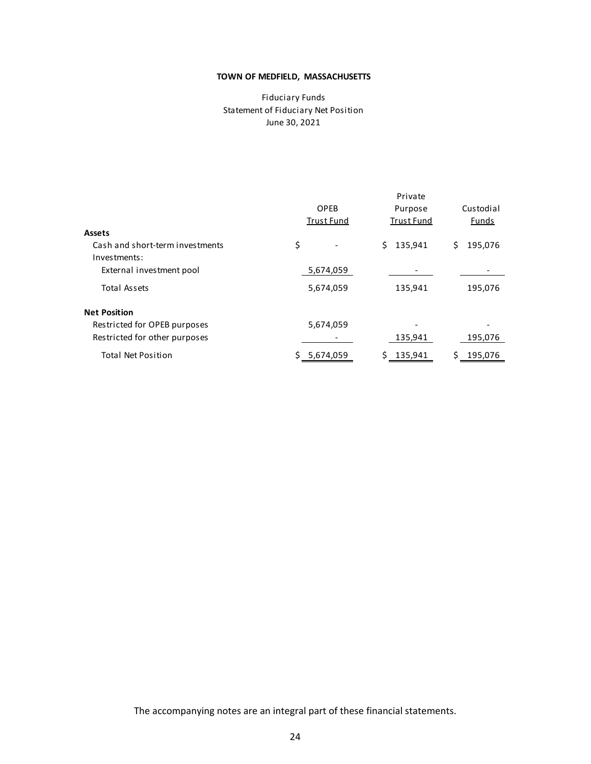## June 30, 2021 Fiduciary Funds Statement of Fiduciary Net Position

|                                                 | Private           |                   |               |  |  |
|-------------------------------------------------|-------------------|-------------------|---------------|--|--|
|                                                 | OPEB              | Purpose           | Custodial     |  |  |
|                                                 | <b>Trust Fund</b> | <b>Trust Fund</b> | <b>Funds</b>  |  |  |
| Assets                                          |                   |                   |               |  |  |
| Cash and short-term investments<br>Investments: | \$                | Ś.<br>135,941     | \$<br>195,076 |  |  |
| External investment pool                        | 5,674,059         |                   |               |  |  |
| Total Assets                                    | 5,674,059         | 135,941           | 195,076       |  |  |
| <b>Net Position</b>                             |                   |                   |               |  |  |
| Restricted for OPEB purposes                    | 5,674,059         |                   |               |  |  |
| Restricted for other purposes                   |                   | 135,941           | 195,076       |  |  |
| <b>Total Net Position</b>                       | 5,674,059         | 135,941<br>S      | 195,076<br>S  |  |  |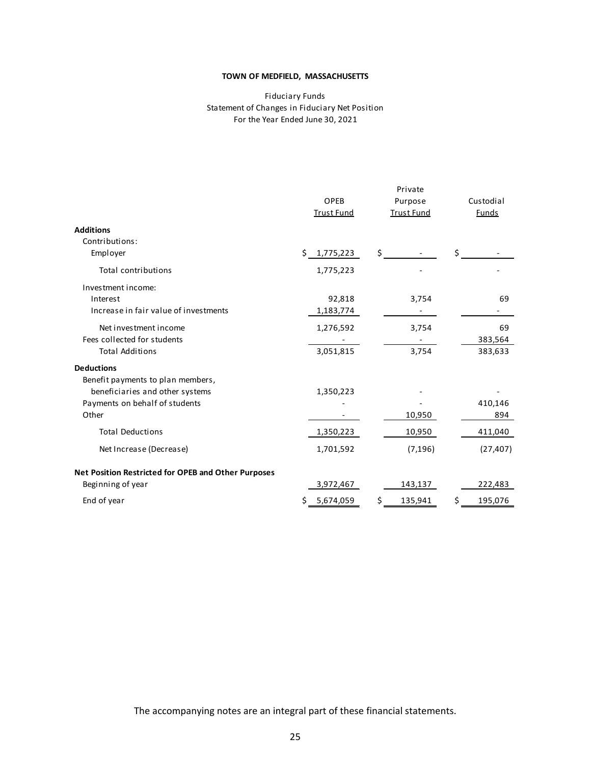#### Fiduciary Funds Statement of Changes in Fiduciary Net Position For the Year Ended June 30, 2021

|                                                     | OPEB<br><b>Trust Fund</b> | Private<br>Purpose<br><b>Trust Fund</b> | Custodial<br>Funds |
|-----------------------------------------------------|---------------------------|-----------------------------------------|--------------------|
| <b>Additions</b>                                    |                           |                                         |                    |
| Contributions:                                      |                           | \$                                      | \$                 |
| Employer                                            | 1,775,223<br>\$.          |                                         |                    |
| Total contributions                                 | 1,775,223                 |                                         |                    |
| Investment income:                                  |                           |                                         |                    |
| Interest                                            | 92,818                    | 3,754                                   | 69                 |
| Increase in fair value of investments               | 1,183,774                 |                                         |                    |
| Net investment income                               | 1,276,592                 | 3,754                                   | 69                 |
| Fees collected for students                         |                           |                                         | 383,564            |
| <b>Total Additions</b>                              | 3,051,815                 | 3,754                                   | 383,633            |
| <b>Deductions</b>                                   |                           |                                         |                    |
| Benefit payments to plan members,                   |                           |                                         |                    |
| beneficiaries and other systems                     | 1,350,223                 |                                         |                    |
| Payments on behalf of students                      |                           |                                         | 410,146            |
| Other                                               |                           | 10,950                                  | 894                |
| <b>Total Deductions</b>                             | 1,350,223                 | 10,950                                  | 411,040            |
| Net Increase (Decrease)                             | 1,701,592                 | (7, 196)                                | (27, 407)          |
| Net Position Restricted for OPEB and Other Purposes |                           |                                         |                    |
| Beginning of year                                   | 3,972,467                 | 143,137                                 | 222,483            |
| End of year                                         | \$5,674,059               | \$<br>135,941                           | \$<br>195,076      |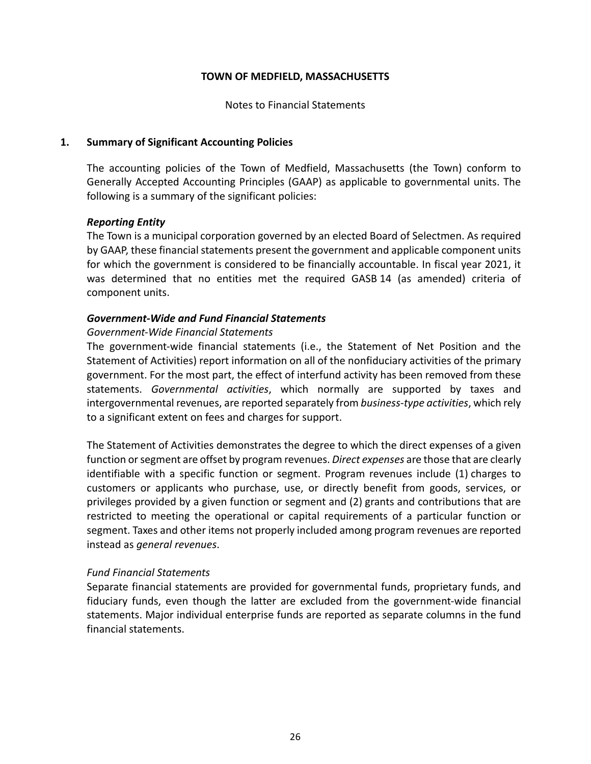Notes to Financial Statements

# **1. Summary of Significant Accounting Policies**

The accounting policies of the Town of Medfield, Massachusetts (the Town) conform to Generally Accepted Accounting Principles (GAAP) as applicable to governmental units. The following is a summary of the significant policies:

# *Reporting Entity*

The Town is a municipal corporation governed by an elected Board of Selectmen. As required by GAAP, these financial statements present the government and applicable component units for which the government is considered to be financially accountable. In fiscal year 2021, it was determined that no entities met the required GASB 14 (as amended) criteria of component units.

# *Government‐Wide and Fund Financial Statements*

# *Government‐Wide Financial Statements*

The government-wide financial statements (i.e., the Statement of Net Position and the Statement of Activities) report information on all of the nonfiduciary activities of the primary government. For the most part, the effect of interfund activity has been removed from these statements. *Governmental activities*, which normally are supported by taxes and intergovernmental revenues, are reported separately from *business‐type activities*, which rely to a significant extent on fees and charges for support.

The Statement of Activities demonstrates the degree to which the direct expenses of a given function or segment are offset by program revenues. *Direct expenses* are those that are clearly identifiable with a specific function or segment. Program revenues include (1) charges to customers or applicants who purchase, use, or directly benefit from goods, services, or privileges provided by a given function or segment and (2) grants and contributions that are restricted to meeting the operational or capital requirements of a particular function or segment. Taxes and other items not properly included among program revenues are reported instead as *general revenues*.

## *Fund Financial Statements*

Separate financial statements are provided for governmental funds, proprietary funds, and fiduciary funds, even though the latter are excluded from the government‐wide financial statements. Major individual enterprise funds are reported as separate columns in the fund financial statements.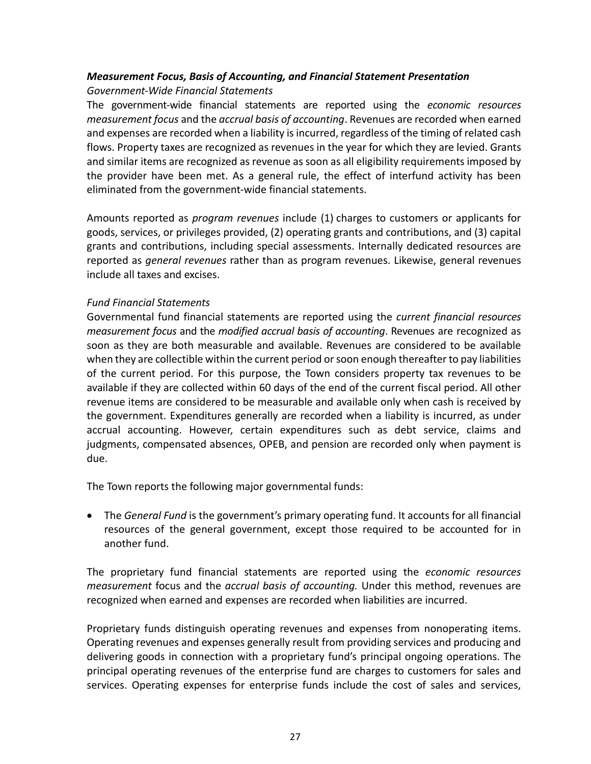# *Measurement Focus, Basis of Accounting, and Financial Statement Presentation Government‐Wide Financial Statements*

The government‐wide financial statements are reported using the *economic resources measurement focus* and the *accrual basis of accounting*. Revenues are recorded when earned and expenses are recorded when a liability is incurred, regardless of the timing of related cash flows. Property taxes are recognized as revenues in the year for which they are levied. Grants and similar items are recognized as revenue as soon as all eligibility requirements imposed by the provider have been met. As a general rule, the effect of interfund activity has been eliminated from the government‐wide financial statements.

Amounts reported as *program revenues* include (1) charges to customers or applicants for goods, services, or privileges provided, (2) operating grants and contributions, and (3) capital grants and contributions, including special assessments. Internally dedicated resources are reported as *general revenues* rather than as program revenues. Likewise, general revenues include all taxes and excises.

# *Fund Financial Statements*

Governmental fund financial statements are reported using the *current financial resources measurement focus* and the *modified accrual basis of accounting*. Revenues are recognized as soon as they are both measurable and available. Revenues are considered to be available when they are collectible within the current period or soon enough thereafter to pay liabilities of the current period. For this purpose, the Town considers property tax revenues to be available if they are collected within 60 days of the end of the current fiscal period. All other revenue items are considered to be measurable and available only when cash is received by the government. Expenditures generally are recorded when a liability is incurred, as under accrual accounting. However, certain expenditures such as debt service, claims and judgments, compensated absences, OPEB, and pension are recorded only when payment is due.

The Town reports the following major governmental funds:

 The *General Fund* is the government's primary operating fund. It accounts for all financial resources of the general government, except those required to be accounted for in another fund.

The proprietary fund financial statements are reported using the *economic resources measurement* focus and the *accrual basis of accounting*. Under this method, revenues are recognized when earned and expenses are recorded when liabilities are incurred.

Proprietary funds distinguish operating revenues and expenses from nonoperating items. Operating revenues and expenses generally result from providing services and producing and delivering goods in connection with a proprietary fund's principal ongoing operations. The principal operating revenues of the enterprise fund are charges to customers for sales and services. Operating expenses for enterprise funds include the cost of sales and services,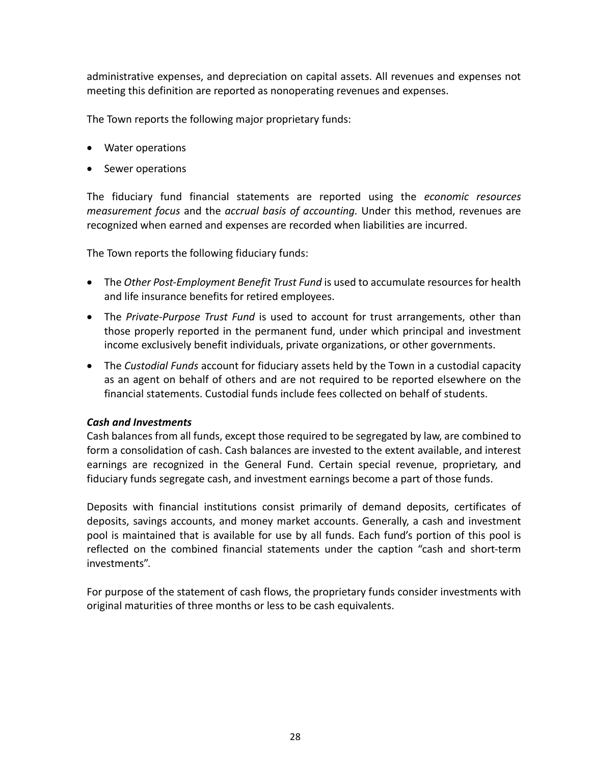administrative expenses, and depreciation on capital assets. All revenues and expenses not meeting this definition are reported as nonoperating revenues and expenses.

The Town reports the following major proprietary funds:

- Water operations
- Sewer operations

The fiduciary fund financial statements are reported using the *economic resources measurement focus* and the *accrual basis of accounting.* Under this method, revenues are recognized when earned and expenses are recorded when liabilities are incurred.

The Town reports the following fiduciary funds:

- The *Other Post‐Employment Benefit Trust Fund* is used to accumulate resources for health and life insurance benefits for retired employees.
- The Private-Purpose Trust Fund is used to account for trust arrangements, other than those properly reported in the permanent fund, under which principal and investment income exclusively benefit individuals, private organizations, or other governments.
- The *Custodial Funds* account for fiduciary assets held by the Town in a custodial capacity as an agent on behalf of others and are not required to be reported elsewhere on the financial statements. Custodial funds include fees collected on behalf of students.

# *Cash and Investments*

Cash balances from all funds, except those required to be segregated by law, are combined to form a consolidation of cash. Cash balances are invested to the extent available, and interest earnings are recognized in the General Fund. Certain special revenue, proprietary, and fiduciary funds segregate cash, and investment earnings become a part of those funds.

Deposits with financial institutions consist primarily of demand deposits, certificates of deposits, savings accounts, and money market accounts. Generally, a cash and investment pool is maintained that is available for use by all funds. Each fund's portion of this pool is reflected on the combined financial statements under the caption "cash and short-term investments".

For purpose of the statement of cash flows, the proprietary funds consider investments with original maturities of three months or less to be cash equivalents.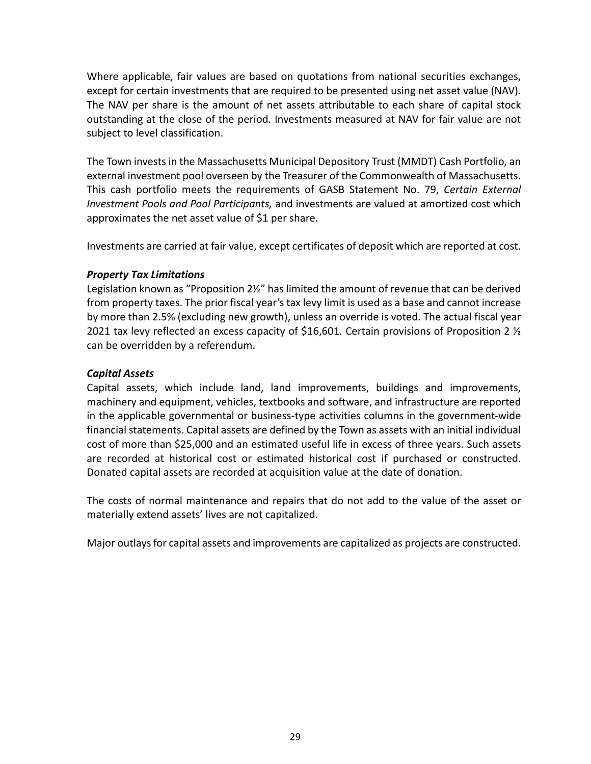Where applicable, fair values are based on quotations from national securities exchanges, except for certain investments that are required to be presented using net asset value (NAV). The NAV per share is the amount of net assets attributable to each share of capital stock outstanding at the close of the period. Investments measured at NAV for fair value are not subject to level classification.

The Town invests in the Massachusetts Municipal Depository Trust (MMDT) Cash Portfolio, an external investment pool overseen by the Treasurer of the Commonwealth of Massachusetts. This cash portfolio meets the requirements of GASB Statement No. 79, *Certain External Investment Pools and Pool Participants,* and investments are valued at amortized cost which approximates the net asset value of \$1 per share.

Investments are carried at fair value, except certificates of deposit which are reported at cost.

# *Property Tax Limitations*

Legislation known as "Proposition 2½" has limited the amount of revenue that can be derived from property taxes. The prior fiscal year's tax levy limit is used as a base and cannot increase by more than 2.5% (excluding new growth), unless an override is voted. The actual fiscal year 2021 tax levy reflected an excess capacity of \$16,601. Certain provisions of Proposition 2  $\frac{1}{2}$ can be overridden by a referendum.

# *Capital Assets*

Capital assets, which include land, land improvements, buildings and improvements, machinery and equipment, vehicles, textbooks and software, and infrastructure are reported in the applicable governmental or business‐type activities columns in the government‐wide financial statements. Capital assets are defined by the Town as assets with an initial individual cost of more than \$25,000 and an estimated useful life in excess of three years. Such assets are recorded at historical cost or estimated historical cost if purchased or constructed. Donated capital assets are recorded at acquisition value at the date of donation.

The costs of normal maintenance and repairs that do not add to the value of the asset or materially extend assets' lives are not capitalized.

Major outlays for capital assets and improvements are capitalized as projects are constructed.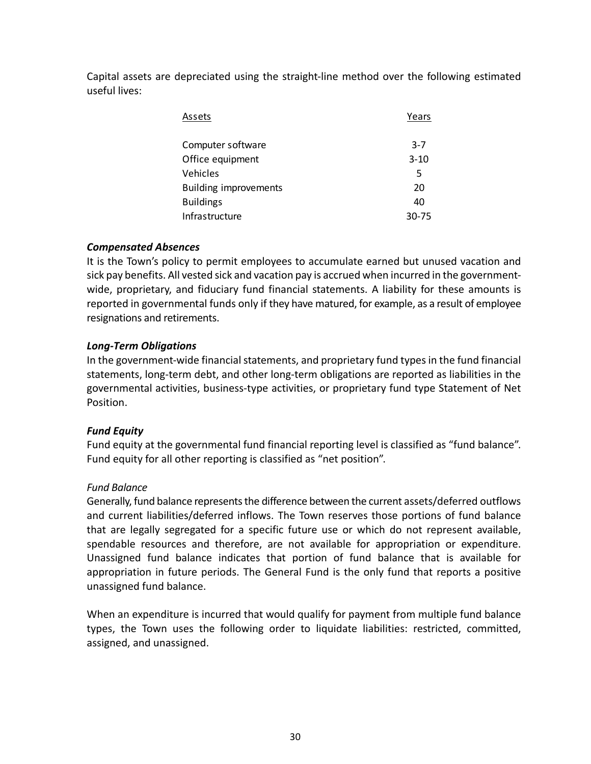Capital assets are depreciated using the straight‐line method over the following estimated useful lives:

| Assets                       | Years    |
|------------------------------|----------|
| Computer software            | $3 - 7$  |
| Office equipment             | $3 - 10$ |
| Vehicles                     | 5        |
| <b>Building improvements</b> | 20       |
| <b>Buildings</b>             | 40       |
| Infrastructure               | 30-75    |

# *Compensated Absences*

It is the Town's policy to permit employees to accumulate earned but unused vacation and sick pay benefits. All vested sick and vacation pay is accrued when incurred in the government‐ wide, proprietary, and fiduciary fund financial statements. A liability for these amounts is reported in governmental funds only if they have matured, for example, as a result of employee resignations and retirements.

# *Long‐Term Obligations*

In the government‐wide financial statements, and proprietary fund types in the fund financial statements, long‐term debt, and other long‐term obligations are reported as liabilities in the governmental activities, business‐type activities, or proprietary fund type Statement of Net Position.

# *Fund Equity*

Fund equity at the governmental fund financial reporting level is classified as "fund balance". Fund equity for all other reporting is classified as "net position".

# *Fund Balance*

Generally, fund balance represents the difference between the current assets/deferred outflows and current liabilities/deferred inflows. The Town reserves those portions of fund balance that are legally segregated for a specific future use or which do not represent available, spendable resources and therefore, are not available for appropriation or expenditure. Unassigned fund balance indicates that portion of fund balance that is available for appropriation in future periods. The General Fund is the only fund that reports a positive unassigned fund balance.

When an expenditure is incurred that would qualify for payment from multiple fund balance types, the Town uses the following order to liquidate liabilities: restricted, committed, assigned, and unassigned.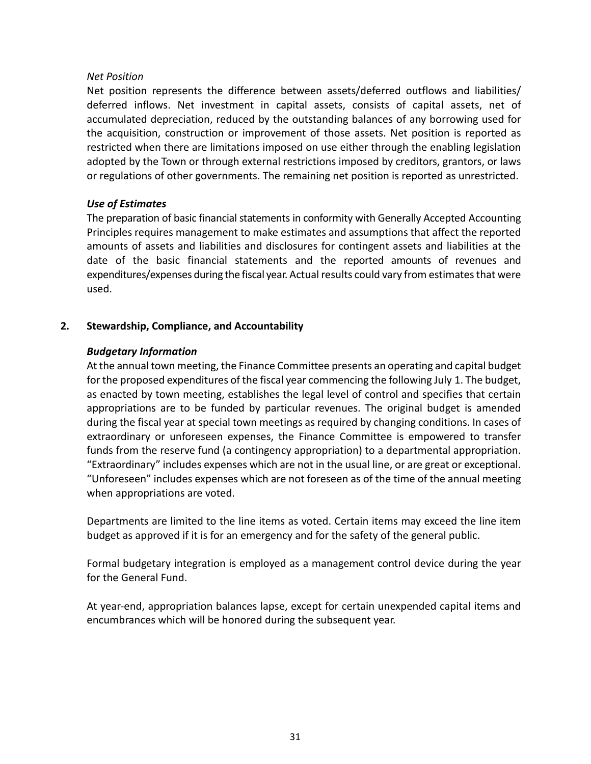# *Net Position*

Net position represents the difference between assets/deferred outflows and liabilities/ deferred inflows. Net investment in capital assets, consists of capital assets, net of accumulated depreciation, reduced by the outstanding balances of any borrowing used for the acquisition, construction or improvement of those assets. Net position is reported as restricted when there are limitations imposed on use either through the enabling legislation adopted by the Town or through external restrictions imposed by creditors, grantors, or laws or regulations of other governments. The remaining net position is reported as unrestricted.

# *Use of Estimates*

The preparation of basic financial statements in conformity with Generally Accepted Accounting Principles requires management to make estimates and assumptions that affect the reported amounts of assets and liabilities and disclosures for contingent assets and liabilities at the date of the basic financial statements and the reported amounts of revenues and expenditures/expenses during the fiscal year. Actual results could vary from estimates that were used.

# **2. Stewardship, Compliance, and Accountability**

# *Budgetary Information*

At the annual town meeting, the Finance Committee presents an operating and capital budget for the proposed expenditures of the fiscal year commencing the following July 1. The budget, as enacted by town meeting, establishes the legal level of control and specifies that certain appropriations are to be funded by particular revenues. The original budget is amended during the fiscal year at special town meetings as required by changing conditions. In cases of extraordinary or unforeseen expenses, the Finance Committee is empowered to transfer funds from the reserve fund (a contingency appropriation) to a departmental appropriation. "Extraordinary" includes expenses which are not in the usual line, or are great or exceptional. "Unforeseen" includes expenses which are not foreseen as of the time of the annual meeting when appropriations are voted.

Departments are limited to the line items as voted. Certain items may exceed the line item budget as approved if it is for an emergency and for the safety of the general public.

Formal budgetary integration is employed as a management control device during the year for the General Fund.

At year‐end, appropriation balances lapse, except for certain unexpended capital items and encumbrances which will be honored during the subsequent year.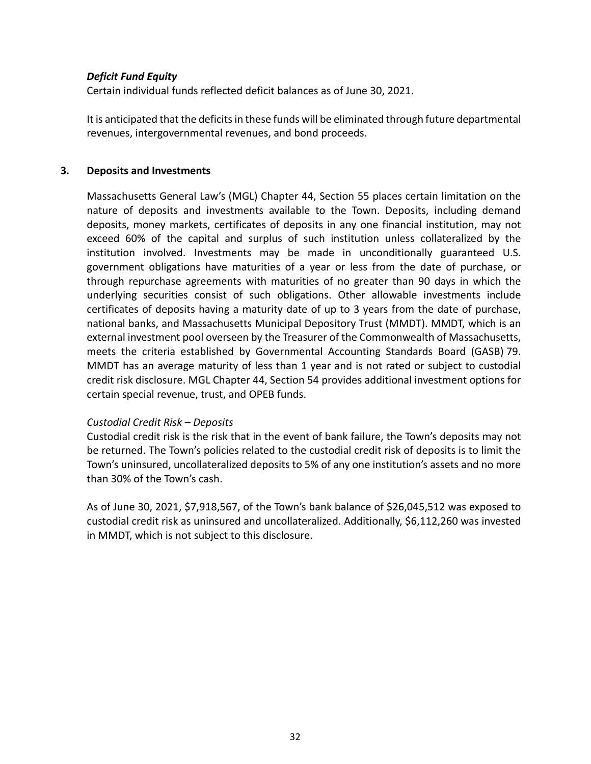# *Deficit Fund Equity*

Certain individual funds reflected deficit balances as of June 30, 2021.

It is anticipated that the deficits in these funds will be eliminated through future departmental revenues, intergovernmental revenues, and bond proceeds.

# **3. Deposits and Investments**

Massachusetts General Law's (MGL) Chapter 44, Section 55 places certain limitation on the nature of deposits and investments available to the Town. Deposits, including demand deposits, money markets, certificates of deposits in any one financial institution, may not exceed 60% of the capital and surplus of such institution unless collateralized by the institution involved. Investments may be made in unconditionally guaranteed U.S. government obligations have maturities of a year or less from the date of purchase, or through repurchase agreements with maturities of no greater than 90 days in which the underlying securities consist of such obligations. Other allowable investments include certificates of deposits having a maturity date of up to 3 years from the date of purchase, national banks, and Massachusetts Municipal Depository Trust (MMDT). MMDT, which is an external investment pool overseen by the Treasurer of the Commonwealth of Massachusetts, meets the criteria established by Governmental Accounting Standards Board (GASB) 79. MMDT has an average maturity of less than 1 year and is not rated or subject to custodial credit risk disclosure. MGL Chapter 44, Section 54 provides additional investment options for certain special revenue, trust, and OPEB funds.

# *Custodial Credit Risk – Deposits*

Custodial credit risk is the risk that in the event of bank failure, the Town's deposits may not be returned. The Town's policies related to the custodial credit risk of deposits is to limit the Town's uninsured, uncollateralized deposits to 5% of any one institution's assets and no more than 30% of the Town's cash.

As of June 30, 2021, \$7,918,567, of the Town's bank balance of \$26,045,512 was exposed to custodial credit risk as uninsured and uncollateralized. Additionally, \$6,112,260 was invested in MMDT, which is not subject to this disclosure.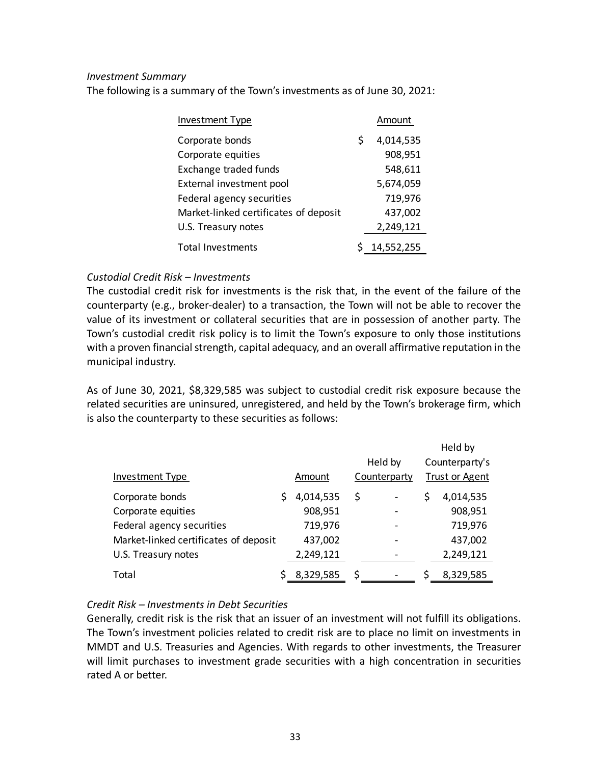# *Investment Summary*

The following is a summary of the Town's investments as of June 30, 2021:

| Investment Type                       |   | Amount     |
|---------------------------------------|---|------------|
| Corporate bonds                       | S | 4,014,535  |
| Corporate equities                    |   | 908,951    |
| Exchange traded funds                 |   | 548,611    |
| External investment pool              |   | 5,674,059  |
| Federal agency securities             |   | 719,976    |
| Market-linked certificates of deposit |   | 437,002    |
| U.S. Treasury notes                   |   | 2,249,121  |
| <b>Total Investments</b>              |   | 14,552,255 |

# *Custodial Credit Risk – Investments*

The custodial credit risk for investments is the risk that, in the event of the failure of the counterparty (e.g., broker‐dealer) to a transaction, the Town will not be able to recover the value of its investment or collateral securities that are in possession of another party. The Town's custodial credit risk policy is to limit the Town's exposure to only those institutions with a proven financial strength, capital adequacy, and an overall affirmative reputation in the municipal industry.

As of June 30, 2021, \$8,329,585 was subject to custodial credit risk exposure because the related securities are uninsured, unregistered, and held by the Town's brokerage firm, which is also the counterparty to these securities as follows:

|                                       |                 |         |                              |                | Held by               |
|---------------------------------------|-----------------|---------|------------------------------|----------------|-----------------------|
|                                       |                 | Held by |                              | Counterparty's |                       |
| Investment Type                       | Amount          |         | Counterparty                 |                | <b>Trust or Agent</b> |
| Corporate bonds                       | \$<br>4,014,535 | \$      | $\qquad \qquad \blacksquare$ | \$             | 4,014,535             |
| Corporate equities                    | 908,951         |         | $\qquad \qquad \blacksquare$ |                | 908,951               |
| Federal agency securities             | 719,976         |         |                              |                | 719,976               |
| Market-linked certificates of deposit | 437,002         |         |                              |                | 437,002               |
| U.S. Treasury notes                   | 2,249,121       |         |                              |                | 2,249,121             |
| Total                                 | 8,329,585       | \$      |                              |                | 8,329,585             |

# *Credit Risk – Investments in Debt Securities*

Generally, credit risk is the risk that an issuer of an investment will not fulfill its obligations. The Town's investment policies related to credit risk are to place no limit on investments in MMDT and U.S. Treasuries and Agencies. With regards to other investments, the Treasurer will limit purchases to investment grade securities with a high concentration in securities rated A or better.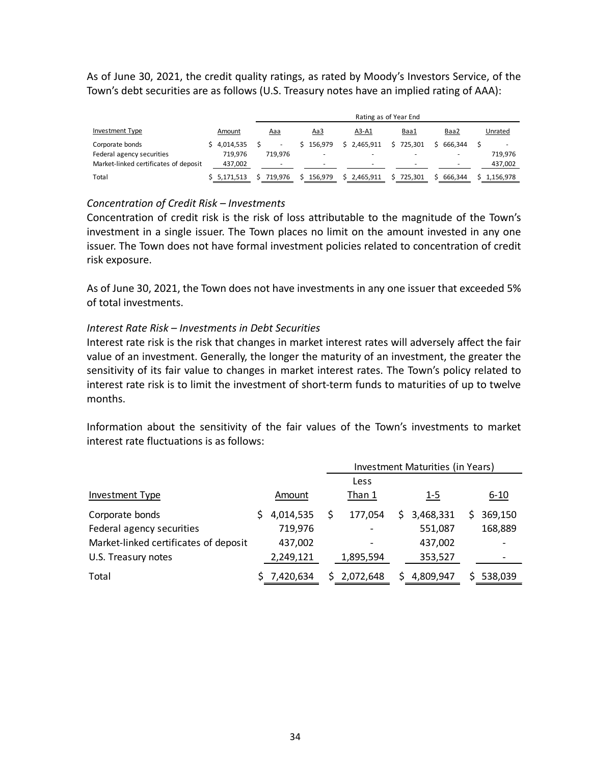As of June 30, 2021, the credit quality ratings, as rated by Moody's Investors Service, of the Town's debt securities are as follows (U.S. Treasury notes have an implied rating of AAA):

|                                       |             | Rating as of Year End    |                          |                          |                          |         |           |  |  |  |
|---------------------------------------|-------------|--------------------------|--------------------------|--------------------------|--------------------------|---------|-----------|--|--|--|
| Investment Type                       | Amount      | <u>Aaa</u>               | <u>Aa3</u>               | A3-A1                    | Baa1                     | Baa2    | Unrated   |  |  |  |
| Corporate bonds                       | \$4.014.535 | $\overline{\phantom{a}}$ | 156.979                  | \$2.465.911              | 725.301                  | 666.344 |           |  |  |  |
| Federal agency securities             | 719.976     | 719.976                  | -                        | -                        | $\overline{\phantom{a}}$ |         | 719.976   |  |  |  |
| Market-linked certificates of deposit | 437,002     | -                        | $\overline{\phantom{a}}$ | $\overline{\phantom{0}}$ | -                        | -       | 437,002   |  |  |  |
| Total                                 | \$5,171,513 | 719.976                  | 156.979                  | 2,465,911                | 725.301                  | 666.344 | 1.156.978 |  |  |  |

## *Concentration of Credit Risk – Investments*

Concentration of credit risk is the risk of loss attributable to the magnitude of the Town's investment in a single issuer. The Town places no limit on the amount invested in any one issuer. The Town does not have formal investment policies related to concentration of credit risk exposure.

As of June 30, 2021, the Town does not have investments in any one issuer that exceeded 5% of total investments.

### *Interest Rate Risk – Investments in Debt Securities*

Interest rate risk is the risk that changes in market interest rates will adversely affect the fair value of an investment. Generally, the longer the maturity of an investment, the greater the sensitivity of its fair value to changes in market interest rates. The Town's policy related to interest rate risk is to limit the investment of short-term funds to maturities of up to twelve months.

Information about the sensitivity of the fair values of the Town's investments to market interest rate fluctuations is as follows:

|                                       |           | Investment Maturities (in Years) |    |            |  |          |  |
|---------------------------------------|-----------|----------------------------------|----|------------|--|----------|--|
|                                       |           | Less                             |    |            |  |          |  |
| <b>Investment Type</b>                | Amount    | Than 1                           |    | <u>1-5</u> |  | $6 - 10$ |  |
| Corporate bonds                       | 4,014,535 | 177,054                          | S. | 3,468,331  |  | 369,150  |  |
| Federal agency securities             | 719,976   |                                  |    | 551,087    |  | 168,889  |  |
| Market-linked certificates of deposit | 437,002   |                                  |    | 437,002    |  |          |  |
| U.S. Treasury notes                   | 2,249,121 | 1,895,594                        |    | 353,527    |  |          |  |
| Total                                 | 7,420,634 | 2,072,648                        |    | 4,809,947  |  | 538,039  |  |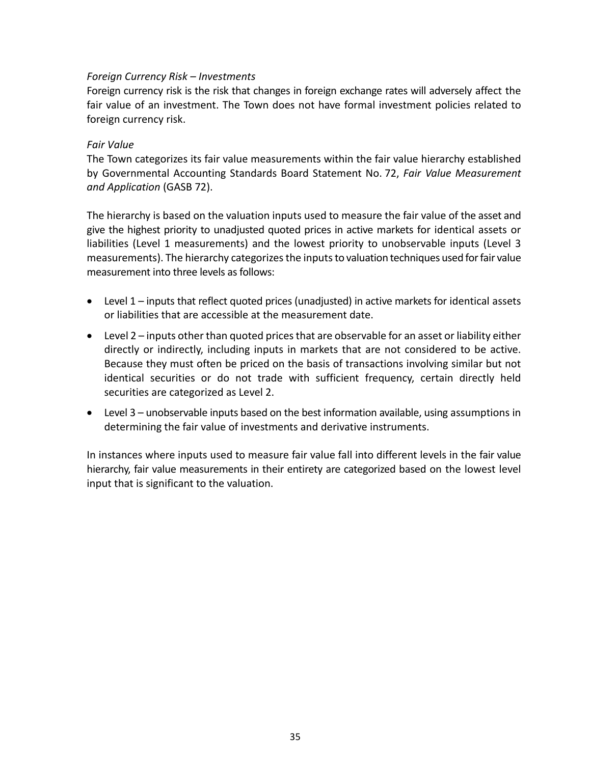### *Foreign Currency Risk – Investments*

Foreign currency risk is the risk that changes in foreign exchange rates will adversely affect the fair value of an investment. The Town does not have formal investment policies related to foreign currency risk.

#### *Fair Value*

The Town categorizes its fair value measurements within the fair value hierarchy established by Governmental Accounting Standards Board Statement No. 72, *Fair Value Measurement and Application* (GASB 72).

The hierarchy is based on the valuation inputs used to measure the fair value of the asset and give the highest priority to unadjusted quoted prices in active markets for identical assets or liabilities (Level 1 measurements) and the lowest priority to unobservable inputs (Level 3 measurements). The hierarchy categorizes the inputs to valuation techniques used for fair value measurement into three levels as follows:

- Level 1 inputs that reflect quoted prices (unadjusted) in active markets for identical assets or liabilities that are accessible at the measurement date.
- Level 2 inputs other than quoted prices that are observable for an asset or liability either directly or indirectly, including inputs in markets that are not considered to be active. Because they must often be priced on the basis of transactions involving similar but not identical securities or do not trade with sufficient frequency, certain directly held securities are categorized as Level 2.
- Level 3 unobservable inputs based on the best information available, using assumptions in determining the fair value of investments and derivative instruments.

In instances where inputs used to measure fair value fall into different levels in the fair value hierarchy, fair value measurements in their entirety are categorized based on the lowest level input that is significant to the valuation.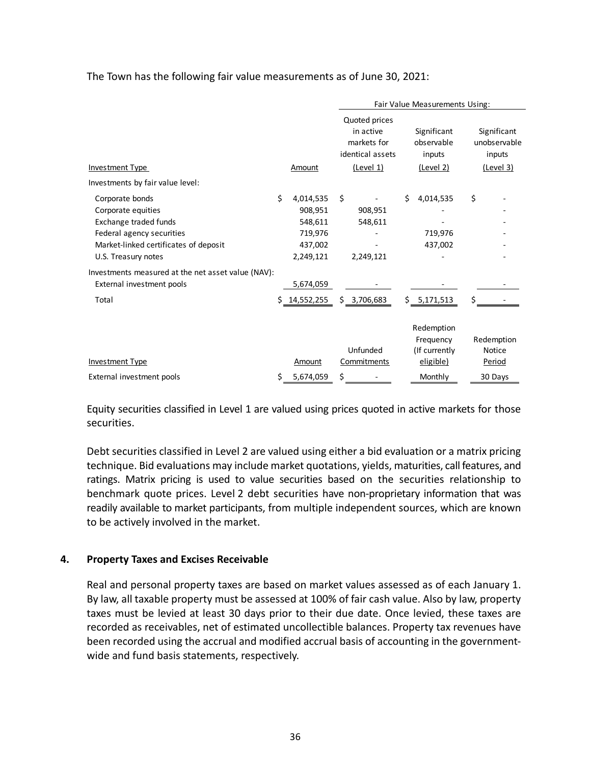The Town has the following fair value measurements as of June 30, 2021:

|                                                                                                                                                             |    |                                                                    |    |                                                               |    | Fair Value Measurements Using:                        |                                       |
|-------------------------------------------------------------------------------------------------------------------------------------------------------------|----|--------------------------------------------------------------------|----|---------------------------------------------------------------|----|-------------------------------------------------------|---------------------------------------|
|                                                                                                                                                             |    |                                                                    |    | Quoted prices<br>in active<br>markets for<br>identical assets |    | Significant<br>observable<br>inputs                   | Significant<br>unobservable<br>inputs |
| <b>Investment Type</b>                                                                                                                                      |    | Amount                                                             |    | (Level 1)                                                     |    | (Level 2)                                             | <u>(Level 3)</u>                      |
| Investments by fair value level:                                                                                                                            |    |                                                                    |    |                                                               |    |                                                       |                                       |
| Corporate bonds<br>Corporate equities<br>Exchange traded funds<br>Federal agency securities<br>Market-linked certificates of deposit<br>U.S. Treasury notes | Ś  | 4,014,535<br>908,951<br>548,611<br>719,976<br>437,002<br>2,249,121 | Ŝ. | 908,951<br>548,611<br>2,249,121                               | Ś. | 4,014,535<br>719,976<br>437,002                       | \$                                    |
| Investments measured at the net asset value (NAV):<br>External investment pools                                                                             |    | 5,674,059                                                          |    |                                                               |    |                                                       |                                       |
| Total                                                                                                                                                       | Ś  | 14,552,255                                                         |    | \$3,706,683                                                   | Ś. | 5,171,513                                             | \$                                    |
| <b>Investment Type</b>                                                                                                                                      |    | Amount                                                             |    | Unfunded<br>Commitments                                       |    | Redemption<br>Frequency<br>(If currently<br>eligible) | Redemption<br><b>Notice</b><br>Period |
| External investment pools                                                                                                                                   | \$ | 5,674,059                                                          | \$ |                                                               |    | Monthly                                               | 30 Days                               |

Equity securities classified in Level 1 are valued using prices quoted in active markets for those securities.

Debt securities classified in Level 2 are valued using either a bid evaluation or a matrix pricing technique. Bid evaluations may include market quotations, yields, maturities, call features, and ratings. Matrix pricing is used to value securities based on the securities relationship to benchmark quote prices. Level 2 debt securities have non-proprietary information that was readily available to market participants, from multiple independent sources, which are known to be actively involved in the market.

## **4. Property Taxes and Excises Receivable**

Real and personal property taxes are based on market values assessed as of each January 1. By law, all taxable property must be assessed at 100% of fair cash value. Also by law, property taxes must be levied at least 30 days prior to their due date. Once levied, these taxes are recorded as receivables, net of estimated uncollectible balances. Property tax revenues have been recorded using the accrual and modified accrual basis of accounting in the government‐ wide and fund basis statements, respectively.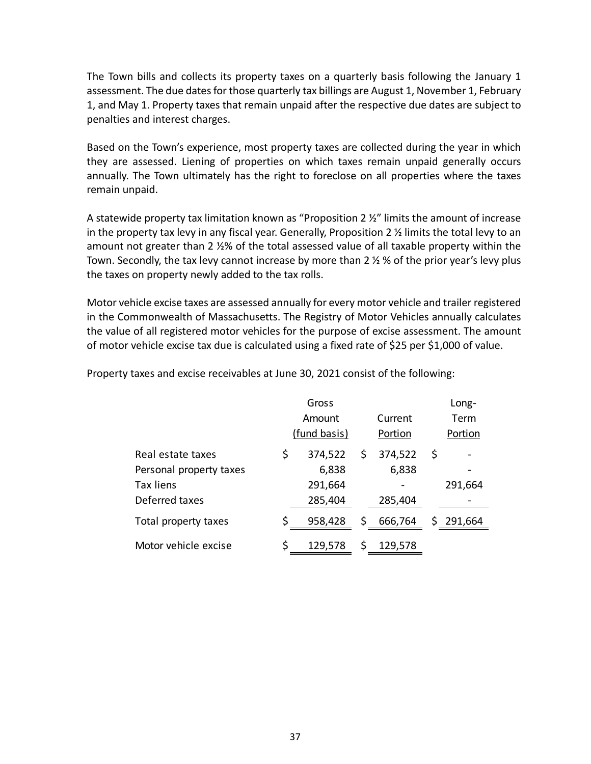The Town bills and collects its property taxes on a quarterly basis following the January 1 assessment. The due dates for those quarterly tax billings are August 1, November 1, February 1, and May 1. Property taxes that remain unpaid after the respective due dates are subject to penalties and interest charges.

Based on the Town's experience, most property taxes are collected during the year in which they are assessed. Liening of properties on which taxes remain unpaid generally occurs annually. The Town ultimately has the right to foreclose on all properties where the taxes remain unpaid.

A statewide property tax limitation known as "Proposition 2  $\frac{1}{2}$ " limits the amount of increase in the property tax levy in any fiscal year. Generally, Proposition 2  $\frac{1}{2}$  limits the total levy to an amount not greater than 2 ½% of the total assessed value of all taxable property within the Town. Secondly, the tax levy cannot increase by more than 2 ½ % of the prior year's levy plus the taxes on property newly added to the tax rolls.

Motor vehicle excise taxes are assessed annually for every motor vehicle and trailer registered in the Commonwealth of Massachusetts. The Registry of Motor Vehicles annually calculates the value of all registered motor vehicles for the purpose of excise assessment. The amount of motor vehicle excise tax due is calculated using a fixed rate of \$25 per \$1,000 of value.

|                         |    | Gross        | Long- |         |           |  |  |
|-------------------------|----|--------------|-------|---------|-----------|--|--|
|                         |    | Amount       |       | Current | Term      |  |  |
|                         |    | (fund basis) |       | Portion | Portion   |  |  |
| Real estate taxes       | \$ | 374,522      | \$    | 374,522 | \$        |  |  |
| Personal property taxes |    | 6,838        |       | 6,838   |           |  |  |
| <b>Tax liens</b>        |    | 291,664      |       |         | 291,664   |  |  |
| Deferred taxes          |    | 285,404      |       | 285,404 |           |  |  |
| Total property taxes    |    | 958,428      | \$    | 666,764 | \$291,664 |  |  |
| Motor vehicle excise    | Ś  | 129,578      | S     | 129,578 |           |  |  |

Property taxes and excise receivables at June 30, 2021 consist of the following: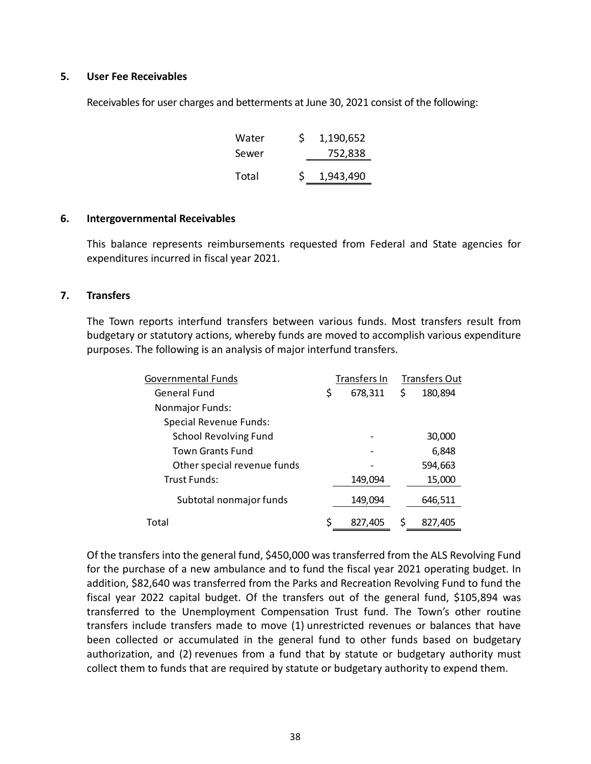#### **5. User Fee Receivables**

Receivables for user charges and betterments at June 30, 2021 consist of the following:

| Water | Ś  | 1,190,652 |  |
|-------|----|-----------|--|
| Sewer |    | 752,838   |  |
| Total | S. | 1,943,490 |  |
|       |    |           |  |

#### **6. Intergovernmental Receivables**

This balance represents reimbursements requested from Federal and State agencies for expenditures incurred in fiscal year 2021.

#### **7. Transfers**

The Town reports interfund transfers between various funds. Most transfers result from budgetary or statutory actions, whereby funds are moved to accomplish various expenditure purposes. The following is an analysis of major interfund transfers.

| Governmental Funds           | Transfers In  |   | <b>Transfers Out</b> |
|------------------------------|---------------|---|----------------------|
| General Fund                 | \$<br>678,311 | S | 180,894              |
| <b>Nonmajor Funds:</b>       |               |   |                      |
| Special Revenue Funds:       |               |   |                      |
| <b>School Revolving Fund</b> |               |   | 30,000               |
| Town Grants Fund             |               |   | 6,848                |
| Other special revenue funds  |               |   | 594,663              |
| Trust Funds:                 | 149,094       |   | 15,000               |
| Subtotal nonmajor funds      | 149,094       |   | 646,511              |
| Total                        | 827,405       |   | 827,405              |

Of the transfers into the general fund, \$450,000 was transferred from the ALS Revolving Fund for the purchase of a new ambulance and to fund the fiscal year 2021 operating budget. In addition, \$82,640 was transferred from the Parks and Recreation Revolving Fund to fund the fiscal year 2022 capital budget. Of the transfers out of the general fund, \$105,894 was transferred to the Unemployment Compensation Trust fund. The Town's other routine transfers include transfers made to move (1) unrestricted revenues or balances that have been collected or accumulated in the general fund to other funds based on budgetary authorization, and (2) revenues from a fund that by statute or budgetary authority must collect them to funds that are required by statute or budgetary authority to expend them.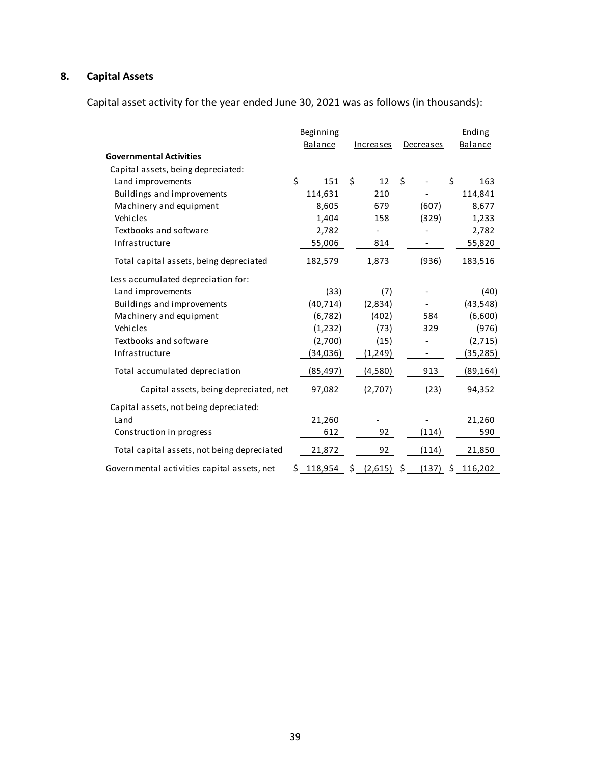# **8. Capital Assets**

Capital asset activity for the year ended June 30, 2021 was as follows (in thousands):

|                                             | Beginning     |               |                  | Ending        |
|---------------------------------------------|---------------|---------------|------------------|---------------|
|                                             | Balance       | Increases     | <b>Decreases</b> | Balance       |
| <b>Governmental Activities</b>              |               |               |                  |               |
| Capital assets, being depreciated:          |               |               |                  |               |
| Land improvements                           | \$<br>151     | \$<br>12      | \$               | \$<br>163     |
| Buildings and improvements                  | 114,631       | 210           |                  | 114,841       |
| Machinery and equipment                     | 8,605         | 679           | (607)            | 8,677         |
| Vehicles                                    | 1,404         | 158           | (329)            | 1,233         |
| Textbooks and software                      | 2,782         |               |                  | 2,782         |
| Infrastructure                              | 55,006        | 814           |                  | 55,820        |
| Total capital assets, being depreciated     | 182,579       | 1,873         | (936)            | 183,516       |
| Less accumulated depreciation for:          |               |               |                  |               |
| Land improvements                           | (33)          | (7)           |                  | (40)          |
| Buildings and improvements                  | (40, 714)     | (2,834)       |                  | (43, 548)     |
| Machinery and equipment                     | (6, 782)      | (402)         | 584              | (6,600)       |
| Vehicles                                    | (1, 232)      | (73)          | 329              | (976)         |
| Textbooks and software                      | (2,700)       | (15)          |                  | (2,715)       |
| Infrastructure                              | (34,036)      | (1,249)       |                  | (35,285)      |
| Total accumulated depreciation              | (85,497)      | (4,580)       | 913              | (89, 164)     |
| Capital assets, being depreciated, net      | 97,082        | (2,707)       | (23)             | 94,352        |
| Capital assets, not being depreciated:      |               |               |                  |               |
| Land                                        | 21,260        |               |                  | 21,260        |
| Construction in progress                    | 612           | 92            | (114)            | 590           |
| Total capital assets, not being depreciated | 21,872        | 92            | (114)            | 21,850        |
| Governmental activities capital assets, net | \$<br>118,954 | \$<br>(2,615) | \$<br>(137)      | \$<br>116,202 |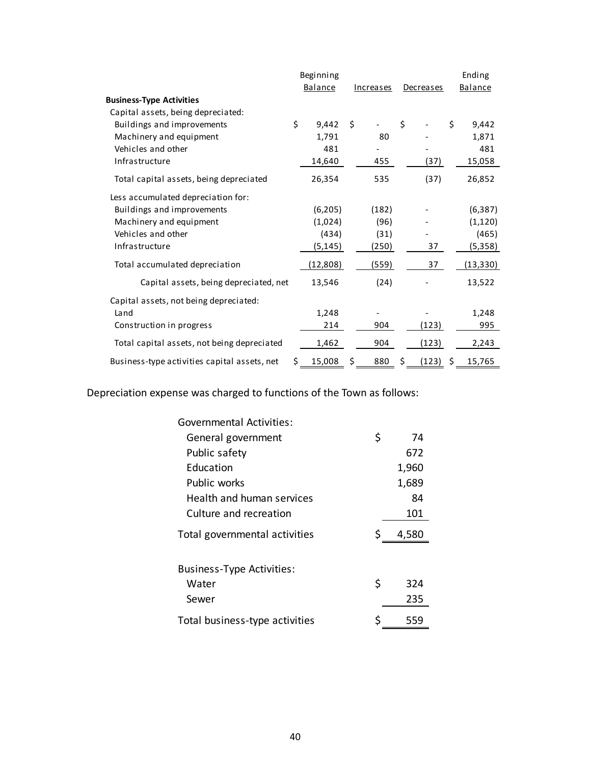|                                              |     | Beginning |           |             | Ending       |
|----------------------------------------------|-----|-----------|-----------|-------------|--------------|
|                                              |     | Balance   | Increases | Decreases   | Balance      |
| <b>Business-Type Activities</b>              |     |           |           |             |              |
| Capital assets, being depreciated:           |     |           |           |             |              |
| Buildings and improvements                   | \$  | 9,442     | \$        | \$          | \$<br>9,442  |
| Machinery and equipment                      |     | 1,791     | 80        |             | 1,871        |
| Vehicles and other                           |     | 481       |           |             | 481          |
| Infrastructure                               |     | 14,640    | 455       | (37)        | 15,058       |
| Total capital assets, being depreciated      |     | 26,354    | 535       | (37)        | 26,852       |
| Less accumulated depreciation for:           |     |           |           |             |              |
| Buildings and improvements                   |     | (6, 205)  | (182)     |             | (6, 387)     |
| Machinery and equipment                      |     | (1,024)   | (96)      |             | (1, 120)     |
| Vehicles and other                           |     | (434)     | (31)      |             | (465)        |
| Infrastructure                               |     | (5,145)   | (250)     | 37          | (5,358)      |
| Total accumulated depreciation               |     | (12, 808) | (559)     | 37          | (13, 330)    |
| Capital assets, being depreciated, net       |     | 13,546    | (24)      |             | 13,522       |
| Capital assets, not being depreciated:       |     |           |           |             |              |
| Land                                         |     | 1,248     |           |             | 1,248        |
| Construction in progress                     |     | 214       | 904       | (123)       | 995          |
| Total capital assets, not being depreciated  |     | 1,462     | 904       | (123)       | 2,243        |
| Business-type activities capital assets, net | \$. | 15,008    | \$<br>880 | \$<br>(123) | \$<br>15,765 |

Depreciation expense was charged to functions of the Town as follows:

| <b>Governmental Activities:</b>  |           |
|----------------------------------|-----------|
| General government               | \$<br>74  |
| Public safety                    | 672       |
| Education                        | 1,960     |
| Public works                     | 1,689     |
| Health and human services        | 84        |
| Culture and recreation           | 101       |
| Total governmental activities    | 4,580     |
| <b>Business-Type Activities:</b> |           |
| Water                            | \$<br>324 |
| Sewer                            | 235       |
| Total business-type activities   | 559       |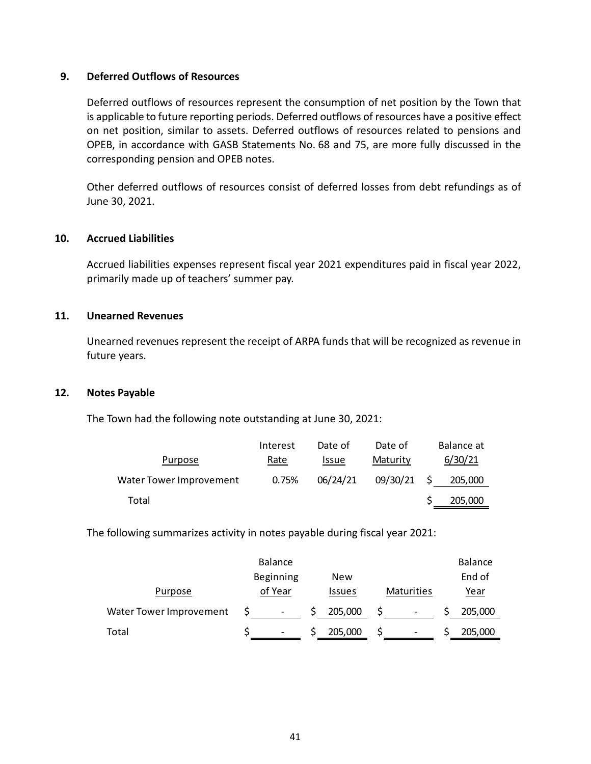#### **9. Deferred Outflows of Resources**

Deferred outflows of resources represent the consumption of net position by the Town that is applicable to future reporting periods. Deferred outflows of resources have a positive effect on net position, similar to assets. Deferred outflows of resources related to pensions and OPEB, in accordance with GASB Statements No. 68 and 75, are more fully discussed in the corresponding pension and OPEB notes.

Other deferred outflows of resources consist of deferred losses from debt refundings as of June 30, 2021.

### **10. Accrued Liabilities**

Accrued liabilities expenses represent fiscal year 2021 expenditures paid in fiscal year 2022, primarily made up of teachers' summer pay.

#### **11. Unearned Revenues**

Unearned revenues represent the receipt of ARPA funds that will be recognized as revenue in future years.

### **12. Notes Payable**

The Town had the following note outstanding at June 30, 2021:

|                         | Interest | Date of      | Date of  |     | Balance at |
|-------------------------|----------|--------------|----------|-----|------------|
| Purpose                 | Rate     | <b>Issue</b> | Maturity |     | 6/30/21    |
| Water Tower Improvement | 0.75%    | 06/24/21     | 09/30/21 | - S | 205,000    |
| Total                   |          |              |          |     | 205,000    |

The following summarizes activity in notes payable during fiscal year 2021:

|                         | <b>Balance</b>           |               |            | <b>Balance</b> |
|-------------------------|--------------------------|---------------|------------|----------------|
|                         | Beginning                | New           |            | End of         |
| Purpose                 | of Year                  | <b>Issues</b> | Maturities | <u>Year</u>    |
| Water Tower Improvement | $\overline{\phantom{a}}$ | 205,000       | -          | 205,000        |
| Total                   | $\overline{\phantom{a}}$ | 205,000       | -          | 205,000        |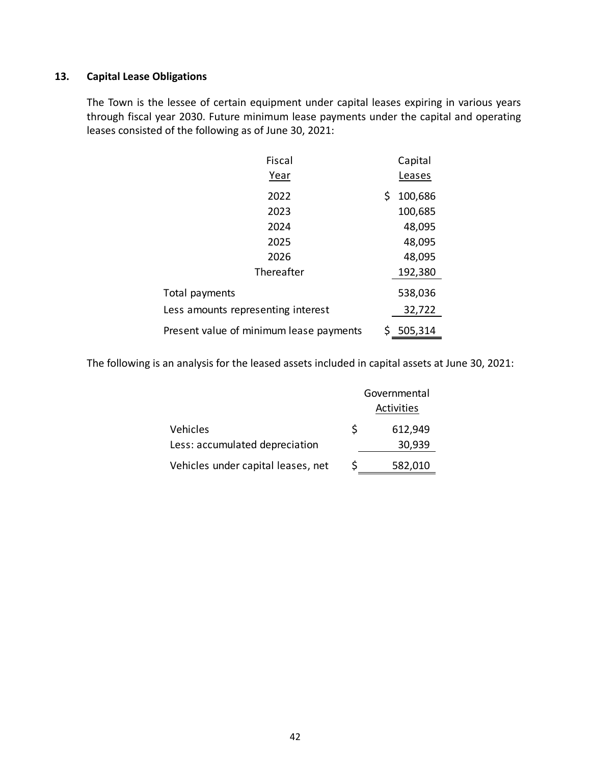## **13. Capital Lease Obligations**

The Town is the lessee of certain equipment under capital leases expiring in various years through fiscal year 2030. Future minimum lease payments under the capital and operating leases consisted of the following as of June 30, 2021:

| <b>Fiscal</b>                           | Capital       |
|-----------------------------------------|---------------|
| Year                                    | Leases        |
| 2022                                    | \$<br>100,686 |
| 2023                                    | 100,685       |
| 2024                                    | 48,095        |
| 2025                                    | 48,095        |
| 2026                                    | 48,095        |
| Thereafter                              | 192,380       |
| Total payments                          | 538,036       |
| Less amounts representing interest      | 32,722        |
| Present value of minimum lease payments | \$<br>505,314 |

The following is an analysis for the leased assets included in capital assets at June 30, 2021:

|                                    |   | Governmental |  |  |
|------------------------------------|---|--------------|--|--|
|                                    |   | Activities   |  |  |
| Vehicles                           | S | 612,949      |  |  |
| Less: accumulated depreciation     |   | 30,939       |  |  |
| Vehicles under capital leases, net | S | 582,010      |  |  |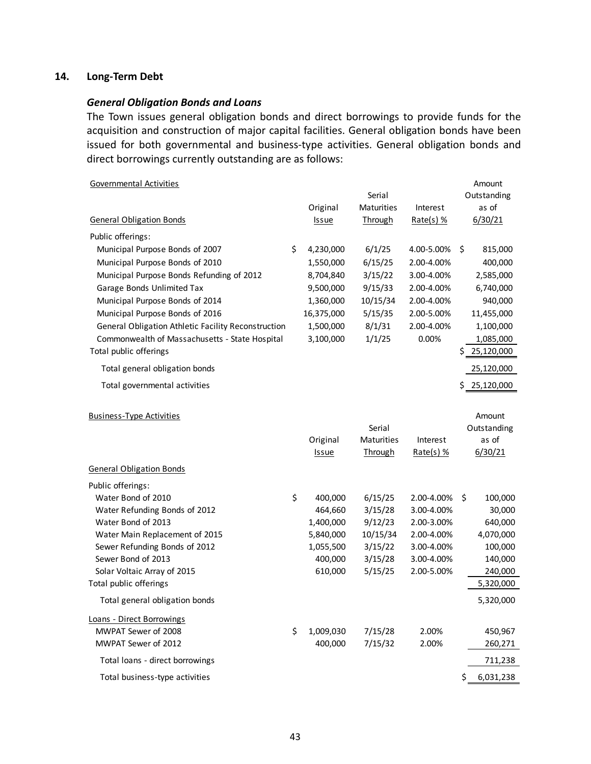## **14. Long‐Term Debt**

#### *General Obligation Bonds and Loans*

The Town issues general obligation bonds and direct borrowings to provide funds for the acquisition and construction of major capital facilities. General obligation bonds have been issued for both governmental and business-type activities. General obligation bonds and direct borrowings currently outstanding are as follows:

| <b>Governmental Activities</b>                      |                 |                   |             |     | Amount      |
|-----------------------------------------------------|-----------------|-------------------|-------------|-----|-------------|
|                                                     |                 | Serial            |             |     | Outstanding |
|                                                     | Original        | <b>Maturities</b> | Interest    |     | as of       |
| <b>General Obligation Bonds</b>                     | Issue           | <b>Through</b>    | Rate(s) $%$ |     | 6/30/21     |
| Public offerings:                                   |                 |                   |             |     |             |
| Municipal Purpose Bonds of 2007                     | \$<br>4,230,000 | 6/1/25            | 4.00-5.00%  | \$  | 815,000     |
| Municipal Purpose Bonds of 2010                     | 1,550,000       | 6/15/25           | 2.00-4.00%  |     | 400,000     |
| Municipal Purpose Bonds Refunding of 2012           | 8,704,840       | 3/15/22           | 3.00-4.00%  |     | 2,585,000   |
| Garage Bonds Unlimited Tax                          | 9,500,000       | 9/15/33           | 2.00-4.00%  |     | 6,740,000   |
| Municipal Purpose Bonds of 2014                     | 1,360,000       | 10/15/34          | 2.00-4.00%  |     | 940,000     |
| Municipal Purpose Bonds of 2016                     | 16,375,000      | 5/15/35           | 2.00-5.00%  |     | 11,455,000  |
| General Obligation Athletic Facility Reconstruction | 1,500,000       | 8/1/31            | 2.00-4.00%  |     | 1,100,000   |
| Commonwealth of Massachusetts - State Hospital      | 3,100,000       | 1/1/25            | 0.00%       |     | 1,085,000   |
| Total public offerings                              |                 |                   |             | S   | 25,120,000  |
| Total general obligation bonds                      |                 |                   |             |     | 25,120,000  |
| Total governmental activities                       |                 |                   |             | \$  | 25,120,000  |
|                                                     |                 |                   |             |     |             |
| <b>Business-Type Activities</b>                     |                 |                   |             |     | Amount      |
|                                                     |                 | Serial            |             |     | Outstanding |
|                                                     | Original        | <b>Maturities</b> | Interest    |     | as of       |
|                                                     | <b>Issue</b>    | <b>Through</b>    | Rate(s) $%$ |     | 6/30/21     |
| <b>General Obligation Bonds</b>                     |                 |                   |             |     |             |
| Public offerings:                                   |                 |                   |             |     |             |
| Water Bond of 2010                                  | \$<br>400,000   | 6/15/25           | 2.00-4.00%  | \$  | 100,000     |
| Water Refunding Bonds of 2012                       | 464,660         | 3/15/28           | 3.00-4.00%  |     | 30,000      |
| Water Bond of 2013                                  | 1,400,000       | 9/12/23           | 2.00-3.00%  |     | 640,000     |
| Water Main Replacement of 2015                      | 5,840,000       | 10/15/34          | 2.00-4.00%  |     | 4,070,000   |
| Sewer Refunding Bonds of 2012                       | 1,055,500       | 3/15/22           | 3.00-4.00%  |     | 100,000     |
| Sewer Bond of 2013                                  | 400,000         | 3/15/28           | 3.00-4.00%  |     | 140,000     |
| Solar Voltaic Array of 2015                         | 610,000         | 5/15/25           | 2.00-5.00%  |     | 240,000     |
| Total public offerings                              |                 |                   |             |     | 5,320,000   |
| Total general obligation bonds                      |                 |                   |             |     | 5,320,000   |
| Loans - Direct Borrowings                           |                 |                   |             |     |             |
| MWPAT Sewer of 2008                                 | \$<br>1,009,030 | 7/15/28           | 2.00%       |     | 450,967     |
| MWPAT Sewer of 2012                                 | 400,000         | 7/15/32           | 2.00%       |     | 260,271     |
| Total loans - direct borrowings                     |                 |                   |             |     | 711,238     |
| Total business-type activities                      |                 |                   |             | \$. | 6,031,238   |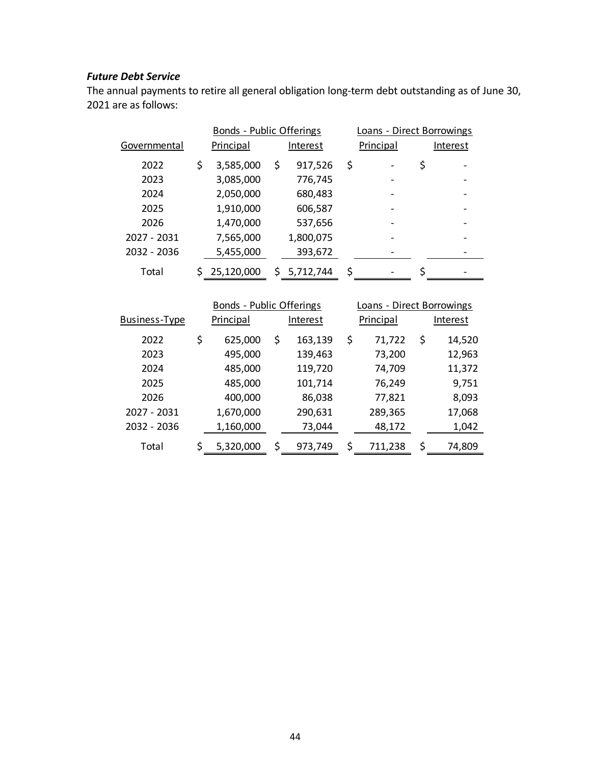## *Future Debt Service*

The annual payments to retire all general obligation long‐term debt outstanding as of June 30, 2021 are as follows:

|                      | Bonds - Public Offerings |    |             | Loans - Direct Borrowings |              |
|----------------------|--------------------------|----|-------------|---------------------------|--------------|
| Governmental         | <b>Principal</b>         |    | Interest    | Principal                 | Interest     |
| 2022                 | \$<br>3,585,000          | \$ | 917,526     | \$                        | \$           |
| 2023                 | 3,085,000                |    | 776,745     |                           |              |
| 2024                 | 2,050,000                |    | 680,483     |                           |              |
| 2025                 | 1,910,000                |    | 606,587     |                           |              |
| 2026                 | 1,470,000                |    | 537,656     |                           |              |
| 2027 - 2031          | 7,565,000                |    | 1,800,075   |                           |              |
| 2032 - 2036          | 5,455,000                |    | 393,672     |                           |              |
| Total                | \$25,120,000             |    | \$5,712,744 | \$                        | \$           |
|                      |                          |    |             |                           |              |
|                      |                          |    |             |                           |              |
|                      | Bonds - Public Offerings |    |             | Loans - Direct Borrowings |              |
| <b>Business-Type</b> | <b>Principal</b>         |    | Interest    | Principal                 | Interest     |
| 2022                 | \$<br>625,000            | \$ | 163,139     | \$<br>71,722              | \$<br>14,520 |
| 2023                 | 495,000                  |    | 139,463     | 73,200                    | 12,963       |
| 2024                 | 485,000                  |    | 119,720     | 74,709                    | 11,372       |
| 2025                 | 485,000                  |    | 101,714     | 76,249                    | 9,751        |
| 2026                 | 400,000                  |    | 86,038      | 77,821                    | 8,093        |
| 2027 - 2031          | 1,670,000                |    | 290,631     | 289,365                   | 17,068       |
| 2032 - 2036          | 1,160,000                |    | 73,044      | 48,172                    | 1,042        |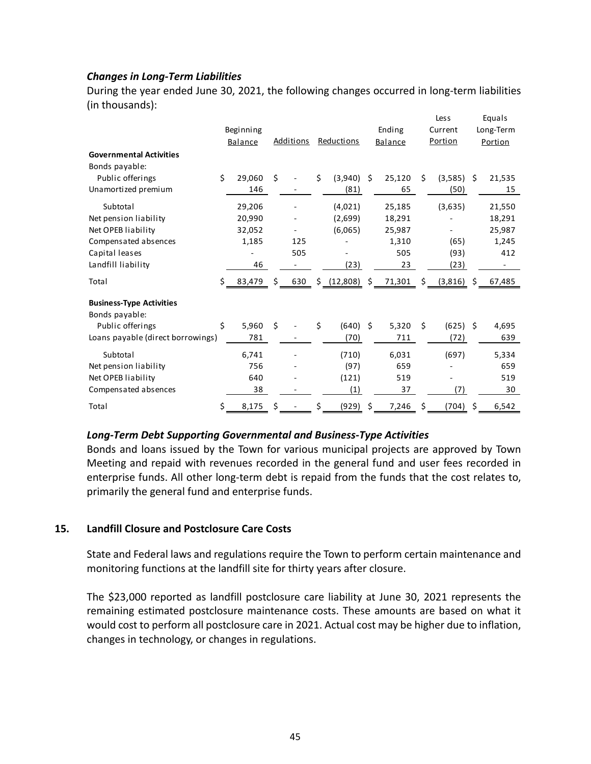## *Changes in Long‐Term Liabilities*

During the year ended June 30, 2021, the following changes occurred in long-term liabilities (in thousands):

| <b>Governmental Activities</b>                    | Beginning<br>Balance |    | Additions |    | Reductions   |    | Ending<br><b>Balance</b>       |    | Less<br>Current<br>Portion |    | Equals<br>Long-Term<br>Portion |
|---------------------------------------------------|----------------------|----|-----------|----|--------------|----|--------------------------------|----|----------------------------|----|--------------------------------|
| Bonds payable:                                    |                      |    |           |    |              |    |                                |    |                            |    |                                |
| Public offerings                                  | \$<br>29,060         | Ś  |           | \$ | $(3,940)$ \$ |    | 25,120                         | Ś. | (3,585)                    | Ŝ. | 21,535                         |
| Unamortized premium                               | 146                  |    |           |    | (81)         |    | 65                             |    | (50)                       |    | 15                             |
| Subtotal                                          | 29,206               |    |           |    | (4,021)      |    | 25,185                         |    | (3,635)                    |    | 21,550                         |
| Net pension liability                             | 20,990               |    |           |    | (2,699)      |    | 18,291                         |    |                            |    | 18,291                         |
| Net OPEB liability                                | 32,052               |    |           |    | (6,065)      |    | 25,987                         |    |                            |    | 25,987                         |
| Compensated absences                              | 1,185                |    | 125       |    |              |    | 1,310                          |    | (65)                       |    | 1,245                          |
| Capital leases                                    |                      |    | 505       |    |              |    | 505                            |    | (93)                       |    | 412                            |
| Landfill liability                                | 46                   |    |           |    | (23)         |    | 23                             |    | (23)                       |    |                                |
| Total                                             | $$ -83,479$          | S. | 630       |    |              |    | $\frac{(12,808)}{2}$ \$ 71,301 | S. | (3,816)                    | S. | 67,485                         |
| <b>Business-Type Activities</b><br>Bonds payable: |                      |    |           |    |              |    |                                |    |                            |    |                                |
| Public offerings                                  | \$<br>5,960          | \$ |           | Ś. | (640)        | Ŝ. | 5,320                          | Ś. | (625)                      | Ŝ. | 4,695                          |
| Loans payable (direct borrowings)                 | 781                  |    |           |    | (70)         |    | 711                            |    | (72)                       |    | 639                            |
| Subtotal                                          | 6,741                |    |           |    | (710)        |    | 6,031                          |    | (697)                      |    | 5,334                          |
| Net pension liability                             | 756                  |    |           |    | (97)         |    | 659                            |    |                            |    | 659                            |
| Net OPEB liability                                | 640                  |    |           |    | (121)        |    | 519                            |    |                            |    | 519                            |
| Compensated absences                              | 38                   |    |           |    | (1)          |    | 37                             |    | (7)                        |    | 30                             |
| Total                                             | \$<br>8,175          | Ś  |           | Ś  | (929)        | Ś  | 7,246                          | Ś  | (704)                      | Ś  | 6,542                          |

### *Long‐Term Debt Supporting Governmental and Business‐Type Activities*

Bonds and loans issued by the Town for various municipal projects are approved by Town Meeting and repaid with revenues recorded in the general fund and user fees recorded in enterprise funds. All other long-term debt is repaid from the funds that the cost relates to, primarily the general fund and enterprise funds.

### **15. Landfill Closure and Postclosure Care Costs**

State and Federal laws and regulations require the Town to perform certain maintenance and monitoring functions at the landfill site for thirty years after closure.

The \$23,000 reported as landfill postclosure care liability at June 30, 2021 represents the remaining estimated postclosure maintenance costs. These amounts are based on what it would cost to perform all postclosure care in 2021. Actual cost may be higher due to inflation, changes in technology, or changes in regulations.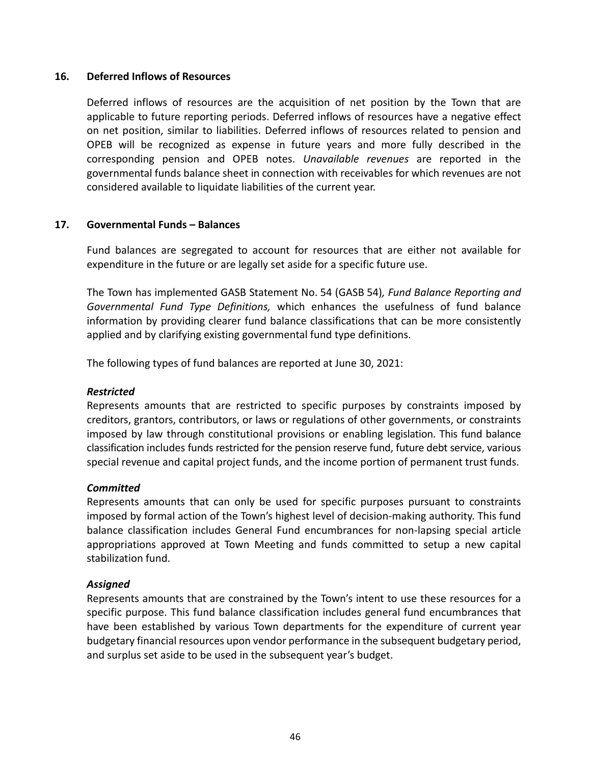#### **16. Deferred Inflows of Resources**

Deferred inflows of resources are the acquisition of net position by the Town that are applicable to future reporting periods. Deferred inflows of resources have a negative effect on net position, similar to liabilities. Deferred inflows of resources related to pension and OPEB will be recognized as expense in future years and more fully described in the corresponding pension and OPEB notes. *Unavailable revenues* are reported in the governmental funds balance sheet in connection with receivables for which revenues are not considered available to liquidate liabilities of the current year.

### **17. Governmental Funds – Balances**

Fund balances are segregated to account for resources that are either not available for expenditure in the future or are legally set aside for a specific future use.

The Town has implemented GASB Statement No. 54 (GASB 54)*, Fund Balance Reporting and Governmental Fund Type Definitions,*  which enhances the usefulness of fund balance information by providing clearer fund balance classifications that can be more consistently applied and by clarifying existing governmental fund type definitions.

The following types of fund balances are reported at June 30, 2021:

#### *Restricted*

Represents amounts that are restricted to specific purposes by constraints imposed by creditors, grantors, contributors, or laws or regulations of other governments, or constraints imposed by law through constitutional provisions or enabling legislation. This fund balance classification includes funds restricted for the pension reserve fund, future debt service, various special revenue and capital project funds, and the income portion of permanent trust funds.

#### *Committed*

Represents amounts that can only be used for specific purposes pursuant to constraints imposed by formal action of the Town's highest level of decision‐making authority. This fund balance classification includes General Fund encumbrances for non-lapsing special article appropriations approved at Town Meeting and funds committed to setup a new capital stabilization fund.

#### *Assigned*

Represents amounts that are constrained by the Town's intent to use these resources for a specific purpose. This fund balance classification includes general fund encumbrances that have been established by various Town departments for the expenditure of current year budgetary financial resources upon vendor performance in the subsequent budgetary period, and surplus set aside to be used in the subsequent year's budget.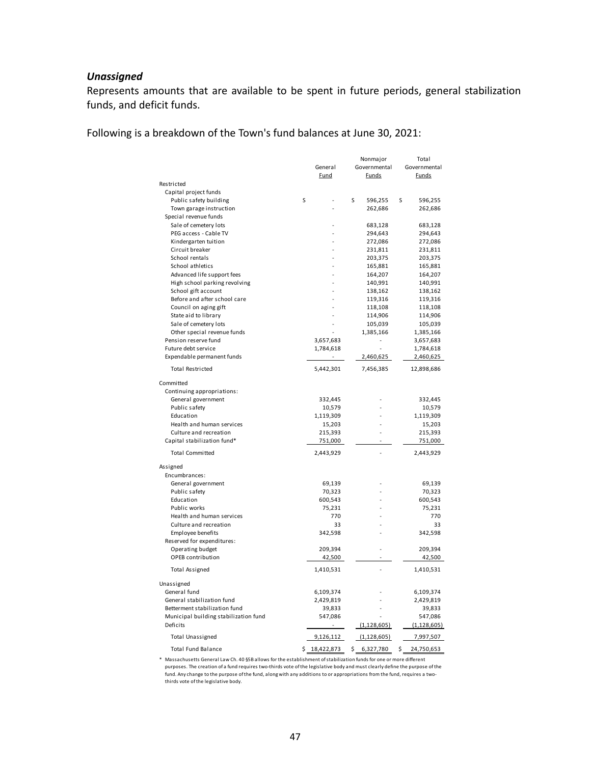## *Unassigned*

Represents amounts that are available to be spent in future periods, general stabilization funds, and deficit funds.

Following is a breakdown of the Town's fund balances at June 30, 2021:

|                                       |    | General<br><b>Fund</b> | Nonmajor<br>Governmental<br><b>Funds</b> |    | Total<br>Governmental<br><b>Funds</b> |
|---------------------------------------|----|------------------------|------------------------------------------|----|---------------------------------------|
| Restricted                            |    |                        |                                          |    |                                       |
| Capital project funds                 |    |                        |                                          |    |                                       |
| Public safety building                | S  |                        | S<br>596,255                             | S  | 596,255                               |
| Town garage instruction               |    |                        | 262,686                                  |    | 262,686                               |
| Special revenue funds                 |    |                        |                                          |    |                                       |
| Sale of cemetery lots                 |    |                        | 683,128                                  |    | 683,128                               |
| PEG access - Cable TV                 |    |                        | 294,643                                  |    | 294,643                               |
| Kindergarten tuition                  |    |                        | 272,086                                  |    | 272,086                               |
| Circuit breaker                       |    |                        | 231,811                                  |    | 231,811                               |
| School rentals                        |    |                        | 203,375                                  |    | 203,375                               |
| School athletics                      |    |                        | 165,881                                  |    | 165,881                               |
| Advanced life support fees            |    |                        | 164,207                                  |    | 164,207                               |
| High school parking revolving         |    |                        | 140,991                                  |    | 140,991                               |
| School gift account                   |    |                        | 138,162                                  |    | 138,162                               |
| Before and after school care          |    |                        | 119,316                                  |    | 119,316                               |
| Council on aging gift                 |    |                        | 118,108                                  |    | 118,108                               |
| State aid to library                  |    |                        | 114,906                                  |    | 114,906                               |
| Sale of cemetery lots                 |    |                        | 105,039                                  |    | 105,039                               |
| Other special revenue funds           |    |                        | 1,385,166                                |    | 1,385,166                             |
| Pension reserve fund                  |    | 3,657,683              | L                                        |    | 3,657,683                             |
| Future debt service                   |    | 1,784,618              |                                          |    | 1,784,618                             |
| Expendable permanent funds            |    | $\omega$               | 2,460,625                                |    | 2,460,625                             |
|                                       |    |                        |                                          |    |                                       |
| <b>Total Restricted</b>               |    | 5,442,301              | 7,456,385                                |    | 12,898,686                            |
| Committed                             |    |                        |                                          |    |                                       |
| Continuing appropriations:            |    |                        |                                          |    |                                       |
| General government                    |    | 332,445                |                                          |    | 332,445                               |
| Public safety                         |    | 10,579                 |                                          |    | 10,579                                |
| Education                             |    | 1,119,309              |                                          |    | 1,119,309                             |
| Health and human services             |    | 15,203                 |                                          |    | 15,203                                |
| Culture and recreation                |    | 215,393                |                                          |    | 215,393                               |
| Capital stabilization fund*           |    | 751,000                |                                          |    | 751,000                               |
| <b>Total Committed</b>                |    | 2,443,929              |                                          |    | 2,443,929                             |
| Assigned                              |    |                        |                                          |    |                                       |
| Encumbrances:                         |    |                        |                                          |    |                                       |
| General government                    |    | 69,139                 |                                          |    | 69,139                                |
| Public safety                         |    | 70,323                 |                                          |    | 70,323                                |
| Education                             |    | 600,543                |                                          |    | 600,543                               |
| Public works                          |    | 75,231                 |                                          |    | 75,231                                |
| Health and human services             |    | 770                    |                                          |    | 770                                   |
| Culture and recreation                |    | 33                     |                                          |    | 33                                    |
| Employee benefits                     |    | 342,598                |                                          |    | 342,598                               |
| Reserved for expenditures:            |    |                        |                                          |    |                                       |
| Operating budget                      |    | 209,394                |                                          |    | 209,394                               |
| OPEB contribution                     |    | 42,500                 |                                          |    | 42,500                                |
| <b>Total Assigned</b>                 |    | 1,410,531              |                                          |    | 1,410,531                             |
| Unassigned                            |    |                        |                                          |    |                                       |
| General fund                          |    | 6,109,374              |                                          |    | 6,109,374                             |
| General stabilization fund            |    | 2,429,819              |                                          |    | 2,429,819                             |
| Betterment stabilization fund         |    | 39,833                 |                                          |    | 39,833                                |
| Municipal building stabilization fund |    | 547,086                |                                          |    | 547,086                               |
| Deficits                              |    |                        | (1, 128, 605)                            |    | (1, 128, 605)                         |
| <b>Total Unassigned</b>               |    | 9,126,112              | (1, 128, 605)                            |    | 7,997,507                             |
| <b>Total Fund Balance</b>             | \$ | 18,422,873             | \$<br>6,327,780                          | \$ | 24,750,653                            |

\* Massachusetts General Law Ch. 40 §5B allows for the establishment of stabilization funds for one or more different purposes. The creation of a fund requires two-thirds vote of the legislative body and must clearly define the purpose of the fund. Any change to the purpose of the fund, along with any additions to or appropriations from the fund, requires a two‐<br>thirds vote of the legislative body.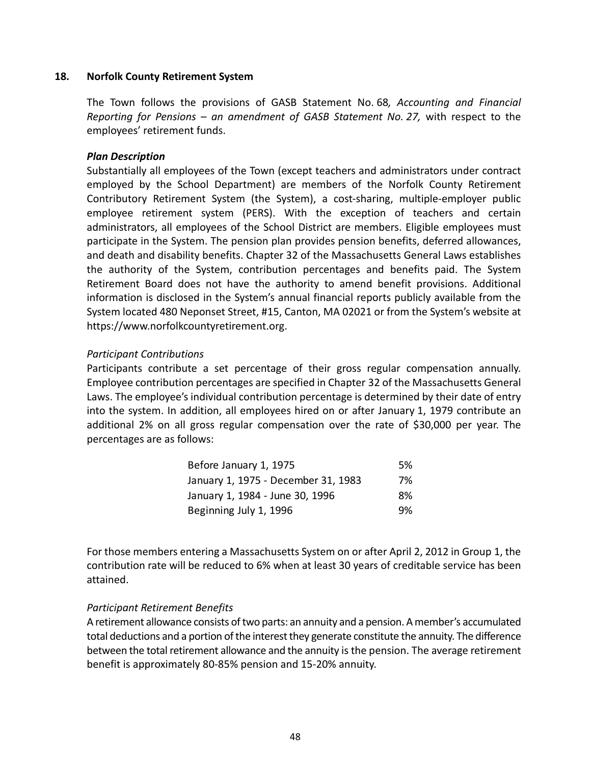#### **18. Norfolk County Retirement System**

The Town follows the provisions of GASB Statement No. 68*, Accounting and Financial Reporting for Pensions – an amendment of GASB Statement No. 27,* with respect to the employees' retirement funds.

### *Plan Description*

Substantially all employees of the Town (except teachers and administrators under contract employed by the School Department) are members of the Norfolk County Retirement Contributory Retirement System (the System), a cost‐sharing, multiple‐employer public employee retirement system (PERS). With the exception of teachers and certain administrators, all employees of the School District are members. Eligible employees must participate in the System. The pension plan provides pension benefits, deferred allowances, and death and disability benefits. Chapter 32 of the Massachusetts General Laws establishes the authority of the System, contribution percentages and benefits paid. The System Retirement Board does not have the authority to amend benefit provisions. Additional information is disclosed in the System's annual financial reports publicly available from the System located 480 Neponset Street, #15, Canton, MA 02021 or from the System's website at https://www.norfolkcountyretirement.org.

#### *Participant Contributions*

Participants contribute a set percentage of their gross regular compensation annually. Employee contribution percentages are specified in Chapter 32 of the Massachusetts General Laws. The employee's individual contribution percentage is determined by their date of entry into the system. In addition, all employees hired on or after January 1, 1979 contribute an additional 2% on all gross regular compensation over the rate of \$30,000 per year. The percentages are as follows:

| Before January 1, 1975              | .5% |
|-------------------------------------|-----|
| January 1, 1975 - December 31, 1983 | 7%  |
| January 1, 1984 - June 30, 1996     | 8%  |
| Beginning July 1, 1996              | 9%  |

For those members entering a Massachusetts System on or after April 2, 2012 in Group 1, the contribution rate will be reduced to 6% when at least 30 years of creditable service has been attained.

### *Participant Retirement Benefits*

A retirement allowance consists of two parts: an annuity and a pension. A member's accumulated total deductions and a portion of the interest they generate constitute the annuity. The difference between the total retirement allowance and the annuity is the pension. The average retirement benefit is approximately 80‐85% pension and 15‐20% annuity.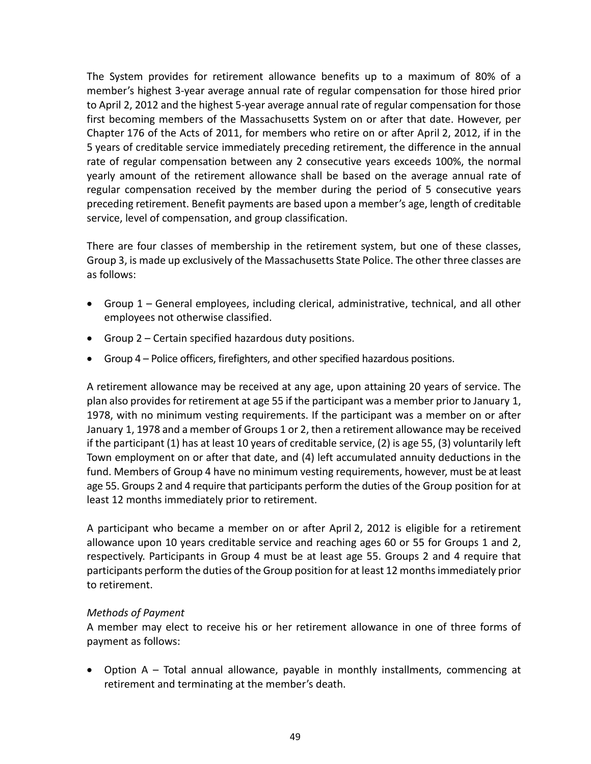The System provides for retirement allowance benefits up to a maximum of 80% of a member's highest 3‐year average annual rate of regular compensation for those hired prior to April 2, 2012 and the highest 5‐year average annual rate of regular compensation for those first becoming members of the Massachusetts System on or after that date. However, per Chapter 176 of the Acts of 2011, for members who retire on or after April 2, 2012, if in the 5 years of creditable service immediately preceding retirement, the difference in the annual rate of regular compensation between any 2 consecutive years exceeds 100%, the normal yearly amount of the retirement allowance shall be based on the average annual rate of regular compensation received by the member during the period of 5 consecutive years preceding retirement. Benefit payments are based upon a member's age, length of creditable service, level of compensation, and group classification.

There are four classes of membership in the retirement system, but one of these classes, Group 3, is made up exclusively of the Massachusetts State Police. The other three classes are as follows:

- Group 1 General employees, including clerical, administrative, technical, and all other employees not otherwise classified.
- Group 2 Certain specified hazardous duty positions.
- Group 4 Police officers, firefighters, and other specified hazardous positions.

A retirement allowance may be received at any age, upon attaining 20 years of service. The plan also provides for retirement at age 55 if the participant was a member prior to January 1, 1978, with no minimum vesting requirements. If the participant was a member on or after January 1, 1978 and a member of Groups 1 or 2, then a retirement allowance may be received if the participant (1) has at least 10 years of creditable service, (2) is age 55, (3) voluntarily left Town employment on or after that date, and (4) left accumulated annuity deductions in the fund. Members of Group 4 have no minimum vesting requirements, however, must be at least age 55. Groups 2 and 4 require that participants perform the duties of the Group position for at least 12 months immediately prior to retirement.

A participant who became a member on or after April 2, 2012 is eligible for a retirement allowance upon 10 years creditable service and reaching ages 60 or 55 for Groups 1 and 2, respectively. Participants in Group 4 must be at least age 55. Groups 2 and 4 require that participants perform the duties of the Group position for at least 12 months immediately prior to retirement.

## *Methods of Payment*

A member may elect to receive his or her retirement allowance in one of three forms of payment as follows:

• Option A – Total annual allowance, payable in monthly installments, commencing at retirement and terminating at the member's death.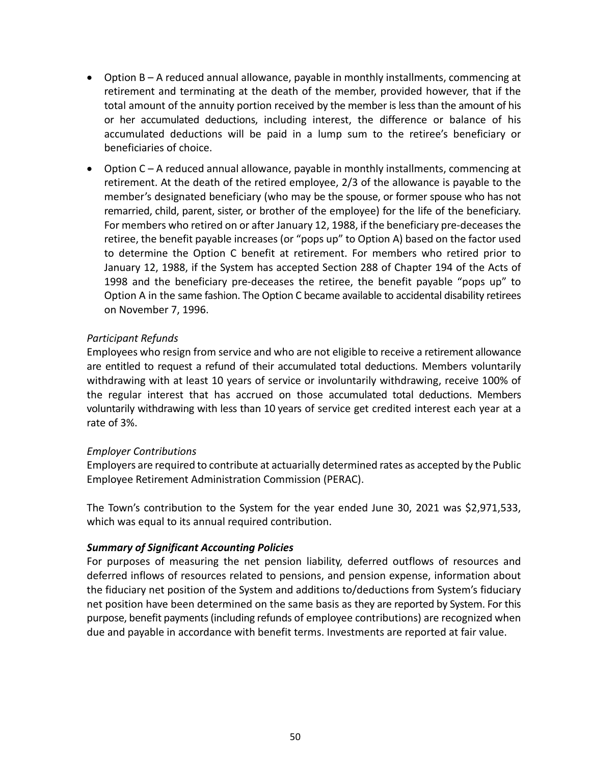- Option B A reduced annual allowance, payable in monthly installments, commencing at retirement and terminating at the death of the member, provided however, that if the total amount of the annuity portion received by the member is less than the amount of his or her accumulated deductions, including interest, the difference or balance of his accumulated deductions will be paid in a lump sum to the retiree's beneficiary or beneficiaries of choice.
- Option C A reduced annual allowance, payable in monthly installments, commencing at retirement. At the death of the retired employee, 2/3 of the allowance is payable to the member's designated beneficiary (who may be the spouse, or former spouse who has not remarried, child, parent, sister, or brother of the employee) for the life of the beneficiary. For members who retired on or after January 12, 1988, if the beneficiary pre‐deceases the retiree, the benefit payable increases (or "pops up" to Option A) based on the factor used to determine the Option C benefit at retirement. For members who retired prior to January 12, 1988, if the System has accepted Section 288 of Chapter 194 of the Acts of 1998 and the beneficiary pre-deceases the retiree, the benefit payable "pops up" to Option A in the same fashion. The Option C became available to accidental disability retirees on November 7, 1996.

## *Participant Refunds*

Employees who resign from service and who are not eligible to receive a retirement allowance are entitled to request a refund of their accumulated total deductions. Members voluntarily withdrawing with at least 10 years of service or involuntarily withdrawing, receive 100% of the regular interest that has accrued on those accumulated total deductions. Members voluntarily withdrawing with less than 10 years of service get credited interest each year at a rate of 3%.

## *Employer Contributions*

Employers are required to contribute at actuarially determined rates as accepted by the Public Employee Retirement Administration Commission (PERAC).

The Town's contribution to the System for the year ended June 30, 2021 was \$2,971,533, which was equal to its annual required contribution.

## *Summary of Significant Accounting Policies*

For purposes of measuring the net pension liability, deferred outflows of resources and deferred inflows of resources related to pensions, and pension expense, information about the fiduciary net position of the System and additions to/deductions from System's fiduciary net position have been determined on the same basis as they are reported by System. For this purpose, benefit payments (including refunds of employee contributions) are recognized when due and payable in accordance with benefit terms. Investments are reported at fair value.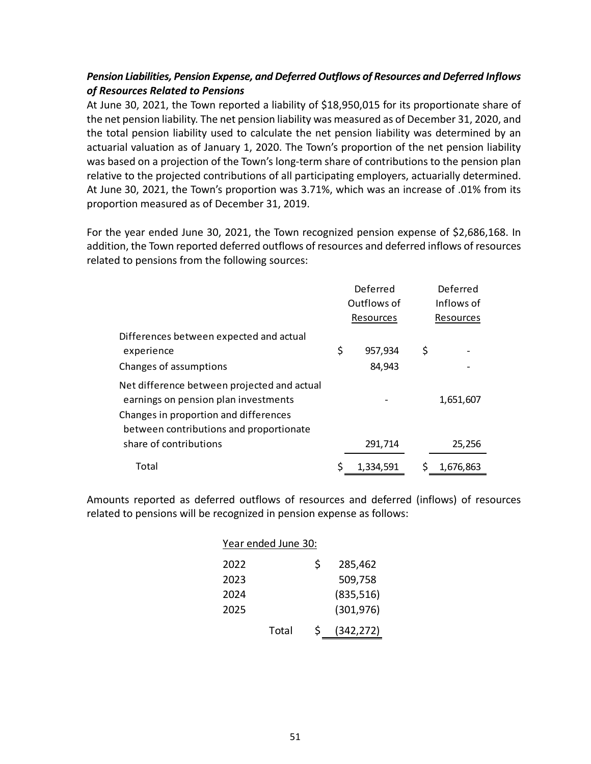## *Pension Liabilities, Pension Expense, and Deferred Outflows of Resources and Deferred Inflows of Resources Related to Pensions*

At June 30, 2021, the Town reported a liability of \$18,950,015 for its proportionate share of the net pension liability. The net pension liability was measured as of December 31, 2020, and the total pension liability used to calculate the net pension liability was determined by an actuarial valuation as of January 1, 2020. The Town's proportion of the net pension liability was based on a projection of the Town's long-term share of contributions to the pension plan relative to the projected contributions of all participating employers, actuarially determined. At June 30, 2021, the Town's proportion was 3.71%, which was an increase of .01% from its proportion measured as of December 31, 2019.

For the year ended June 30, 2021, the Town recognized pension expense of \$2,686,168. In addition, the Town reported deferred outflows of resources and deferred inflows of resources related to pensions from the following sources:

|                                                                                     | Deferred    |           | Deferred        |
|-------------------------------------------------------------------------------------|-------------|-----------|-----------------|
|                                                                                     | Outflows of |           | Inflows of      |
|                                                                                     |             | Resources | Resources       |
| Differences between expected and actual                                             |             |           |                 |
| experience                                                                          | \$          | 957,934   | \$              |
| Changes of assumptions                                                              |             | 84,943    |                 |
| Net difference between projected and actual<br>earnings on pension plan investments |             |           | 1,651,607       |
| Changes in proportion and differences<br>between contributions and proportionate    |             |           |                 |
| share of contributions                                                              |             | 291,714   | 25,256          |
| Total                                                                               |             | 1,334,591 | \$<br>1.676.863 |

Amounts reported as deferred outflows of resources and deferred (inflows) of resources related to pensions will be recognized in pension expense as follows:

|      | Year ended June 30: |    |            |
|------|---------------------|----|------------|
| 2022 |                     | Ś  | 285,462    |
| 2023 |                     |    | 509,758    |
| 2024 |                     |    | (835, 516) |
| 2025 |                     |    | (301, 976) |
|      | Total               | Ś. | (342, 272) |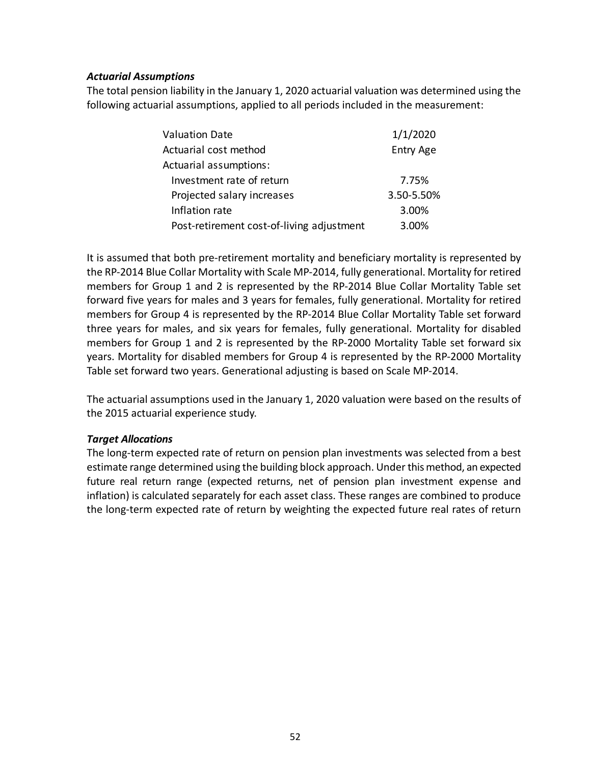### *Actuarial Assumptions*

The total pension liability in the January 1, 2020 actuarial valuation was determined using the following actuarial assumptions, applied to all periods included in the measurement:

| <b>Valuation Date</b>                     | 1/1/2020   |
|-------------------------------------------|------------|
| Actuarial cost method                     | Entry Age  |
| Actuarial assumptions:                    |            |
| Investment rate of return                 | 7.75%      |
| Projected salary increases                | 3.50-5.50% |
| Inflation rate                            | 3.00%      |
| Post-retirement cost-of-living adjustment | 3.00%      |

It is assumed that both pre-retirement mortality and beneficiary mortality is represented by the RP‐2014 Blue Collar Mortality with Scale MP‐2014, fully generational. Mortality for retired members for Group 1 and 2 is represented by the RP-2014 Blue Collar Mortality Table set forward five years for males and 3 years for females, fully generational. Mortality for retired members for Group 4 is represented by the RP‐2014 Blue Collar Mortality Table set forward three years for males, and six years for females, fully generational. Mortality for disabled members for Group 1 and 2 is represented by the RP-2000 Mortality Table set forward six years. Mortality for disabled members for Group 4 is represented by the RP‐2000 Mortality Table set forward two years. Generational adjusting is based on Scale MP‐2014.

The actuarial assumptions used in the January 1, 2020 valuation were based on the results of the 2015 actuarial experience study.

### *Target Allocations*

The long‐term expected rate of return on pension plan investments was selected from a best estimate range determined using the building block approach. Under this method, an expected future real return range (expected returns, net of pension plan investment expense and inflation) is calculated separately for each asset class. These ranges are combined to produce the long-term expected rate of return by weighting the expected future real rates of return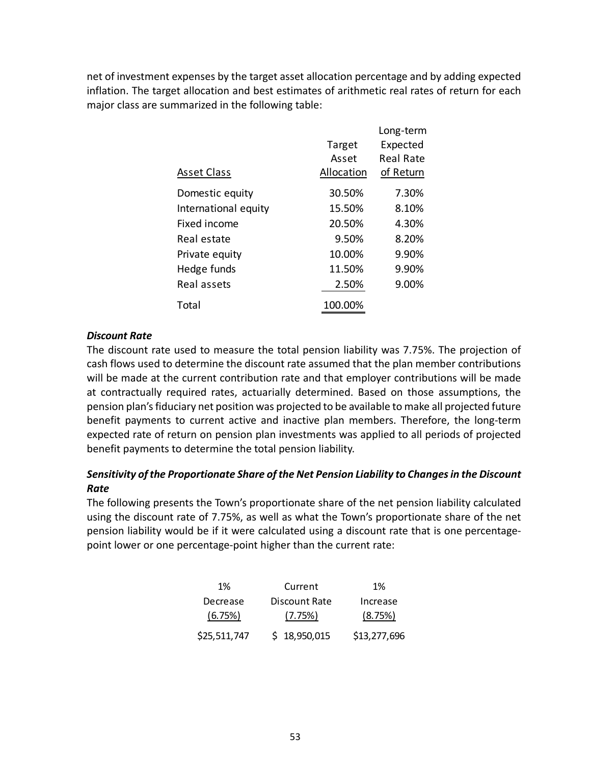net of investment expenses by the target asset allocation percentage and by adding expected inflation. The target allocation and best estimates of arithmetic real rates of return for each major class are summarized in the following table:

|                      |            | Long-term |
|----------------------|------------|-----------|
|                      | Target     | Expected  |
|                      | Asset      | Real Rate |
| <b>Asset Class</b>   | Allocation | of Return |
| Domestic equity      | 30.50%     | 7.30%     |
| International equity | 15.50%     | 8.10%     |
| Fixed income         | 20.50%     | 4.30%     |
| Real estate          | 9.50%      | 8.20%     |
| Private equity       | 10.00%     | 9.90%     |
| Hedge funds          | 11.50%     | 9.90%     |
| Real assets          | 2.50%      | 9.00%     |
| Total                | 100.00%    |           |

### *Discount Rate*

The discount rate used to measure the total pension liability was 7.75%. The projection of cash flows used to determine the discount rate assumed that the plan member contributions will be made at the current contribution rate and that employer contributions will be made at contractually required rates, actuarially determined. Based on those assumptions, the pension plan's fiduciary net position was projected to be available to make all projected future benefit payments to current active and inactive plan members. Therefore, the long-term expected rate of return on pension plan investments was applied to all periods of projected benefit payments to determine the total pension liability.

## *Sensitivity of the Proportionate Share of the Net Pension Liability to Changes in the Discount Rate*

The following presents the Town's proportionate share of the net pension liability calculated using the discount rate of 7.75%, as well as what the Town's proportionate share of the net pension liability would be if it were calculated using a discount rate that is one percentage‐ point lower or one percentage‐point higher than the current rate:

| 1%           | Current       | 1%           |
|--------------|---------------|--------------|
| Decrease     | Discount Rate | Increase     |
| (6.75%)      | (7.75%)       | (8.75%)      |
| \$25,511,747 | \$18,950,015  | \$13,277,696 |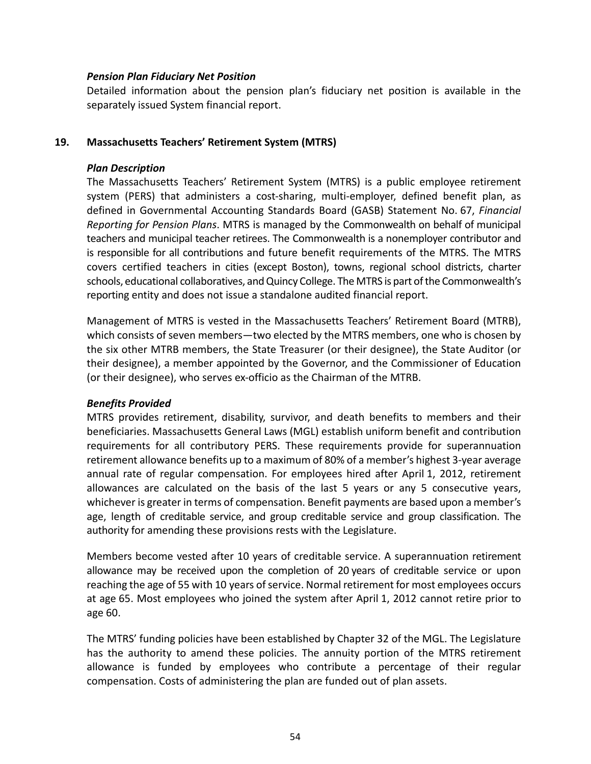#### *Pension Plan Fiduciary Net Position*

Detailed information about the pension plan's fiduciary net position is available in the separately issued System financial report.

#### **19. Massachusetts Teachers' Retirement System (MTRS)**

#### *Plan Description*

The Massachusetts Teachers' Retirement System (MTRS) is a public employee retirement system (PERS) that administers a cost-sharing, multi-employer, defined benefit plan, as defined in Governmental Accounting Standards Board (GASB) Statement No. 67, *Financial Reporting for Pension Plans*. MTRS is managed by the Commonwealth on behalf of municipal teachers and municipal teacher retirees. The Commonwealth is a nonemployer contributor and is responsible for all contributions and future benefit requirements of the MTRS. The MTRS covers certified teachers in cities (except Boston), towns, regional school districts, charter schools, educational collaboratives, and Quincy College. The MTRS is part of the Commonwealth's reporting entity and does not issue a standalone audited financial report.

Management of MTRS is vested in the Massachusetts Teachers' Retirement Board (MTRB), which consists of seven members—two elected by the MTRS members, one who is chosen by the six other MTRB members, the State Treasurer (or their designee), the State Auditor (or their designee), a member appointed by the Governor, and the Commissioner of Education (or their designee), who serves ex‐officio as the Chairman of the MTRB.

### *Benefits Provided*

MTRS provides retirement, disability, survivor, and death benefits to members and their beneficiaries. Massachusetts General Laws (MGL) establish uniform benefit and contribution requirements for all contributory PERS. These requirements provide for superannuation retirement allowance benefits up to a maximum of 80% of a member's highest 3‐year average annual rate of regular compensation. For employees hired after April 1, 2012, retirement allowances are calculated on the basis of the last 5 years or any 5 consecutive years, whichever is greater in terms of compensation. Benefit payments are based upon a member's age, length of creditable service, and group creditable service and group classification. The authority for amending these provisions rests with the Legislature.

Members become vested after 10 years of creditable service. A superannuation retirement allowance may be received upon the completion of 20 years of creditable service or upon reaching the age of 55 with 10 years of service. Normal retirement for most employees occurs at age 65. Most employees who joined the system after April 1, 2012 cannot retire prior to age 60.

The MTRS' funding policies have been established by Chapter 32 of the MGL. The Legislature has the authority to amend these policies. The annuity portion of the MTRS retirement allowance is funded by employees who contribute a percentage of their regular compensation. Costs of administering the plan are funded out of plan assets.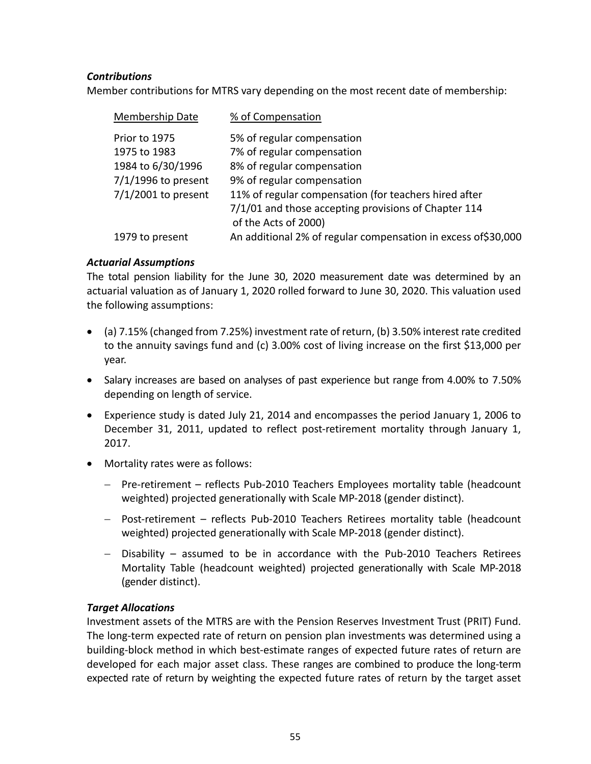## *Contributions*

Member contributions for MTRS vary depending on the most recent date of membership:

| Membership Date       | % of Compensation                                              |
|-----------------------|----------------------------------------------------------------|
| Prior to 1975         | 5% of regular compensation                                     |
| 1975 to 1983          | 7% of regular compensation                                     |
| 1984 to 6/30/1996     | 8% of regular compensation                                     |
| $7/1/1996$ to present | 9% of regular compensation                                     |
| $7/1/2001$ to present | 11% of regular compensation (for teachers hired after          |
|                       | 7/1/01 and those accepting provisions of Chapter 114           |
|                       | of the Acts of 2000)                                           |
| 1979 to present       | An additional 2% of regular compensation in excess of \$30,000 |

## *Actuarial Assumptions*

The total pension liability for the June 30, 2020 measurement date was determined by an actuarial valuation as of January 1, 2020 rolled forward to June 30, 2020. This valuation used the following assumptions:

- $\bullet$  (a) 7.15% (changed from 7.25%) investment rate of return, (b) 3.50% interest rate credited to the annuity savings fund and (c) 3.00% cost of living increase on the first \$13,000 per year.
- Salary increases are based on analyses of past experience but range from 4.00% to 7.50% depending on length of service.
- Experience study is dated July 21, 2014 and encompasses the period January 1, 2006 to December 31, 2011, updated to reflect post-retirement mortality through January 1, 2017.
- Mortality rates were as follows:
	- Pre-retirement reflects Pub-2010 Teachers Employees mortality table (headcount weighted) projected generationally with Scale MP‐2018 (gender distinct).
	- Post-retirement reflects Pub-2010 Teachers Retirees mortality table (headcount weighted) projected generationally with Scale MP‐2018 (gender distinct).
	- Disability assumed to be in accordance with the Pub‐2010 Teachers Retirees Mortality Table (headcount weighted) projected generationally with Scale MP‐2018 (gender distinct).

### *Target Allocations*

Investment assets of the MTRS are with the Pension Reserves Investment Trust (PRIT) Fund. The long‐term expected rate of return on pension plan investments was determined using a building‐block method in which best‐estimate ranges of expected future rates of return are developed for each major asset class. These ranges are combined to produce the long‐term expected rate of return by weighting the expected future rates of return by the target asset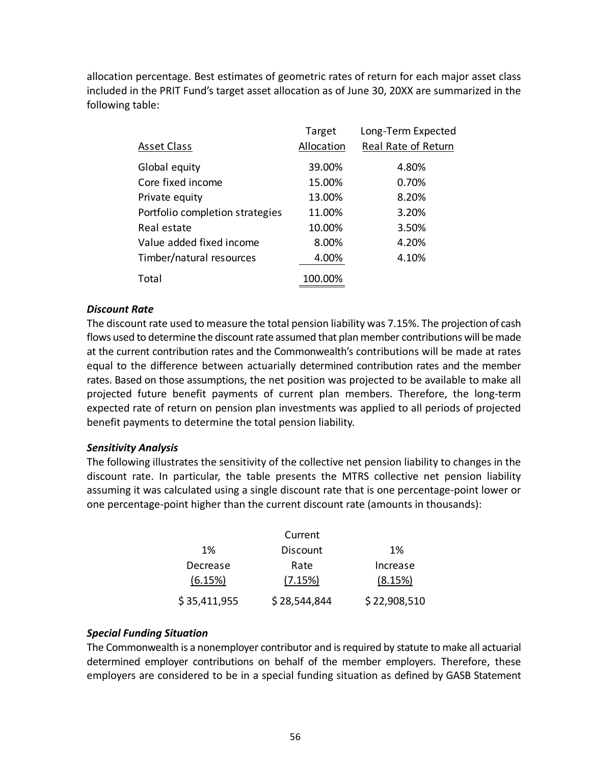allocation percentage. Best estimates of geometric rates of return for each major asset class included in the PRIT Fund's target asset allocation as of June 30, 20XX are summarized in the following table:

|                                 | Target     | Long-Term Expected  |
|---------------------------------|------------|---------------------|
| <b>Asset Class</b>              | Allocation | Real Rate of Return |
| Global equity                   | 39.00%     | 4.80%               |
| Core fixed income               | 15.00%     | 0.70%               |
| Private equity                  | 13.00%     | 8.20%               |
| Portfolio completion strategies | 11.00%     | 3.20%               |
| Real estate                     | 10.00%     | 3.50%               |
| Value added fixed income        | 8.00%      | 4.20%               |
| Timber/natural resources        | 4.00%      | 4.10%               |
| Total                           | 100.00%    |                     |

### *Discount Rate*

The discount rate used to measure the total pension liability was 7.15%. The projection of cash flows used to determine the discount rate assumed that plan member contributions will be made at the current contribution rates and the Commonwealth's contributions will be made at rates equal to the difference between actuarially determined contribution rates and the member rates. Based on those assumptions, the net position was projected to be available to make all projected future benefit payments of current plan members. Therefore, the long‐term expected rate of return on pension plan investments was applied to all periods of projected benefit payments to determine the total pension liability.

### *Sensitivity Analysis*

The following illustrates the sensitivity of the collective net pension liability to changes in the discount rate. In particular, the table presents the MTRS collective net pension liability assuming it was calculated using a single discount rate that is one percentage‐point lower or one percentage‐point higher than the current discount rate (amounts in thousands):

|              | Current      |              |
|--------------|--------------|--------------|
| 1%           | Discount     | 1%           |
| Decrease     | Rate         | Increase     |
| (6.15%)      | (7.15%)      | (8.15%)      |
| \$35,411,955 | \$28,544,844 | \$22,908,510 |

### *Special Funding Situation*

The Commonwealth is a nonemployer contributor and is required by statute to make all actuarial determined employer contributions on behalf of the member employers. Therefore, these employers are considered to be in a special funding situation as defined by GASB Statement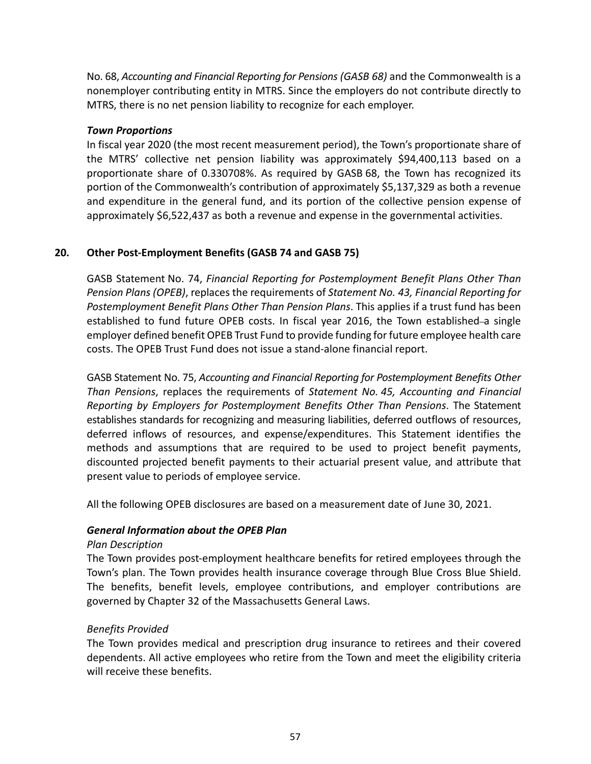No. 68, *Accounting and Financial Reporting for Pensions (GASB 68)* and the Commonwealth is a nonemployer contributing entity in MTRS. Since the employers do not contribute directly to MTRS, there is no net pension liability to recognize for each employer.

### *Town Proportions*

In fiscal year 2020 (the most recent measurement period), the Town's proportionate share of the MTRS' collective net pension liability was approximately \$94,400,113 based on a proportionate share of 0.330708%. As required by GASB 68, the Town has recognized its portion of the Commonwealth's contribution of approximately \$5,137,329 as both a revenue and expenditure in the general fund, and its portion of the collective pension expense of approximately \$6,522,437 as both a revenue and expense in the governmental activities.

## **20. Other Post‐Employment Benefits (GASB 74 and GASB 75)**

GASB Statement No. 74, *Financial Reporting for Postemployment Benefit Plans Other Than Pension Plans (OPEB)*, replaces the requirements of *Statement No. 43, Financial Reporting for Postemployment Benefit Plans Other Than Pension Plans*. This applies if a trust fund has been established to fund future OPEB costs. In fiscal year 2016, the Town established–a single employer defined benefit OPEB Trust Fund to provide funding for future employee health care costs. The OPEB Trust Fund does not issue a stand‐alone financial report.

GASB Statement No. 75, *Accounting and Financial Reporting for Postemployment Benefits Other Than Pensions*, replaces the requirements of *Statement No. 45, Accounting and Financial Reporting by Employers for Postemployment Benefits Other Than Pensions*. The Statement establishes standards for recognizing and measuring liabilities, deferred outflows of resources, deferred inflows of resources, and expense/expenditures. This Statement identifies the methods and assumptions that are required to be used to project benefit payments, discounted projected benefit payments to their actuarial present value, and attribute that present value to periods of employee service.

All the following OPEB disclosures are based on a measurement date of June 30, 2021.

## *General Information about the OPEB Plan*

### *Plan Description*

The Town provides post‐employment healthcare benefits for retired employees through the Town's plan. The Town provides health insurance coverage through Blue Cross Blue Shield. The benefits, benefit levels, employee contributions, and employer contributions are governed by Chapter 32 of the Massachusetts General Laws.

### *Benefits Provided*

The Town provides medical and prescription drug insurance to retirees and their covered dependents. All active employees who retire from the Town and meet the eligibility criteria will receive these benefits.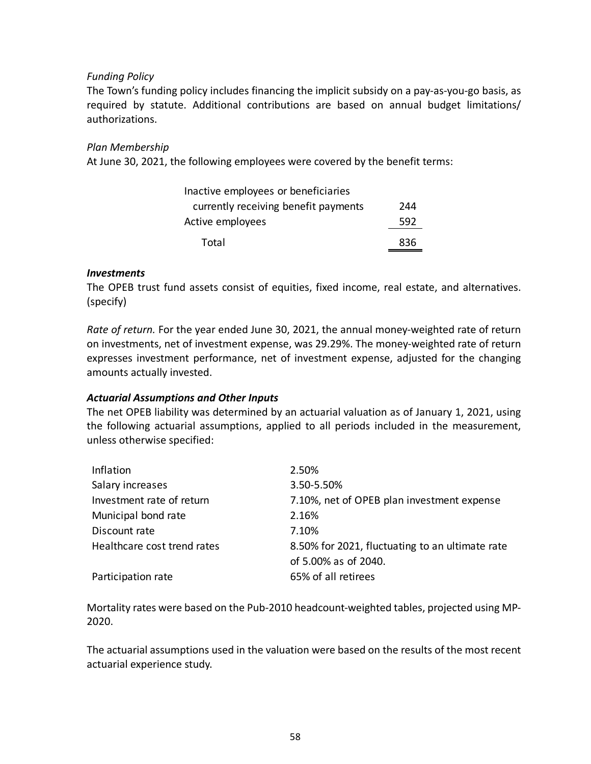### *Funding Policy*

The Town's funding policy includes financing the implicit subsidy on a pay‐as‐you‐go basis, as required by statute. Additional contributions are based on annual budget limitations/ authorizations.

#### *Plan Membership*

At June 30, 2021, the following employees were covered by the benefit terms:

| Inactive employees or beneficiaries  |     |
|--------------------------------------|-----|
| currently receiving benefit payments | 244 |
| Active employees                     | 592 |
| Total                                | 836 |

#### *Investments*

The OPEB trust fund assets consist of equities, fixed income, real estate, and alternatives. (specify)

*Rate of return.* For the year ended June 30, 2021, the annual money‐weighted rate of return on investments, net of investment expense, was 29.29%. The money‐weighted rate of return expresses investment performance, net of investment expense, adjusted for the changing amounts actually invested.

### *Actuarial Assumptions and Other Inputs*

The net OPEB liability was determined by an actuarial valuation as of January 1, 2021, using the following actuarial assumptions, applied to all periods included in the measurement, unless otherwise specified:

| Inflation                   | 2.50%                                           |
|-----------------------------|-------------------------------------------------|
| Salary increases            | 3.50-5.50%                                      |
| Investment rate of return   | 7.10%, net of OPEB plan investment expense      |
| Municipal bond rate         | 2.16%                                           |
| Discount rate               | 7.10%                                           |
| Healthcare cost trend rates | 8.50% for 2021, fluctuating to an ultimate rate |
|                             | of 5.00% as of 2040.                            |
| Participation rate          | 65% of all retirees                             |
|                             |                                                 |

Mortality rates were based on the Pub‐2010 headcount‐weighted tables, projected using MP‐ 2020.

The actuarial assumptions used in the valuation were based on the results of the most recent actuarial experience study.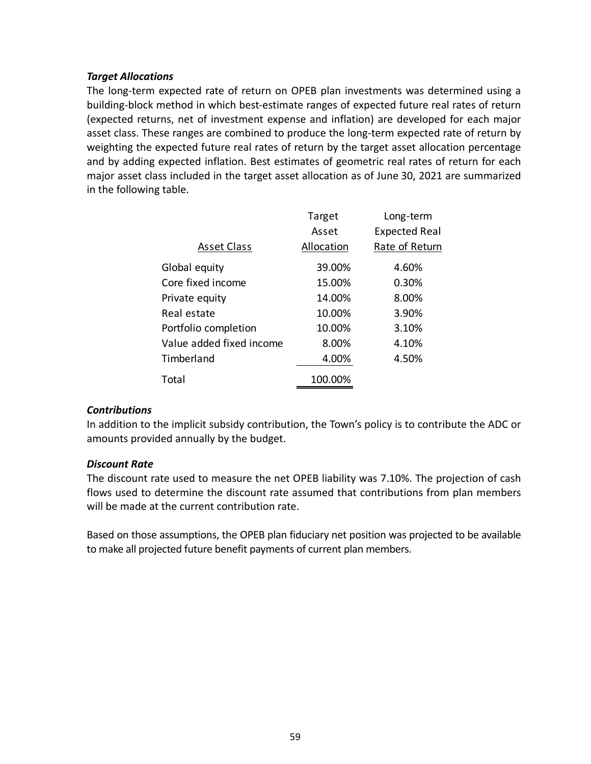### *Target Allocations*

The long‐term expected rate of return on OPEB plan investments was determined using a building‐block method in which best‐estimate ranges of expected future real rates of return (expected returns, net of investment expense and inflation) are developed for each major asset class. These ranges are combined to produce the long-term expected rate of return by weighting the expected future real rates of return by the target asset allocation percentage and by adding expected inflation. Best estimates of geometric real rates of return for each major asset class included in the target asset allocation as of June 30, 2021 are summarized in the following table.

|                          | Target     | Long-term            |
|--------------------------|------------|----------------------|
|                          | Asset      | <b>Expected Real</b> |
| <b>Asset Class</b>       | Allocation | Rate of Return       |
| Global equity            | 39.00%     | 4.60%                |
| Core fixed income        | 15.00%     | 0.30%                |
| Private equity           | 14.00%     | 8.00%                |
| Real estate              | 10.00%     | 3.90%                |
| Portfolio completion     | 10.00%     | 3.10%                |
| Value added fixed income | 8.00%      | 4.10%                |
| Timberland               | 4.00%      | 4.50%                |
| Total                    | 100.00%    |                      |

## *Contributions*

In addition to the implicit subsidy contribution, the Town's policy is to contribute the ADC or amounts provided annually by the budget.

### *Discount Rate*

The discount rate used to measure the net OPEB liability was 7.10%. The projection of cash flows used to determine the discount rate assumed that contributions from plan members will be made at the current contribution rate.

Based on those assumptions, the OPEB plan fiduciary net position was projected to be available to make all projected future benefit payments of current plan members.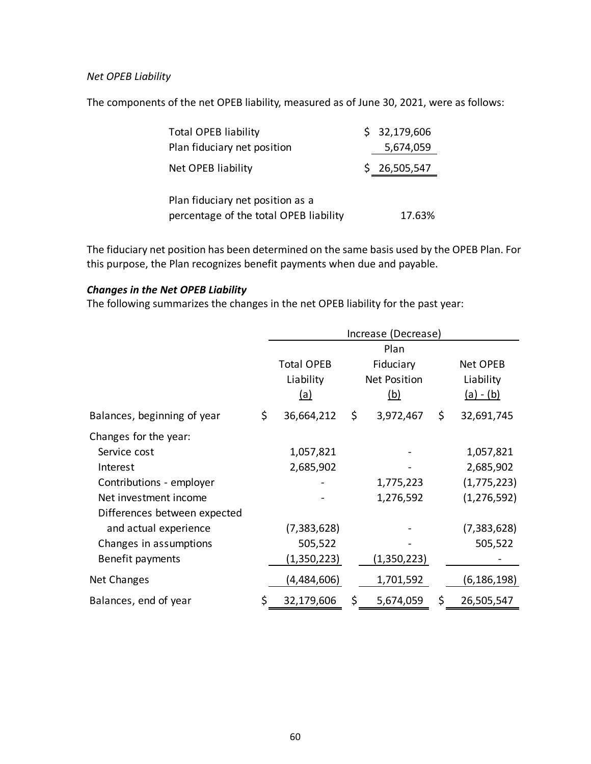#### *Net OPEB Liability*

The components of the net OPEB liability, measured as of June 30, 2021, were as follows:

| <b>Total OPEB liability</b>                                                | \$32,179,606 |
|----------------------------------------------------------------------------|--------------|
| Plan fiduciary net position                                                | 5,674,059    |
| Net OPEB liability                                                         | \$26,505,547 |
| Plan fiduciary net position as a<br>percentage of the total OPEB liability | 17.63%       |

The fiduciary net position has been determined on the same basis used by the OPEB Plan. For this purpose, the Plan recognizes benefit payments when due and payable.

## *Changes in the Net OPEB Liability*

The following summarizes the changes in the net OPEB liability for the past year:

|                              | Increase (Decrease)            |    |                            |    |                       |
|------------------------------|--------------------------------|----|----------------------------|----|-----------------------|
|                              | Plan                           |    |                            |    |                       |
|                              | <b>Total OPEB</b><br>Fiduciary |    |                            |    | Net OPEB<br>Liability |
|                              | Liability<br><u>(a)</u>        |    | <b>Net Position</b><br>(b) |    | $(a) - (b)$           |
| Balances, beginning of year  | \$<br>36,664,212               | \$ | 3,972,467                  | \$ | 32,691,745            |
| Changes for the year:        |                                |    |                            |    |                       |
| Service cost                 | 1,057,821                      |    |                            |    | 1,057,821             |
| Interest                     | 2,685,902                      |    |                            |    | 2,685,902             |
| Contributions - employer     |                                |    | 1,775,223                  |    | (1,775,223)           |
| Net investment income        |                                |    | 1,276,592                  |    | (1, 276, 592)         |
| Differences between expected |                                |    |                            |    |                       |
| and actual experience        | (7, 383, 628)                  |    |                            |    | (7, 383, 628)         |
| Changes in assumptions       | 505,522                        |    |                            |    | 505,522               |
| Benefit payments             | (1,350,223)                    |    | (1,350,223)                |    |                       |
| Net Changes                  | (4,484,606)                    |    | 1,701,592                  |    | (6, 186, 198)         |
| Balances, end of year        | \$<br>32,179,606               | \$ | 5,674,059                  | \$ | 26,505,547            |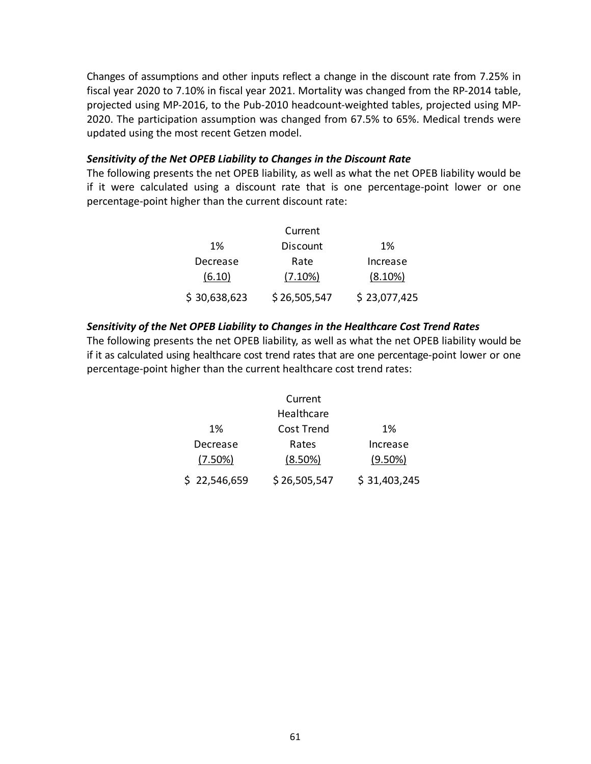Changes of assumptions and other inputs reflect a change in the discount rate from 7.25% in fiscal year 2020 to 7.10% in fiscal year 2021. Mortality was changed from the RP-2014 table, projected using MP‐2016, to the Pub‐2010 headcount‐weighted tables, projected using MP‐ 2020. The participation assumption was changed from 67.5% to 65%. Medical trends were updated using the most recent Getzen model.

#### *Sensitivity of the Net OPEB Liability to Changes in the Discount Rate*

The following presents the net OPEB liability, as well as what the net OPEB liability would be if it were calculated using a discount rate that is one percentage‐point lower or one percentage‐point higher than the current discount rate:

|              | Current      |              |
|--------------|--------------|--------------|
| 1%           | Discount     | 1%           |
| Decrease     | Rate         | Increase     |
| (6.10)       | (7.10%)      | $(8.10\%)$   |
| \$30,638,623 | \$26,505,547 | \$23,077,425 |

## *Sensitivity of the Net OPEB Liability to Changes in the Healthcare Cost Trend Rates*

The following presents the net OPEB liability, as well as what the net OPEB liability would be if it as calculated using healthcare cost trend rates that are one percentage‐point lower or one percentage‐point higher than the current healthcare cost trend rates:

|              | Current      |              |
|--------------|--------------|--------------|
|              | Healthcare   |              |
| 1%           | Cost Trend   | 1%           |
| Decrease     | Rates        | Increase     |
| (7.50%)      | (8.50%)      | $(9.50\%)$   |
| \$22,546,659 | \$26,505,547 | \$31,403,245 |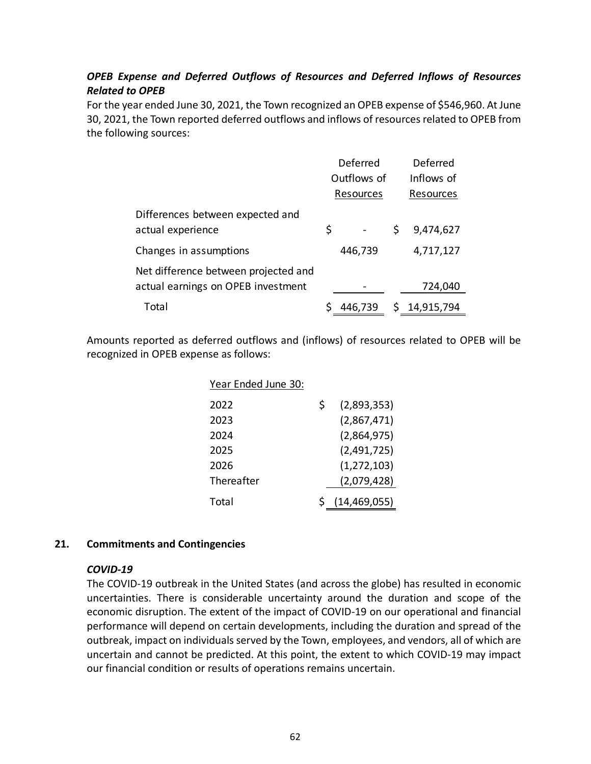## *OPEB Expense and Deferred Outflows of Resources and Deferred Inflows of Resources Related to OPEB*

For the year ended June 30, 2021, the Town recognized an OPEB expense of \$546,960. At June 30, 2021, the Town reported deferred outflows and inflows of resources related to OPEB from the following sources:

|                                                                            | Deferred    |           | Deferred |              |
|----------------------------------------------------------------------------|-------------|-----------|----------|--------------|
|                                                                            | Outflows of |           |          | Inflows of   |
|                                                                            |             | Resources |          | Resources    |
| Differences between expected and<br>actual experience                      | \$          |           | \$       | 9,474,627    |
| Changes in assumptions                                                     |             | 446,739   |          | 4,717,127    |
| Net difference between projected and<br>actual earnings on OPEB investment |             |           |          | 724,040      |
| Total                                                                      |             | 446,739   |          | \$14,915,794 |

Amounts reported as deferred outflows and (inflows) of resources related to OPEB will be recognized in OPEB expense as follows:

| Year Ended June 30: |    |                  |
|---------------------|----|------------------|
| 2022                | S. | (2,893,353)      |
| 2023                |    | (2,867,471)      |
| 2024                |    | (2,864,975)      |
| 2025                |    | (2,491,725)      |
| 2026                |    | (1, 272, 103)    |
| Thereafter          |    | (2,079,428)      |
| Total               |    | \$(14, 469, 055) |

### **21. Commitments and Contingencies**

### *COVID‐19*

The COVID‐19 outbreak in the United States (and across the globe) has resulted in economic uncertainties. There is considerable uncertainty around the duration and scope of the economic disruption. The extent of the impact of COVID‐19 on our operational and financial performance will depend on certain developments, including the duration and spread of the outbreak, impact on individuals served by the Town, employees, and vendors, all of which are uncertain and cannot be predicted. At this point, the extent to which COVID‐19 may impact our financial condition or results of operations remains uncertain.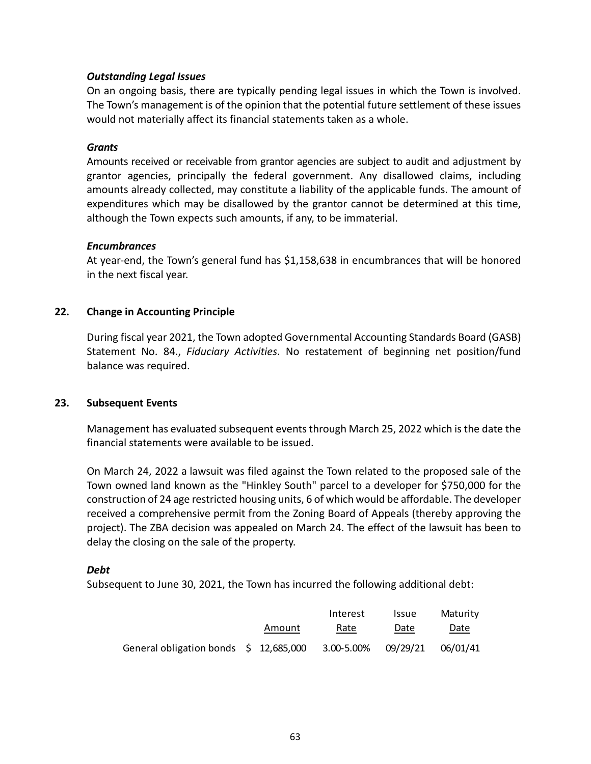### *Outstanding Legal Issues*

On an ongoing basis, there are typically pending legal issues in which the Town is involved. The Town's management is of the opinion that the potential future settlement of these issues would not materially affect its financial statements taken as a whole.

#### *Grants*

Amounts received or receivable from grantor agencies are subject to audit and adjustment by grantor agencies, principally the federal government. Any disallowed claims, including amounts already collected, may constitute a liability of the applicable funds. The amount of expenditures which may be disallowed by the grantor cannot be determined at this time, although the Town expects such amounts, if any, to be immaterial.

#### *Encumbrances*

At year‐end, the Town's general fund has \$1,158,638 in encumbrances that will be honored in the next fiscal year.

### **22. Change in Accounting Principle**

During fiscal year 2021, the Town adopted Governmental Accounting Standards Board (GASB) Statement No. 84., *Fiduciary Activities*. No restatement of beginning net position/fund balance was required.

### **23. Subsequent Events**

Management has evaluated subsequent events through March 25, 2022 which is the date the financial statements were available to be issued.

On March 24, 2022 a lawsuit was filed against the Town related to the proposed sale of the Town owned land known as the "Hinkley South" parcel to a developer for \$750,000 for the construction of 24 age restricted housing units, 6 of which would be affordable. The developer received a comprehensive permit from the Zoning Board of Appeals (thereby approving the project). The ZBA decision was appealed on March 24. The effect of the lawsuit has been to delay the closing on the sale of the property.

### *Debt*

Subsequent to June 30, 2021, the Town has incurred the following additional debt:

|                                                |        | Interest   | <b>Issue</b> | Maturity |
|------------------------------------------------|--------|------------|--------------|----------|
|                                                | Amount | Rate       | Date         | Date     |
| General obligation bonds $\lesssim$ 12,685,000 |        | 3.00-5.00% | 09/29/21     | 06/01/41 |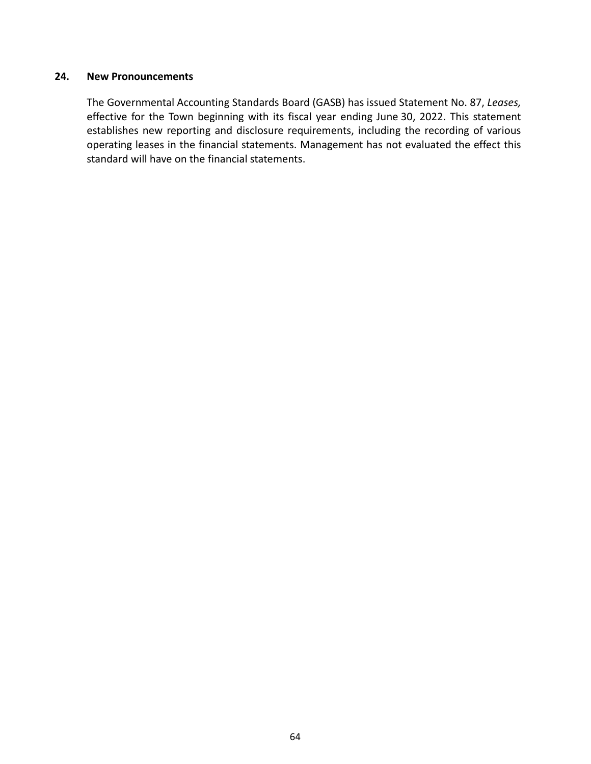#### **24. New Pronouncements**

The Governmental Accounting Standards Board (GASB) has issued Statement No. 87, *Leases,* effective for the Town beginning with its fiscal year ending June 30, 2022. This statement establishes new reporting and disclosure requirements, including the recording of various operating leases in the financial statements. Management has not evaluated the effect this standard will have on the financial statements.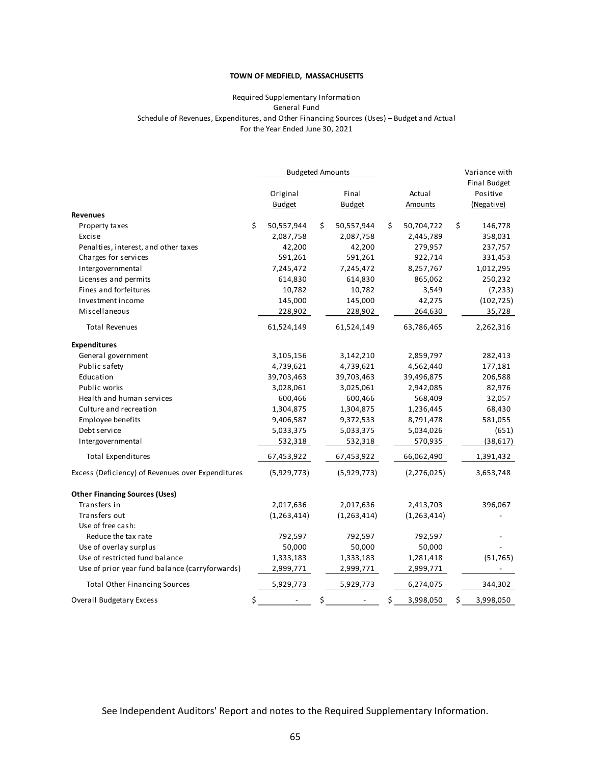#### **TOWN OF MEDFIELD, MASSACHUSETTS**

#### Required Supplementary Information Schedule of Revenues, Expenditures, and Other Financing Sources (Uses) – Budget and Actual For the Year Ended June 30, 2021 General Fund

|                                                   |                  | <b>Budgeted Amounts</b> |                  | Variance with   |
|---------------------------------------------------|------------------|-------------------------|------------------|-----------------|
|                                                   |                  |                         |                  | Final Budget    |
|                                                   | Original         | Final                   | Actual           | Positive        |
|                                                   | <b>Budget</b>    | <b>Budget</b>           | <b>Amounts</b>   | (Negative)      |
| <b>Revenues</b>                                   |                  |                         |                  |                 |
| Property taxes                                    | \$<br>50,557,944 | \$<br>50,557,944        | \$<br>50,704,722 | \$<br>146,778   |
| Excise                                            | 2,087,758        | 2,087,758               | 2,445,789        | 358,031         |
| Penalties, interest, and other taxes              | 42,200           | 42,200                  | 279,957          | 237,757         |
| Charges for services                              | 591,261          | 591,261                 | 922,714          | 331,453         |
| Intergovernmental                                 | 7,245,472        | 7,245,472               | 8,257,767        | 1,012,295       |
| Licenses and permits                              | 614,830          | 614,830                 | 865,062          | 250,232         |
| Fines and forfeitures                             | 10,782           | 10,782                  | 3,549            | (7, 233)        |
| Investment income                                 | 145,000          | 145,000                 | 42,275           | (102, 725)      |
| Miscellaneous                                     | 228,902          | 228,902                 | 264,630          | 35,728          |
| <b>Total Revenues</b>                             | 61,524,149       | 61,524,149              | 63,786,465       | 2,262,316       |
| <b>Expenditures</b>                               |                  |                         |                  |                 |
| General government                                | 3,105,156        | 3,142,210               | 2,859,797        | 282,413         |
| Public safety                                     | 4,739,621        | 4,739,621               | 4,562,440        | 177,181         |
| Education                                         | 39,703,463       | 39,703,463              | 39,496,875       | 206,588         |
| Public works                                      | 3,028,061        | 3,025,061               | 2,942,085        | 82,976          |
| Health and human services                         | 600,466          | 600,466                 | 568,409          | 32,057          |
| Culture and recreation                            | 1,304,875        | 1,304,875               | 1,236,445        | 68,430          |
| Employee benefits                                 | 9,406,587        | 9,372,533               | 8,791,478        | 581,055         |
| Debt service                                      | 5,033,375        | 5,033,375               | 5,034,026        | (651)           |
| Intergovernmental                                 | 532,318          | 532,318                 | 570,935          | (38, 617)       |
| <b>Total Expenditures</b>                         | 67,453,922       | 67,453,922              | 66,062,490       | 1,391,432       |
| Excess (Deficiency) of Revenues over Expenditures | (5,929,773)      | (5,929,773)             | (2, 276, 025)    | 3,653,748       |
| <b>Other Financing Sources (Uses)</b>             |                  |                         |                  |                 |
| Transfers in                                      | 2,017,636        | 2,017,636               | 2,413,703        | 396,067         |
| Transfers out                                     | (1, 263, 414)    | (1, 263, 414)           | (1, 263, 414)    |                 |
| Use of free cash:                                 |                  |                         |                  |                 |
| Reduce the tax rate                               | 792,597          | 792,597                 | 792,597          |                 |
| Use of overlay surplus                            | 50,000           | 50,000                  | 50,000           |                 |
| Use of restricted fund balance                    | 1,333,183        | 1,333,183               | 1,281,418        | (51, 765)       |
| Use of prior year fund balance (carryforwards)    | 2,999,771        | 2,999,771               | 2,999,771        |                 |
| <b>Total Other Financing Sources</b>              | 5,929,773        | 5,929,773               | 6,274,075        | 344,302         |
| <b>Overall Budgetary Excess</b>                   | \$               | \$                      | \$<br>3,998,050  | \$<br>3,998,050 |

See Independent Auditors' Report and notes to the Required Supplementary Information.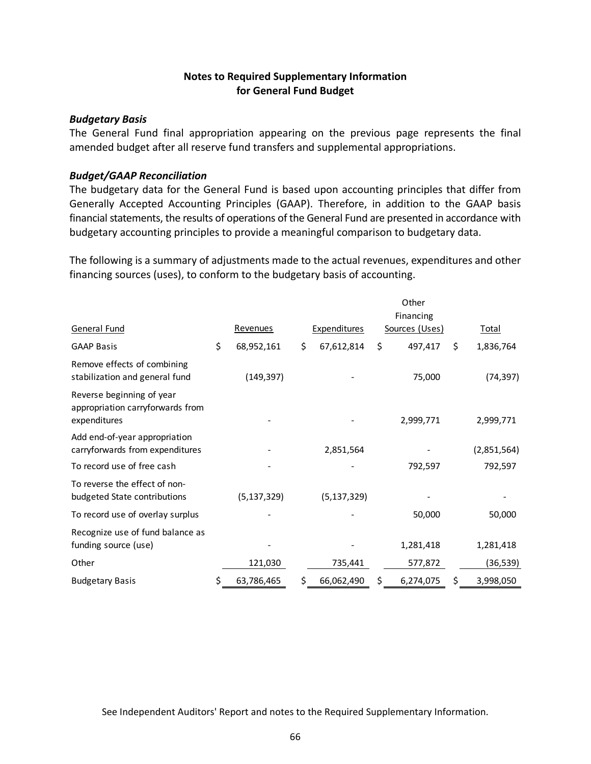## **Notes to Required Supplementary Information for General Fund Budget**

### *Budgetary Basis*

The General Fund final appropriation appearing on the previous page represents the final amended budget after all reserve fund transfers and supplemental appropriations.

### *Budget/GAAP Reconciliation*

The budgetary data for the General Fund is based upon accounting principles that differ from Generally Accepted Accounting Principles (GAAP). Therefore, in addition to the GAAP basis financial statements, the results of operations of the General Fund are presented in accordance with budgetary accounting principles to provide a meaningful comparison to budgetary data.

The following is a summary of adjustments made to the actual revenues, expenditures and other financing sources (uses), to conform to the budgetary basis of accounting.

|                                                                               | Other            |    |                     |    |                             |    |              |
|-------------------------------------------------------------------------------|------------------|----|---------------------|----|-----------------------------|----|--------------|
| General Fund                                                                  | <b>Revenues</b>  |    | <b>Expenditures</b> |    | Financing<br>Sources (Uses) |    | <u>Total</u> |
| <b>GAAP Basis</b>                                                             | \$<br>68,952,161 | \$ | 67,612,814          | \$ | 497,417                     | \$ | 1,836,764    |
| Remove effects of combining<br>stabilization and general fund                 | (149, 397)       |    |                     |    | 75,000                      |    | (74, 397)    |
| Reverse beginning of year<br>appropriation carryforwards from<br>expenditures |                  |    |                     |    | 2,999,771                   |    | 2,999,771    |
| Add end-of-year appropriation<br>carryforwards from expenditures              |                  |    | 2,851,564           |    |                             |    | (2,851,564)  |
| To record use of free cash                                                    |                  |    |                     |    | 792,597                     |    | 792,597      |
| To reverse the effect of non-<br>budgeted State contributions                 | (5, 137, 329)    |    | (5, 137, 329)       |    |                             |    |              |
| To record use of overlay surplus                                              |                  |    |                     |    | 50,000                      |    | 50,000       |
| Recognize use of fund balance as<br>funding source (use)                      |                  |    |                     |    | 1,281,418                   |    | 1,281,418    |
| Other                                                                         | 121,030          |    | 735,441             |    | 577,872                     |    | (36,539)     |
| <b>Budgetary Basis</b>                                                        | \$<br>63,786,465 | \$ | 66,062,490          | S  | 6,274,075                   | S  | 3,998,050    |

See Independent Auditors' Report and notes to the Required Supplementary Information.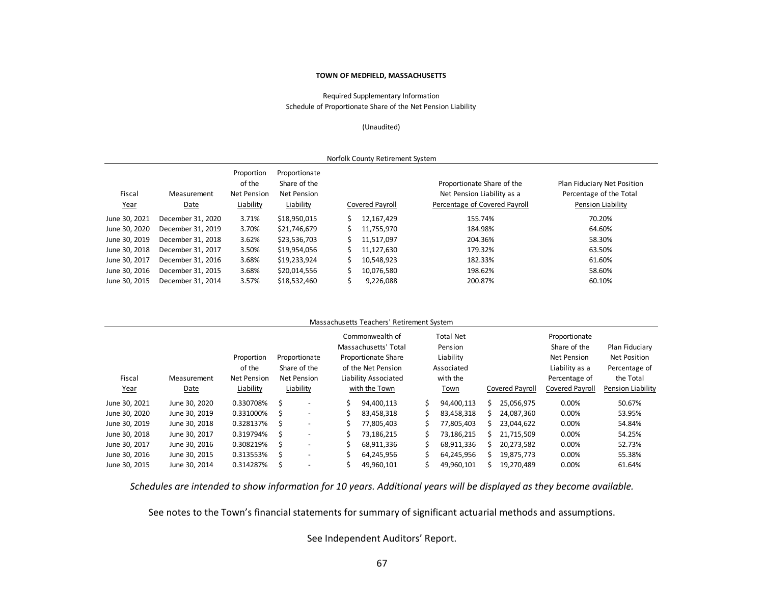#### **TOWN OF MEDFIELD, MASSACHUSETTS**

Required Supplementary Information Schedule of Proportionate Share of the Net Pension Liability

(Unaudited)

| Norfolk County Retirement System |                     |                                                  |                                                                  |  |                 |                                                                                           |                                                                             |  |  |  |  |  |
|----------------------------------|---------------------|--------------------------------------------------|------------------------------------------------------------------|--|-----------------|-------------------------------------------------------------------------------------------|-----------------------------------------------------------------------------|--|--|--|--|--|
| Fiscal<br><u>Year</u>            | Measurement<br>Date | Proportion<br>of the<br>Net Pension<br>Liability | Proportionate<br>Share of the<br><b>Net Pension</b><br>Liability |  | Covered Payroll | Proportionate Share of the<br>Net Pension Liability as a<br>Percentage of Covered Payroll | Plan Fiduciary Net Position<br>Percentage of the Total<br>Pension Liability |  |  |  |  |  |
| June 30, 2021                    | December 31, 2020   | 3.71%                                            | \$18,950,015                                                     |  | 12,167,429      | 155.74%                                                                                   | 70.20%                                                                      |  |  |  |  |  |
| June 30, 2020                    | December 31, 2019   | 3.70%                                            | \$21,746,679                                                     |  | 11,755,970      | 184.98%                                                                                   | 64.60%                                                                      |  |  |  |  |  |
| June 30, 2019                    | December 31, 2018   | 3.62%                                            | \$23,536,703                                                     |  | 11,517,097      | 204.36%                                                                                   | 58.30%                                                                      |  |  |  |  |  |
| June 30, 2018                    | December 31, 2017   | 3.50%                                            | \$19,954,056                                                     |  | 11.127.630      | 179.32%                                                                                   | 63.50%                                                                      |  |  |  |  |  |
| June 30, 2017                    | December 31, 2016   | 3.68%                                            | \$19,233,924                                                     |  | 10,548,923      | 182.33%                                                                                   | 61.60%                                                                      |  |  |  |  |  |
| June 30, 2016                    | December 31, 2015   | 3.68%                                            | \$20,014,556                                                     |  | 10,076,580      | 198.62%                                                                                   | 58.60%                                                                      |  |  |  |  |  |
| June 30, 2015                    | December 31, 2014   | 3.57%                                            | \$18,532,460                                                     |  | 9,226,088       | 200.87%                                                                                   | 60.10%                                                                      |  |  |  |  |  |

|               |               |             |   |                          |                      | Massachusetts Teachers' Retirement System |            |                  |    |                 |                 |                     |  |
|---------------|---------------|-------------|---|--------------------------|----------------------|-------------------------------------------|------------|------------------|----|-----------------|-----------------|---------------------|--|
|               |               |             |   |                          |                      | Commonwealth of                           |            | <b>Total Net</b> |    |                 | Proportionate   |                     |  |
|               |               |             |   |                          |                      | Massachusetts' Total                      |            | Pension          |    |                 | Share of the    | Plan Fiduciary      |  |
|               |               | Proportion  |   | Proportionate            | Proportionate Share  |                                           | Liability  |                  |    |                 | Net Pension     | <b>Net Position</b> |  |
|               |               | of the      |   | Share of the             | of the Net Pension   |                                           | Associated |                  |    |                 | Liability as a  | Percentage of       |  |
| Fiscal        | Measurement   | Net Pension |   | <b>Net Pension</b>       | Liability Associated |                                           | with the   |                  |    |                 | Percentage of   | the Total           |  |
| <u>Year</u>   | Date          | Liability   |   | Liability                | with the Town        |                                           |            | Town             |    | Covered Payroll | Covered Payroll | Pension Liability   |  |
| June 30, 2021 | June 30, 2020 | 0.330708%   | Ś |                          | Ś.                   | 94.400.113                                | Ś          | 94,400,113       | S. | 25.056.975      | 0.00%           | 50.67%              |  |
| June 30, 2020 | June 30, 2019 | 0.331000%   | S | $\overline{\phantom{a}}$ | Ś.                   | 83,458,318                                |            | 83,458,318       | S. | 24.087.360      | 0.00%           | 53.95%              |  |
| June 30, 2019 | June 30, 2018 | 0.328137%   | Ś | $\overline{\phantom{a}}$ | Ś.                   | 77,805,403                                |            | 77,805,403       |    | 23,044,622      | 0.00%           | 54.84%              |  |
| June 30, 2018 | June 30, 2017 | 0.319794%   | Ś | $\overline{\phantom{a}}$ | Ś.                   | 73,186,215                                |            | 73,186,215       | S. | 21,715,509      | 0.00%           | 54.25%              |  |
| June 30, 2017 | June 30, 2016 | 0.308219%   | Ŝ |                          |                      | 68,911,336                                |            | 68,911,336       |    | 20,273,582      | 0.00%           | 52.73%              |  |
| June 30, 2016 | June 30, 2015 | 0.313553%   | Ś |                          | Ś                    | 64,245,956                                |            | 64,245,956       |    | 19,875,773      | 0.00%           | 55.38%              |  |
| June 30, 2015 | June 30, 2014 | 0.314287%   |   |                          |                      | 49,960,101                                |            | 49,960,101       |    | 19,270,489      | 0.00%           | 61.64%              |  |

*Schedules are intended to show information for 10 years. Additional years will be displayed as they become available.* 

See notes to the Town's financial statements for summary of significant actuarial methods and assumptions.

See Independent Auditors' Report.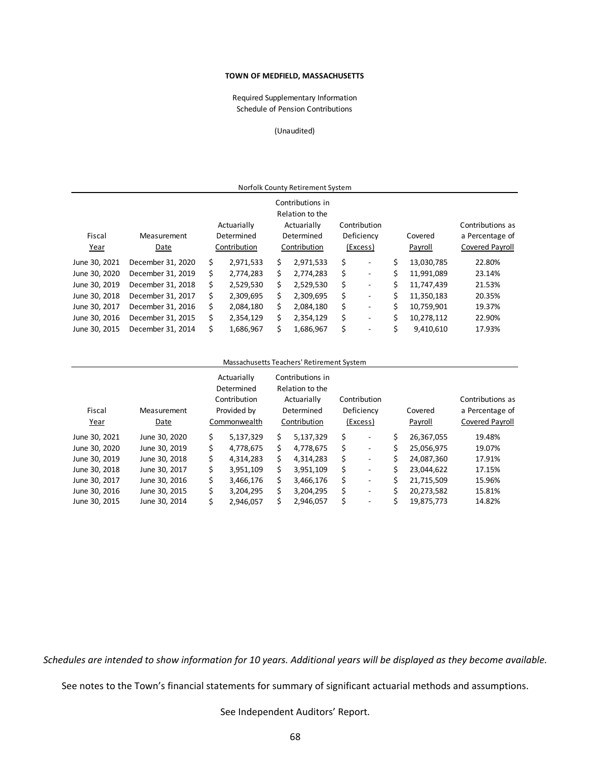#### **TOWN OF MEDFIELD, MASSACHUSETTS**

Schedule of Pension Contributions Required Supplementary Information

(Unaudited)

|                                       |                   |                                           |           |    | Norfolk County Retirement System                                                 |                                        |                    |                                                        |  |
|---------------------------------------|-------------------|-------------------------------------------|-----------|----|----------------------------------------------------------------------------------|----------------------------------------|--------------------|--------------------------------------------------------|--|
| Fiscal<br>Measurement<br>Year<br>Date |                   | Actuarially<br>Determined<br>Contribution |           |    | Contributions in<br>Relation to the<br>Actuarially<br>Determined<br>Contribution | Contribution<br>Deficiency<br>(Excess) | Covered<br>Payroll | Contributions as<br>a Percentage of<br>Covered Payroll |  |
| June 30, 2021                         | December 31, 2020 | Ś                                         | 2,971,533 | \$ | 2,971,533                                                                        | \$<br>$\overline{a}$                   | \$<br>13,030,785   | 22.80%                                                 |  |
| June 30, 2020                         | December 31, 2019 | Ś.                                        | 2.774.283 | Ś. | 2.774.283                                                                        | \$<br>٠                                | \$<br>11.991.089   | 23.14%                                                 |  |
| June 30, 2019                         | December 31, 2018 | s                                         | 2,529,530 | Ś. | 2,529,530                                                                        | \$<br>$\overline{\phantom{0}}$         | \$<br>11,747,439   | 21.53%                                                 |  |
| June 30, 2018                         | December 31, 2017 | Ś                                         | 2,309,695 | Ś. | 2,309,695                                                                        | \$<br>-                                | \$<br>11,350,183   | 20.35%                                                 |  |
| June 30, 2017                         | December 31, 2016 | Ś                                         | 2.084.180 | Ś. | 2,084,180                                                                        | \$<br>٠                                | \$<br>10,759,901   | 19.37%                                                 |  |
| June 30, 2016                         | December 31, 2015 | s                                         | 2,354,129 | Ś. | 2,354,129                                                                        | \$<br>٠                                | \$<br>10,278,112   | 22.90%                                                 |  |
| June 30, 2015                         | December 31, 2014 | Ś                                         | 1,686,967 | Ś. | 1,686,967                                                                        | \$<br>$\overline{\phantom{0}}$         | \$<br>9,410,610    | 17.93%                                                 |  |

#### Massachusetts Teachers' Retirement System

| Fiscal<br>Year | Measurement<br>Date | Actuarially<br>Determined<br>Contribution<br>Provided by<br>Commonwealth |    | Contributions in<br>Relation to the<br>Actuarially<br>Determined<br>Contribution |    | Contribution<br>Deficiency<br>(Excess) |    | Covered<br>Payroll | Contributions as<br>a Percentage of<br>Covered Payroll |  |
|----------------|---------------------|--------------------------------------------------------------------------|----|----------------------------------------------------------------------------------|----|----------------------------------------|----|--------------------|--------------------------------------------------------|--|
| June 30, 2021  | June 30, 2020       | \$<br>5,137,329                                                          | Ś. | 5,137,329                                                                        | Ś  | ٠                                      | \$ | 26,367,055         | 19.48%                                                 |  |
| June 30, 2020  | June 30, 2019       | \$<br>4,778,675                                                          | Ś. | 4,778,675                                                                        | Ś  | $\overline{\phantom{a}}$               | \$ | 25,056,975         | 19.07%                                                 |  |
| June 30, 2019  | June 30, 2018       | \$<br>4.314.283                                                          | Ś. | 4.314.283                                                                        | Ś  | $\overline{\phantom{a}}$               | \$ | 24.087.360         | 17.91%                                                 |  |
| June 30, 2018  | June 30, 2017       | \$<br>3,951,109                                                          | Ś. | 3.951.109                                                                        | Ś. | -                                      | Ś  | 23.044.622         | 17.15%                                                 |  |
| June 30, 2017  | June 30, 2016       | \$<br>3,466,176                                                          | S  | 3.466.176                                                                        | Ś  | -                                      | Ś. | 21,715,509         | 15.96%                                                 |  |
| June 30, 2016  | June 30, 2015       | \$<br>3,204,295                                                          | Ś  | 3,204,295                                                                        | \$ | ٠                                      | \$ | 20,273,582         | 15.81%                                                 |  |
| June 30, 2015  | June 30, 2014       | \$<br>2,946,057                                                          |    | 2,946,057                                                                        | \$ | $\overline{\phantom{a}}$               | \$ | 19,875,773         | 14.82%                                                 |  |

*Schedules are intended to show information for 10 years. Additional years will be displayed as they become available.* 

See notes to the Town's financial statements for summary of significant actuarial methods and assumptions.

See Independent Auditors' Report.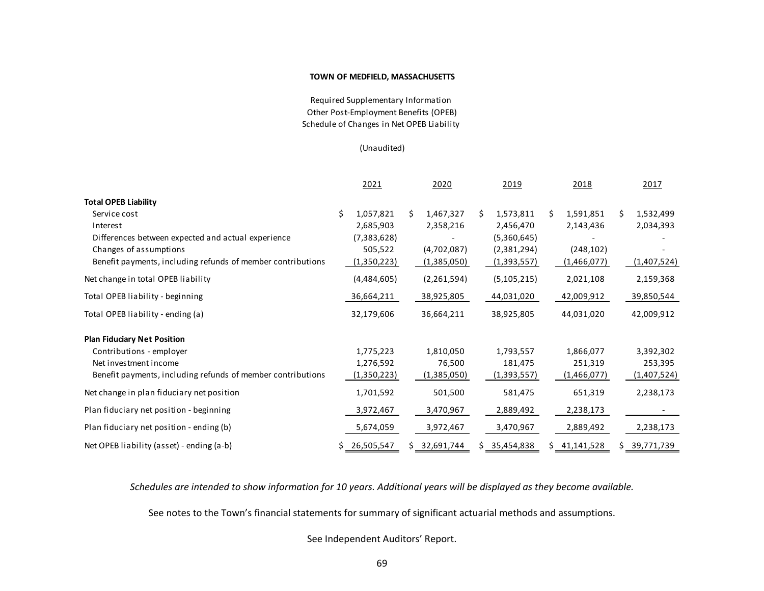#### **TOWN OF MEDFIELD, MASSACHUSETTS**

Other Post‐Employment Benefits (OPEB) Schedule of Changes in Net OPEB Liability Required Supplementary Information

#### (Unaudited)

|                                                             | 2021            |    | 2020        |    | 2019          |    | 2018        |   | 2017        |
|-------------------------------------------------------------|-----------------|----|-------------|----|---------------|----|-------------|---|-------------|
| <b>Total OPEB Liability</b>                                 |                 |    |             |    |               |    |             |   |             |
| Service cost                                                | \$<br>1,057,821 | Ś. | 1,467,327   | S. | 1,573,811     | Ś. | 1,591,851   | Ś | 1,532,499   |
| Interest                                                    | 2,685,903       |    | 2,358,216   |    | 2,456,470     |    | 2,143,436   |   | 2,034,393   |
| Differences between expected and actual experience          | (7,383,628)     |    |             |    | (5,360,645)   |    |             |   |             |
| Changes of assumptions                                      | 505,522         |    | (4,702,087) |    | (2,381,294)   |    | (248, 102)  |   |             |
| Benefit payments, including refunds of member contributions | (1,350,223)     |    | (1,385,050) |    | (1,393,557)   |    | (1,466,077) |   | (1,407,524) |
| Net change in total OPEB liability                          | (4,484,605)     |    | (2,261,594) |    | (5, 105, 215) |    | 2,021,108   |   | 2,159,368   |
| Total OPEB liability - beginning                            | 36,664,211      |    | 38,925,805  |    | 44,031,020    |    | 42,009,912  |   | 39,850,544  |
| Total OPEB liability - ending (a)                           | 32,179,606      |    | 36,664,211  |    | 38,925,805    |    | 44,031,020  |   | 42,009,912  |
| <b>Plan Fiduciary Net Position</b>                          |                 |    |             |    |               |    |             |   |             |
| Contributions - employer                                    | 1,775,223       |    | 1,810,050   |    | 1,793,557     |    | 1,866,077   |   | 3,392,302   |
| Net investment income                                       | 1,276,592       |    | 76,500      |    | 181,475       |    | 251,319     |   | 253,395     |
| Benefit payments, including refunds of member contributions | (1,350,223)     |    | (1,385,050) |    | (1,393,557)   |    | (1,466,077) |   | (1,407,524) |
| Net change in plan fiduciary net position                   | 1,701,592       |    | 501,500     |    | 581,475       |    | 651,319     |   | 2,238,173   |
| Plan fiduciary net position - beginning                     | 3,972,467       |    | 3,470,967   |    | 2,889,492     |    | 2,238,173   |   |             |
| Plan fiduciary net position - ending (b)                    | 5,674,059       |    | 3,972,467   |    | 3,470,967     |    | 2,889,492   |   | 2,238,173   |
| Net OPEB liability (asset) - ending (a-b)                   | 26,505,547      | S. | 32,691,744  |    | 35,454,838    |    | 41,141,528  |   | 39,771,739  |

*Schedules are intended to show information for 10 years. Additional years will be displayed as they become available.* 

See notes to the Town's financial statements for summary of significant actuarial methods and assumptions.

See Independent Auditors' Report.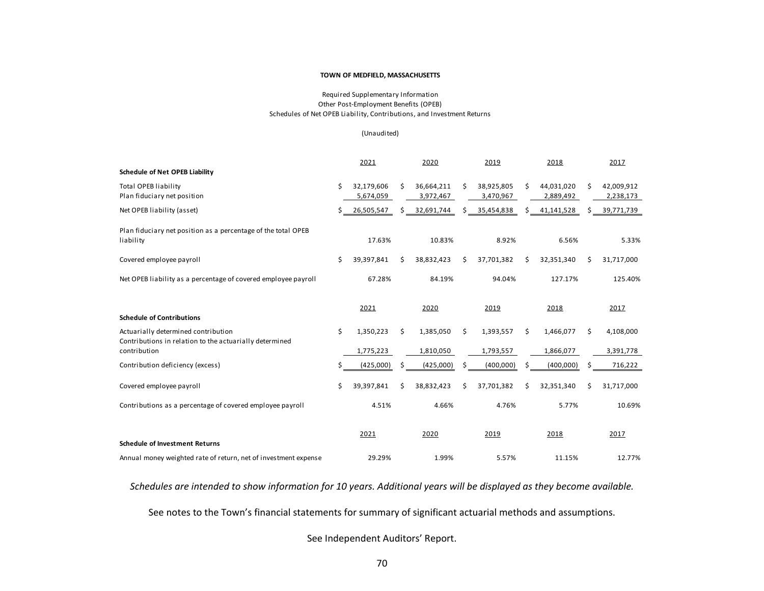#### **TOWN OF MEDFIELD, MASSACHUSETTS**

#### Other Post‐Employment Benefits (OPEB) Schedules of Net OPEB Liability, Contributions, and Investment Returns Required Supplementary Information

#### (Unaudited)

|                                                                                                                | 2021                          |    | 2020                    |     | 2019                    |    | 2018                    |   | 2017                    |
|----------------------------------------------------------------------------------------------------------------|-------------------------------|----|-------------------------|-----|-------------------------|----|-------------------------|---|-------------------------|
| <b>Schedule of Net OPEB Liability</b>                                                                          |                               |    |                         |     |                         |    |                         |   |                         |
| <b>Total OPEB liability</b><br>Plan fiduciary net position                                                     | \$<br>32,179,606<br>5,674,059 | \$ | 36,664,211<br>3,972,467 | \$  | 38,925,805<br>3,470,967 | \$ | 44,031,020<br>2,889,492 | Ś | 42,009,912<br>2,238,173 |
| Net OPEB liability (asset)                                                                                     | 26,505,547                    |    | 32,691,744              |     | 35,454,838              |    | 41,141,528              | Ś | 39,771,739              |
| Plan fiduciary net position as a percentage of the total OPEB<br>liability                                     | 17.63%                        |    | 10.83%                  |     | 8.92%                   |    | 6.56%                   |   | 5.33%                   |
| Covered employee payroll                                                                                       | \$<br>39,397,841              | Ś. | 38,832,423              | Ś   | 37,701,382              | Ś. | 32,351,340              | Ś | 31,717,000              |
| Net OPEB liability as a percentage of covered employee payroll                                                 | 67.28%                        |    | 84.19%                  |     | 94.04%                  |    | 127.17%                 |   | 125.40%                 |
| <b>Schedule of Contributions</b>                                                                               | 2021                          |    | 2020                    |     | 2019                    |    | 2018                    |   | 2017                    |
| Actuarially determined contribution<br>Contributions in relation to the actuarially determined<br>contribution | \$<br>1,350,223<br>1,775,223  | \$ | 1,385,050<br>1,810,050  | \$. | 1,393,557<br>1,793,557  | Ś. | 1,466,077<br>1,866,077  | Ś | 4,108,000<br>3,391,778  |
| Contribution deficiency (excess)                                                                               | \$<br>(425,000)               | \$ | (425,000)               | \$  | (400,000)               | \$ | (400,000)               |   | 716,222                 |
| Covered employee payroll                                                                                       | \$<br>39,397,841              | Ś. | 38,832,423              | Ś   | 37,701,382              | Ś. | 32,351,340              | Ś | 31,717,000              |
| Contributions as a percentage of covered employee payroll                                                      | 4.51%                         |    | 4.66%                   |     | 4.76%                   |    | 5.77%                   |   | 10.69%                  |
| <b>Schedule of Investment Returns</b>                                                                          | 2021                          |    | 2020                    |     | 2019                    |    | 2018                    |   | 2017                    |
| Annual money weighted rate of return, net of investment expense                                                | 29.29%                        |    | 1.99%                   |     | 5.57%                   |    | 11.15%                  |   | 12.77%                  |

*Schedules are intended to show information for 10 years. Additional years will be displayed as they become available.* 

See notes to the Town's financial statements for summary of significant actuarial methods and assumptions.

See Independent Auditors' Report.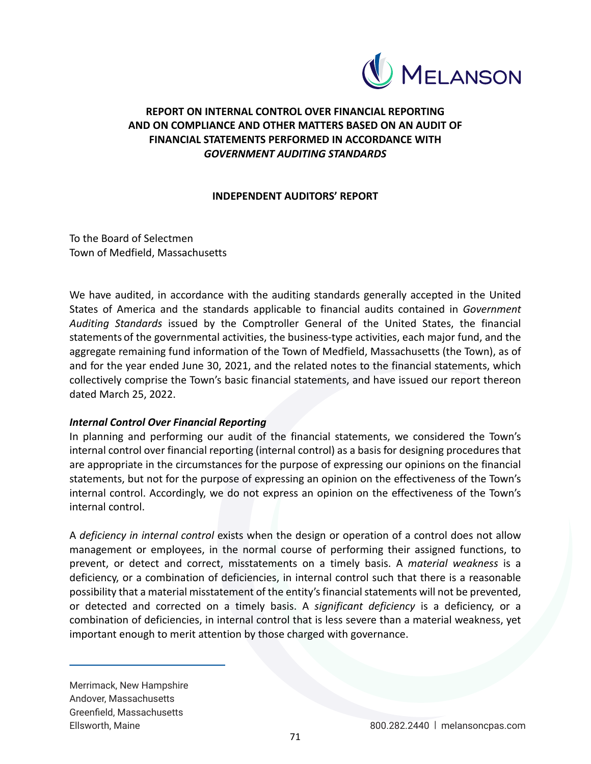

# **REPORT ON INTERNAL CONTROL OVER FINANCIAL REPORTING AND ON COMPLIANCE AND OTHER MATTERS BASED ON AN AUDIT OF FINANCIAL STATEMENTS PERFORMED IN ACCORDANCE WITH**  *GOVERNMENT AUDITING STANDARDS*

## **INDEPENDENT AUDITORS' REPORT**

To the Board of Selectmen Town of Medfield, Massachusetts

We have audited, in accordance with the auditing standards generally accepted in the United States of America and the standards applicable to financial audits contained in *Government Auditing Standards*  issued by the Comptroller General of the United States, the financial statements of the governmental activities, the business‐type activities, each major fund, and the aggregate remaining fund information of the Town of Medfield, Massachusetts (the Town), as of and for the year ended June 30, 2021, and the related notes to the financial statements, which collectively comprise the Town's basic financial statements, and have issued our report thereon dated March 25, 2022.

## *Internal Control Over Financial Reporting*

In planning and performing our audit of the financial statements, we considered the Town's internal control over financial reporting (internal control) as a basis for designing procedures that are appropriate in the circumstances for the purpose of expressing our opinions on the financial statements, but not for the purpose of expressing an opinion on the effectiveness of the Town's internal control. Accordingly, we do not express an opinion on the effectiveness of the Town's internal control.

A *deficiency in internal control* exists when the design or operation of a control does not allow management or employees, in the normal course of performing their assigned functions, to prevent, or detect and correct, misstatements on a timely basis. A *material weakness* is a deficiency, or a combination of deficiencies, in internal control such that there is a reasonable possibility that a material misstatement of the entity's financial statements will not be prevented, or detected and corrected on a timely basis. A *significant deficiency* is a deficiency, or a combination of deficiencies, in internal control that is less severe than a material weakness, yet important enough to merit attention by those charged with governance.

Merrimack, New Hampshire Andover, Massachusetts Greenfield, Massachusetts Ellsworth, Maine